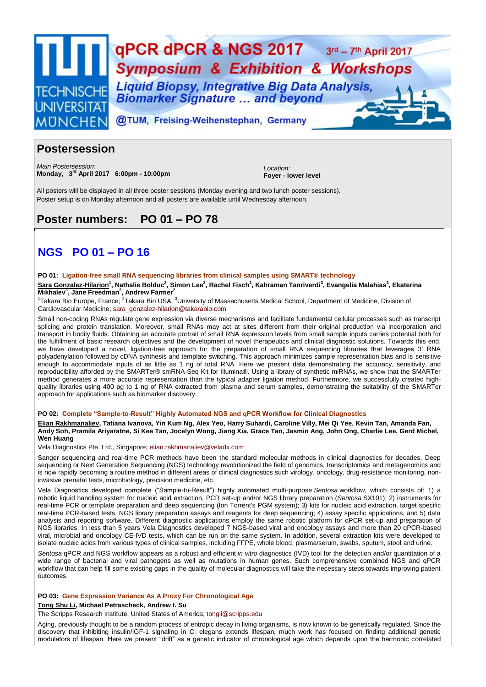

## **Postersession**

*Main Postersession:* **Monday, 3 rd April 2017 6:00pm - 10:00pm**

*Location:* **Foyer - lower level**

All posters will be displayed in all three poster sessions (Monday evening and two lunch poster sessions). Poster setup is on Monday afternoon and all posters are available until Wednesday afternoon.

# **Poster numbers: PO 01 – PO 78**

# **NGS PO 01 – PO 16**

## **PO 01: Ligation-free small RNA sequencing libraries from clinical samples using SMART® technology**

**Sara Gonzalez-Hilarion<sup>1</sup> , Nathalie Bolduc<sup>2</sup> , Simon Lee<sup>2</sup> , Rachel Fisch<sup>2</sup> , Kahraman Tanriverdi<sup>3</sup> , Evangelia Malahias<sup>3</sup> , Ekaterina Mikhalev<sup>3</sup> , Jane Freedman<sup>3</sup> , Andrew Farmer<sup>2</sup>**

<sup>1</sup>Takara Bio Europe, France; <sup>2</sup>Takara Bio USA; <sup>3</sup>University of Massachusetts Medical School, Department of Medicine, Division of Cardiovascular Medicine; [sara\\_gonzalez-hilarion@takarabio.com](mailto:sara_gonzalez-hilarion@takarabio.com)

Small non-coding RNAs regulate gene expression via diverse mechanisms and facilitate fundamental cellular processes such as transcript splicing and protein translation. Moreover, small RNAs may act at sites different from their original production via incorporation and transport in bodily fluids. Obtaining an accurate portrait of small RNA expression levels from small sample inputs carries potential both for the fulfillment of basic research objectives and the development of novel therapeutics and clinical diagnostic solutions. Towards this end, we have developed a novel, ligation-free approach for the preparation of small RNA sequencing libraries that leverages 3' RNA polyadenylation followed by cDNA synthesis and template switching. This approach minimizes sample representation bias and is sensitive enough to accommodate inputs of as little as 1 ng of total RNA. Here we present data demonstrating the accuracy, sensitivity, and reproducibility afforded by the SMARTer® smRNA-Seq Kit for Illumina®. Using a library of synthetic miRNAs, we show that the SMARTer method generates a more accurate representation than the typical adapter ligation method. Furthermore, we successfully created highquality libraries using 400 pg to 1 ng of RNA extracted from plasma and serum samples, demonstrating the suitability of the SMARTer approach for applications such as biomarker discovery.

## **PO 02: Complete "Sample-to-Result" Highly Automated NGS and qPCR Workflow for Clinical Diagnostics**

**Elian Rakhmanaliev, Tatiana Ivanova, Yin Kum Ng, Alex Yeo, Harry Suhardi, Caroline Villy, Mei Qi Yee, Kevin Tan, Amanda Fan, Andy Soh, Pramila Ariyaratne, Si Kee Tan, Jocelyn Wong, Jiang Xia, Grace Tan, Jasmin Ang, John Ong, Charlie Lee, Gerd Michel, Wen Huang**

Vela Diagnostics Pte. Ltd., Singapore; [elian.rakhmanaliev@veladx.com](mailto:elian.rakhmanaliev@veladx.com)

Sanger sequencing and real-time PCR methods have been the standard molecular methods in clinical diagnostics for decades. Deep sequencing or Next Generation Sequencing (NGS) technology revolutionized the field of genomics, transcriptomics and metagenomics and is now rapidly becoming a routine method in different areas of clinical diagnostics such virology, oncology, drug-resistance monitoring, noninvasive prenatal tests, microbiology, precision medicine, etc.

Vela Diagnostics developed complete ("Sample-to-Result") highly automated multi-purpose *Sentosa* workflow, which consists of: 1) a robotic liquid handling system for nucleic acid extraction, PCR set-up and/or NGS library preparation (*Sentosa* SX101); 2) instruments for real-time PCR or template preparation and deep sequencing (Ion Torrent's PGM system); 3) kits for nucleic acid extraction, target specific real-time PCR-based tests, NGS library preparation assays and reagents for deep sequencing; 4) assay specific applications, and 5) data analysis and reporting software. Different diagnostic applications employ the same robotic platform for qPCR set-up and preparation of NGS libraries. In less than 5 years Vela Diagnostics developed 7 NGS-based viral and oncology assays and more than 20 qPCR-based viral, microbial and oncology CE-IVD tests, which can be run on the same system. In addition, several extraction kits were developed to isolate nucleic acids from various types of clinical samples, including FFPE, whole blood, plasma/serum, swabs, sputum, stool and urine.

*Sentosa* qPCR and NGS workflow appears as a robust and efficient *in vitro* diagnostics (IVD) tool for the detection and/or quantitation of a wide range of bacterial and viral pathogens as well as mutations in human genes. Such comprehensive combined NGS and qPCR workflow that can help fill some existing gaps in the quality of molecular diagnostics will take the necessary steps towards improving patient outcomes.

## **PO 03: Gene Expression Variance As A Proxy For Chronological Age**

**Tong Shu Li, Michael Petrascheck, Andrew I. Su**

The Scripps Research Institute, United States of America; [tongli@scripps.edu](mailto:tongli@scripps.edu)

Aging, previously thought to be a random process of entropic decay in living organisms, is now known to be genetically regulated. Since the discovery that inhibiting insulin/IGF-1 signaling in C. elegans extends lifespan, much work has focused on finding additional genetic modulators of lifespan. Here we present "drift" as a genetic indicator of chronological age which depends upon the harmonic correlated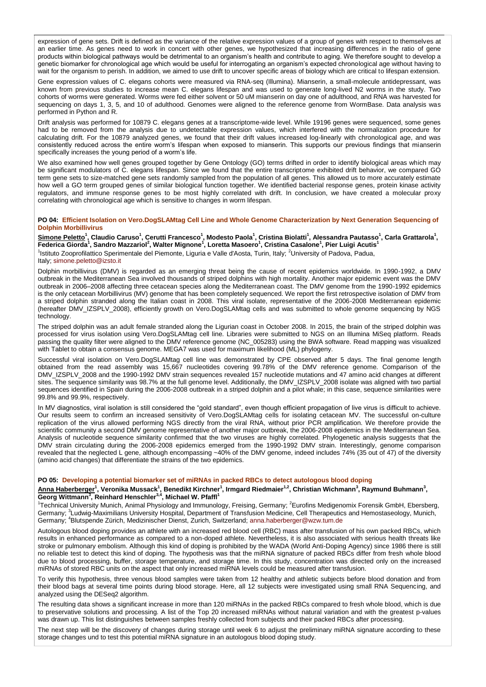expression of gene sets. Drift is defined as the variance of the relative expression values of a group of genes with respect to themselves at an earlier time. As genes need to work in concert with other genes, we hypothesized that increasing differences in the ratio of gene products within biological pathways would be detrimental to an organism's health and contribute to aging. We therefore sought to develop a genetic biomarker for chronological age which would be useful for interrogating an organism's expected chronological age without having to wait for the organism to perish. In addition, we aimed to use drift to uncover specific areas of biology which are critical to lifespan extension.

Gene expression values of C. elegans cohorts were measured via RNA-seq (Illumina). Mianserin, a small-molecule antidepressant, was known from previous studies to increase mean C. elegans lifespan and was used to generate long-lived N2 worms in the study. Two cohorts of worms were generated. Worms were fed either solvent or 50 uM mianserin on day one of adulthood, and RNA was harvested for sequencing on days 1, 3, 5, and 10 of adulthood. Genomes were aligned to the reference genome from WormBase. Data analysis was performed in Python and R.

Drift analysis was performed for 10879 C. elegans genes at a transcriptome-wide level. While 19196 genes were sequenced, some genes had to be removed from the analysis due to undetectable expression values, which interfered with the normalization procedure for calculating drift. For the 10879 analyzed genes, we found that their drift values increased log-linearly with chronological age, and was consistently reduced across the entire worm's lifespan when exposed to mianserin. This supports our previous findings that mianserin specifically increases the young period of a worm's life.

We also examined how well genes grouped together by Gene Ontology (GO) terms drifted in order to identify biological areas which may be significant modulators of C. elegans lifespan. Since we found that the entire transcriptome exhibited drift behavior, we compared GO term gene sets to size-matched gene sets randomly sampled from the population of all genes. This allowed us to more accurately estimate how well a GO term grouped genes of similar biological function together. We identified bacterial response genes, protein kinase activity regulators, and immune response genes to be most highly correlated with drift. In conclusion, we have created a molecular proxy correlating with chronological age which is sensitive to changes in worm lifespan.

#### **PO 04: Efficient Isolation on Vero.DogSLAMtag Cell Line and Whole Genome Characterization by Next Generation Sequencing of Dolphin Morbillivirus**

<u>Simone Peletto</u><sup>1</sup>, Claudio Caruso<sup>1</sup>, Cerutti Francesco<sup>1</sup>, Modesto Paola<sup>1</sup>, Cristina Biolatti<sup>1</sup>, Alessandra Pautasso<sup>1</sup>, Carla Grattarola<sup>1</sup>,<br>Federica Giorda<sup>1</sup>, Sandro Mazzariol<sup>2</sup>, Walter Mignone<sup>1</sup>, Loretta Masoero <sup>1</sup>Istituto Zooprofilattico Sperimentale del Piemonte, Liguria e Valle d'Aosta, Turin, Italy; <sup>2</sup>University of Padova, Padua, Italy; [simone.peletto@izsto.it](mailto:simone.peletto@izsto.it)

Dolphin morbillivirus (DMV) is regarded as an emerging threat being the cause of recent epidemics worldwide. In 1990-1992, a DMV outbreak in the Mediterranean Sea involved thousands of striped dolphins with high mortality. Another major epidemic event was the DMV outbreak in 2006–2008 affecting three cetacean species along the Mediterranean coast. The DMV genome from the 1990-1992 epidemics is the only cetacean Morbillivirus (MV) genome that has been completely sequenced. We report the first retrospective isolation of DMV from a striped dolphin stranded along the Italian coast in 2008. This viral isolate, representative of the 2006-2008 Mediterranean epidemic (hereafter DMV\_IZSPLV\_2008), efficiently growth on Vero.DogSLAMtag cells and was submitted to whole genome sequencing by NGS technology.

The striped dolphin was an adult female stranded along the Ligurian coast in October 2008. In 2015, the brain of the striped dolphin was processed for virus isolation using Vero.DogSLAMtag cell line. Libraries were submitted to NGS on an Illumina MiSeq platform. Reads passing the quality filter were aligned to the DMV reference genome (NC\_005283) using the BWA software. Read mapping was visualized with Tablet to obtain a consensus genome. MEGA7 was used for maximum likelihood (ML) phylogeny.

Successful viral isolation on Vero.DogSLAMtag cell line was demonstrated by CPE observed after 5 days. The final genome length obtained from the read assembly was 15,667 nucleotides covering 99.78% of the DMV reference genome. Comparison of the DMV\_IZSPLV\_2008 and the 1990-1992 DMV strain sequences revealed 157 nucleotide mutations and 47 amino acid changes at different sites. The sequence similarity was 98.7% at the full genome level. Additionally, the DMV\_IZSPLV\_2008 isolate was aligned with two partial sequences identified in Spain during the 2006-2008 outbreak in a striped dolphin and a pilot whale; in this case, sequence similarities were 99.8% and 99.9%, respectively.

In MV diagnostics, viral isolation is still considered the "gold standard", even though efficient propagation of live virus is difficult to achieve. Our results seem to confirm an increased sensitivity of Vero.DogSLAMtag cells for isolating cetacean MV. The successful on-culture replication of the virus allowed performing NGS directly from the viral RNA, without prior PCR amplification. We therefore provide the scientific community a second DMV genome representative of another major outbreak, the 2006-2008 epidemics in the Mediterranean Sea. Analysis of nucleotide sequence similarity confirmed that the two viruses are highly correlated. Phylogenetic analysis suggests that the DMV strain circulating during the 2006-2008 epidemics emerged from the 1990-1992 DMV strain. Interestingly, genome comparison revealed that the neglected L gene, although encompassing ~40% of the DMV genome, indeed includes 74% (35 out of 47) of the diversity (amino acid changes) that differentiate the strains of the two epidemics.

#### **PO 05: Developing a potential biomarker set of miRNAs in packed RBCs to detect autologous blood doping**

# <u>Anna Haberberger</u><sup>1</sup>, Veronika Mussack<sup>1</sup>, Benedikt Kirchner<sup>1</sup>, Irmgard Riedmaier<sup>1.2</sup>, Christian Wichmann<sup>3</sup>, Raymund Buhmann<sup>3</sup>,<br>Georg Wittmann<sup>3</sup>, Reinhard Henschler<sup>3,4</sup>, Michael W. Pfaffl<sup>1</sup>

<sup>1</sup>Technical University Munich, Animal Physiology and Immunology, Freising, Germany; <sup>2</sup>Eurofins Medigenomix Forensik GmbH, Ebersberg, Germany; <sup>3</sup>Ludwig-Maximilians University Hospital, Department of Transfusion Medicine, Cell Therapeutics and Hemostaseology, Munich, Germany; <sup>4</sup>Blutspende Zürich, Medizinischer Dienst, Zurich, Switzerland; [anna.haberberger@wzw.tum.de](mailto:anna.haberberger@wzw.tum.de)

Autologous blood doping provides an athlete with an increased red blood cell (RBC) mass after transfusion of his own packed RBCs, which results in enhanced performance as compared to a non-doped athlete. Nevertheless, it is also associated with serious health threats like stroke or pulmonary embolism. Although this kind of doping is prohibited by the WADA (World Anti-Doping Agency) since 1986 there is still no reliable test to detect this kind of doping. The hypothesis was that the miRNA signature of packed RBCs differ from fresh whole blood due to blood processing, buffer, storage temperature, and storage time. In this study, concentration was directed only on the increased miRNAs of stored RBC units on the aspect that only increased miRNA levels could be measured after transfusion.

To verify this hypothesis, three venous blood samples were taken from 12 healthy and athletic subjects before blood donation and from their blood bags at several time points during blood storage. Here, all 12 subjects were investigated using small RNA Sequencing, and analyzed using the DESeq2 algorithm.

The resulting data shows a significant increase in more than 120 miRNAs in the packed RBCs compared to fresh whole blood, which is due to preservative solutions and processing. A list of the Top 20 increased miRNAs without natural variation and with the greatest p-values was drawn up. This list distinguishes between samples freshly collected from subjects and their packed RBCs after processing.

The next step will be the discovery of changes during storage until week 6 to adjust the preliminary miRNA signature according to these storage changes und to test this potential miRNA signature in an autologous blood doping study.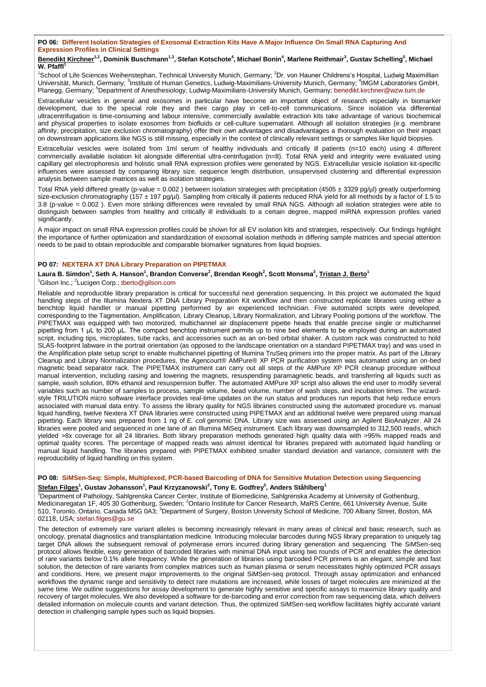## **PO 06: Different Isolation Strategies of Exosomal Extraction Kits Have A Major Influence On Small RNA Capturing And Expression Profiles in Clinical Settings**

#### **Benedikt Kirchner1,2, Dominik Buschmann1,3, Stefan Kotschote<sup>4</sup> , Michael Bonin<sup>4</sup> , Marlene Reithmair<sup>3</sup> , Gustav Schelling<sup>5</sup> , Michael W.** Pfaffl<sup>1</sup>

<sup>1</sup>School of Life Sciences Weihenstephan, Technical University Munich, Germany; <sup>2</sup>Dr. von Hauner Childrens's Hospital, Ludwig Maximillian Universität, Munich, Germany; <sup>3</sup>Institute of Human Genetics, Ludwig-Maximilians-University Munich, Germany; <sup>4</sup>IMGM Laboratories GmbH, Planegg, Germany; <sup>5</sup>Department of Anesthesiology, Ludwig-Maximilians-University Munich, Germany; [benedikt.kirchner@wzw.tum.de](mailto:benedikt.kirchner@wzw.tum.de)

Extracellular vesicles in general and exosomes in particular have become an important object of research especially in biomarker development, due to the special role they and their cargo play in cell-to-cell communications. Since isolation via differential ultracentrifugation is time-consuming and labour intensive, commercially available extraction kits take advantage of various biochemical and physical properties to isolate exosomes from biofluids or cell-culture supernatant. Although all isolation strategies (e.g. membrane affinity, precipitation, size exclusion chromatography) offer their own advantages and disadvantages a thorough evaluation on their impact on downstream applications like NGS is still missing, especially in the context of clinically relevant settings or samples like liquid biopsies.

Extracellular vesicles were isolated from 1ml serum of healthy individuals and critically ill patients (n=10 each) using 4 different commercially available isolation kit alongside differential ultra-centrifugation (n=8). Total RNA yield and integrity were evaluated using capillary gel electrophoresis and holistic small RNA expression profiles were generated by NGS. Extracellular vesicle isolation kit-specific influences were assessed by comparing library size, sequence length distribution, unsupervised clustering and differential expression analysis between sample matrices as well as isolation strategies.

Total RNA yield differed greatly (p-value = 0.002) between isolation strategies with precipitation (4505 ± 3329 pg/µl) greatly outperforming size-exclusion chromatography (157 ± 197 pg/µl). Sampling from critically ill patients reduced RNA yield for all methods by a factor of 1.5 to 3.8 (p-value = 0.002 ). Even more striking differences were revealed by small RNA NGS. Although all isolation strategies were able to distinguish between samples from healthy and critically ill individuals to a certain degree, mapped miRNA expression profiles varied significantly.

A major impact on small RNA expression profiles could be shown for all EV isolation kits and strategies, respectively. Our findings highlight the importance of further optimization and standardization of exosomal isolation methods in differing sample matrices and special attention needs to be paid to obtain reproducible and comparable biomarker signatures from liquid biopsies.

## **PO 07: NEXTERA XT DNA Library Preparation on PIPETMAX**

## $\Delta$ Laura B. Simdon $^1$ , Seth A. Hanson $^1$ , Brandon Converse $^2$ , Brendan Keogh $^2$ , Scott Monsma $^2$ , <u>Tristan J. Berto</u> $^1$ <sup>1</sup>Gilson Inc.; <sup>2</sup>Lucigen Corp.; [tberto@gilson.com](mailto:tberto@gilson.com)

Reliable and reproducible library preparation is critical for successful next generation sequencing. In this project we automated the liquid handling steps of the Illumina Nextera XT DNA Library Preparation Kit workflow and then constructed replicate libraries using either a benchtop liquid handler or manual pipetting performed by an experienced technician. Five automated scripts were developed, corresponding to the Tagmentation, Amplification, Library Cleanup, Library Normalization, and Library Pooling portions of the workflow. The PIPETMAX was equipped with two motorized, multichannel air displacement pipette heads that enable precise single or multichannel pipetting from 1 μL to 200 μL. The compact benchtop instrument permits up to nine bed elements to be employed during an automated script, including tips, microplates, tube racks, and accessories such as an on-bed orbital shaker. A custom rack was constructed to hold SLAS-footprint labware in the portrait orientation (as opposed to the landscape orientation on a standard PIPETMAX tray) and was used in the Amplification plate setup script to enable multichannel pipetting of Illumina TruSeq primers into the proper matrix. As part of the Library Cleanup and Library Normalization procedures, the Agencourt® AMPure® XP PCR purification system was automated using an on-bed magnetic bead separator rack. The PIPETMAX instrument can carry out all steps of the AMPure XP PCR cleanup procedure without manual intervention, including raising and lowering the magnets, resuspending paramagnetic beads, and transferring all liquids such as sample, wash solution, 80% ethanol and resuspension buffer. The automated AMPure XP script also allows the end user to modify several variables such as number of samples to process, sample volume, bead volume, number of wash steps, and incubation times. The wizardstyle TRILUTION micro software interface provides real-time updates on the run status and produces run reports that help reduce errors associated with manual data entry. To assess the library quality for NGS libraries constructed using the automated procedure vs. manual liquid handling, twelve Nextera XT DNA libraries were constructed using PIPETMAX and an additional twelve were prepared using manual pipetting. Each library was prepared from 1 ng of *E. coli* genomic DNA. Library size was assessed using an Agilent BioAnalyzer. All 24 libraries were pooled and sequenced in one lane of an Illumina MiSeq instrument. Each library was downsampled to 312,500 reads, which yielded >8x coverage for all 24 libraries. Both library preparation methods generated high quality data with >95% mapped reads and optimal quality scores. The percentage of mapped reads was almost identical for libraries prepared with automated liquid handling or manual liquid handling. The libraries prepared with PIPETMAX exhibited smaller standard deviation and variance, consistent with the reproducibility of liquid handling on this system.

## **PO 08: SiMSen-Seq: Simple, Multiplexed, PCR-based Barcoding of DNA for Sensitive Mutation Detection using Sequencing**

#### **Stefan Filges<sup>1</sup> , Gustav Johansson<sup>1</sup> , Paul Krzyzanowski<sup>2</sup> , Tony E. Godfrey<sup>3</sup> , Anders Ståhlberg<sup>1</sup>**

<sup>1</sup>Department of Pathology, Sahlgrenska Cancer Center, Institute of Biomedicine, Sahlgrenska Academy at University of Gothenburg, Medicinaregatan 1F, 405 30 Gothenburg, Sweden; <sup>2</sup>Ontario Institute for Cancer Research, MaRS Centre, 661 University Avenue, Suite 510, Toronto, Ontario, Canada M5G 0A3; <sup>3</sup>Department of Surgery, Boston University School of Medicine, 700 Albany Street, Boston, MA 02118, USA; [stefan.filges@gu.se](mailto:stefan.filges@gu.se)

The detection of extremely rare variant alleles is becoming increasingly relevant in many areas of clinical and basic research, such as oncology, prenatal diagnostics and transplantation medicine. Introducing molecular barcodes during NGS library preparation to uniquely tag target DNA allows the subsequent removal of polymerase errors incurred during library generation and sequencing. The SiMSen-seq protocol allows flexible, easy generation of barcoded libraries with minimal DNA input using two rounds of PCR and enables the detection of rare variants below 0.1% allele frequency. While the generation of libraries using barcoded PCR primers is an elegant, simple and fast solution, the detection of rare variants from complex matrices such as human plasma or serum necessitates highly optimized PCR assays and conditions. Here, we present major improvements to the original SiMSen-seq protocol. Through assay optimization and enhanced workflows the dynamic range and sensitivity to detect rare mutations are increased, while losses of target molecules are minimized at the same time. We outline suggestions for assay development to generate highly sensitive and specific assays to maximize library quality and recovery of target molecules. We also developed a software for de-barcoding and error correction from raw sequencing data, which delivers detailed information on molecule counts and variant detection. Thus, the optimized SiMSen-seq workflow facilitates highly accurate variant detection in challenging sample types such as liquid biopsies.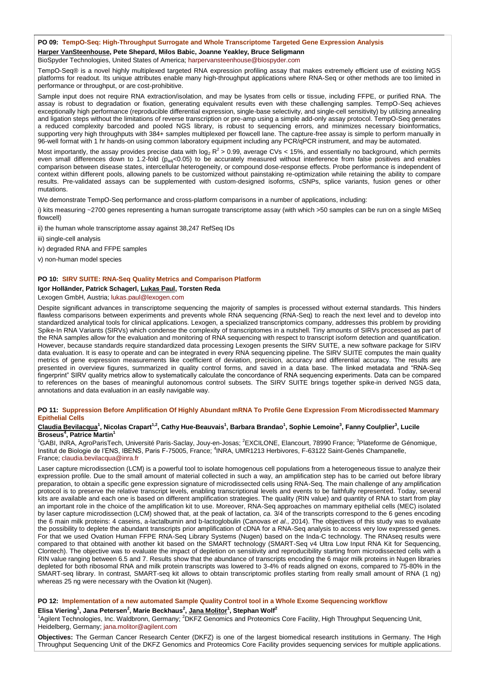#### **PO 09: TempO-Seq: High-Throughput Surrogate and Whole Transcriptome Targeted Gene Expression Analysis**

## **Harper VanSteenhouse, Pete Shepard, Milos Babic, Joanne Yeakley, Bruce Seligmann**

BioSpyder Technologies, United States of America; [harpervansteenhouse@biospyder.com](mailto:harpervansteenhouse@biospyder.com)

TempO-Seq® is a novel highly multiplexed targeted RNA expression profiling assay that makes extremely efficient use of existing NGS platforms for readout. Its unique attributes enable many high-throughput applications where RNA-Seq or other methods are too limited in performance or throughput, or are cost-prohibitive.

Sample input does not require RNA extraction/isolation, and may be lysates from cells or tissue, including FFPE, or purified RNA. The assay is robust to degradation or fixation, generating equivalent results even with these challenging samples. TempO-Seq achieves exceptionally high performance (reproducible differential expression, single-base selectivity, and single-cell sensitivity) by utilizing annealing and ligation steps without the limitations of reverse transcription or pre-amp using a simple add-only assay protocol. TempO-Seq generates a reduced complexity barcoded and pooled NGS library, is robust to sequencing errors, and minimizes necessary bioinformatics, supporting very high throughputs with 384+ samples multiplexed per flowcell lane. The capture-free assay is simple to perform manually in 96-well format with 1 hr hands-on using common laboratory equipment including any PCR/qPCR instrument, and may be automated.

Most importantly, the assay provides precise data with log<sub>2</sub> R<sup>2</sup> > 0.99, average CVs < 15%, and essentially no background, which permits even small differences down to 1.2-fold ( $p_{ad}$ <0.05) to be accurately measured without interference from false positives and enables comparison between disease states, intercellular heterogeneity, or compound dose-response effects. Probe performance is independent of context within different pools, allowing panels to be customized without painstaking re-optimization while retaining the ability to compare results. Pre-validated assays can be supplemented with custom-designed isoforms, cSNPs, splice variants, fusion genes or other mutations.

We demonstrate TempO-Seq performance and cross-platform comparisons in a number of applications, including:

i) kits measuring ~2700 genes representing a human surrogate transcriptome assay (with which >50 samples can be run on a single MiSeq flowcell)

ii) the human whole transcriptome assay against 38,247 RefSeq IDs

- iii) single-cell analysis
- iv) degraded RNA and FFPE samples
- v) non-human model species

#### **PO 10: SIRV SUITE: RNA-Seq Quality Metrics and Comparison Platform**

#### **Igor Holländer, Patrick Schagerl, Lukas Paul, Torsten Reda**

Lexogen GmbH, Austria; [lukas.paul@lexogen.com](mailto:lukas.paul@lexogen.com)

Despite significant advances in transcriptome sequencing the majority of samples is processed without external standards. This hinders flawless comparisons between experiments and prevents whole RNA sequencing (RNA-Seq) to reach the next level and to develop into standardized analytical tools for clinical applications. Lexogen, a specialized transcriptomics company, addresses this problem by providing Spike-In RNA Variants (SIRVs) which condense the complexity of transcriptomes in a nutshell. Tiny amounts of SIRVs processed as part of the RNA samples allow for the evaluation and monitoring of RNA sequencing with respect to transcript isoform detection and quantification. However, because standards require standardized data processing Lexogen presents the SIRV SUITE, a new software package for SIRV data evaluation. It is easy to operate and can be integrated in every RNA sequencing pipeline. The SIRV SUITE computes the main quality metrics of gene expression measurements like coefficient of deviation, precision, accuracy and differential accuracy. The results are presented in overview figures, summarized in quality control forms, and saved in a data base. The linked metadata and "RNA-Seq fingerprint" SIRV quality metrics allow to systematically calculate the concordance of RNA sequencing experiments. Data can be compared to references on the bases of meaningful autonomous control subsets. The SIRV SUITE brings together spike-in derived NGS data, annotations and data evaluation in an easily navigable way.

## **PO 11: Suppression Before Amplification Of Highly Abundant mRNA To Profile Gene Expression From Microdissected Mammary Epithelial Cells**

#### **Claudia Bevilacqua<sup>1</sup> , Nicolas Crapart1,2, Cathy Hue-Beauvais<sup>1</sup> , Barbara Brandao<sup>1</sup> , Sophie Lemoine<sup>3</sup> , Fanny Coulplier<sup>3</sup> , Lucile Broseus<sup>4</sup> , Patrice Martin<sup>1</sup>**

<sup>1</sup>GABI, INRA, AgroParisTech, Université Paris-Saclay, Jouy-en-Josas; <sup>2</sup>EXCILONE, Elancourt, 78990 France; <sup>3</sup>Plateforme de Génomique. Institut de Biologie de l'ENS, IBENS, Paris F-75005, France; <sup>4</sup>INRA, UMR1213 Herbivores, F-63122 Saint-Genès Champanelle, France; [claudia.bevilacqua@inra.fr](mailto:claudia.bevilacqua@inra.fr)

Laser capture microdissection (LCM) is a powerful tool to isolate homogenous cell populations from a heterogeneous tissue to analyze their expression profile. Due to the small amount of material collected in such a way, an amplification step has to be carried out before library preparation, to obtain a specific gene expression signature of microdissected cells using RNA-Seq. The main challenge of any amplification protocol is to preserve the relative transcript levels, enabling transcriptional levels and events to be faithfully represented. Today, several kits are available and each one is based on different amplification strategies. The quality (RIN value) and quantity of RNA to start from play an important role in the choice of the amplification kit to use. Moreover, RNA-Seq approaches on mammary epithelial cells (MEC) isolated by laser capture microdissection (LCM) showed that, at the peak of lactation, *ca*. 3/4 of the transcripts correspond to the 6 genes encoding the 6 main milk proteins: 4 caseins, a-lactalbumin and b-lactoglobulin (Canovas *et al*., 2014). The objectives of this study was to evaluate the possibility to deplete the abundant transcripts prior amplification of cDNA for a RNA-Seq analysis to access very low expressed genes. For that we used Ovation Human FFPE RNA-Seq Library Systems (Nugen) based on the Inda-C technology. The RNAseq results were compared to that obtained with another kit based on the SMART technology (SMART-Seq v4 Ultra Low Input RNA Kit for Sequencing, Clontech). The objective was to evaluate the impact of depletion on sensitivity and reproducibility starting from microdissected cells with a RIN value ranging between 6.5 and 7. Results show that the abundance of transcripts encoding the 6 major milk proteins in Nugen libraries depleted for both ribosomal RNA and milk protein transcripts was lowered to 3-4% of reads aligned on exons, compared to 75-80% in the SMART-seq library. In contrast, SMART-seq kit allows to obtain transcriptomic profiles starting from really small amount of RNA (1 ng) whereas 25 ng were necessary with the Ovation kit (Nugen).

#### **PO 12: Implementation of a new automated Sample Quality Control tool in a Whole Exome Sequencing workflow**

**Elisa Viering<sup>1</sup> , Jana Petersen<sup>2</sup> , Marie Beckhaus<sup>2</sup> , Jana Molitor<sup>1</sup> , Stephan Wolf<sup>2</sup>**

<sup>1</sup>Agilent Technologies, Inc. Waldbronn, Germany; <sup>2</sup>DKFZ Genomics and Proteomics Core Facility, High Throughput Sequencing Unit, Heidelberg, Germany; [jana.molitor@agilent.com](mailto:jana.molitor@agilent.com)

**Objectives:** The German Cancer Research Center (DKFZ) is one of the largest biomedical research institutions in Germany. The High Throughput Sequencing Unit of the DKFZ Genomics and Proteomics Core Facility provides sequencing services for multiple applications.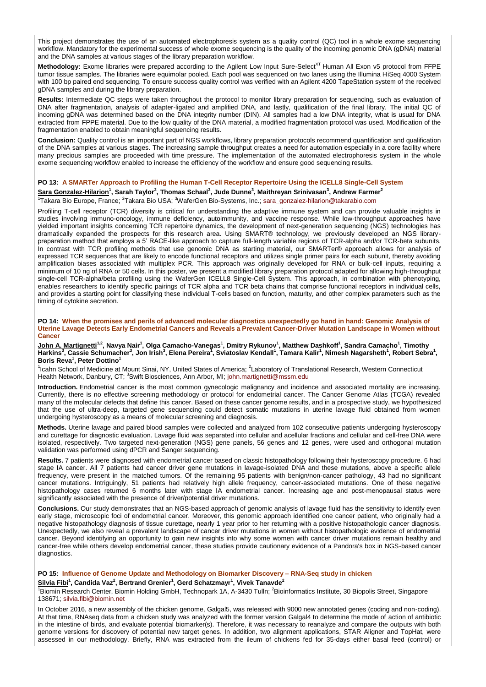This project demonstrates the use of an automated electrophoresis system as a quality control (QC) tool in a whole exome sequencing workflow. Mandatory for the experimental success of whole exome sequencing is the quality of the incoming genomic DNA (gDNA) material and the DNA samples at various stages of the library preparation workflow.

Methodology: Exome libraries were prepared according to the Agilent Low Input Sure-Select<sup>XT</sup> Human All Exon v5 protocol from FFPE tumor tissue samples. The libraries were equimolar pooled. Each pool was sequenced on two lanes using the Illumina HiSeq 4000 System with 100 bp paired end sequencing. To ensure success quality control was verified with an Agilent 4200 TapeStation system of the received gDNA samples and during the library preparation.

**Results:** Intermediate QC steps were taken throughout the protocol to monitor library preparation for sequencing, such as evaluation of DNA after fragmentation, analysis of adapter-ligated and amplified DNA, and lastly, qualification of the final library. The initial QC of incoming gDNA was determined based on the DNA integrity number (DIN). All samples had a low DNA integrity, what is usual for DNA extracted from FPPE material. Due to the low quality of the DNA material, a modified fragmentation protocol was used. Modification of the fragmentation enabled to obtain meaningful sequencing results.

**Conclusion:** Quality control is an important part of NGS workflows, library preparation protocols recommend quantification and qualification of the DNA samples at various stages. The increasing sample throughput creates a need for automation especially in a core facility where many precious samples are proceeded with time pressure. The implementation of the automated electrophoresis system in the whole exome sequencing workflow enabled to increase the efficiency of the workflow and ensure good sequencing results.

### **PO 13: A SMARTer Approach to Profiling the Human T-Cell Receptor Repertoire Using the ICELL8 Single-Cell System**

## $\frac{1}{2}$  Sara Gonzalez-Hilarion $^1$ , Sarah Taylor $^2$ , Thomas Schaal $^3$ , Jude Dunne $^3$ , Maithreyan Srinivasan $^3$ , Andrew Farmer $^2$

#### <sup>1</sup>Takara Bio Europe, France; <sup>2</sup>Takara Bio USA; <sup>3</sup>WaferGen Bio-Systems, Inc.; [sara\\_gonzalez-hilarion@takarabio.com](mailto:sara_gonzalez-hilarion@takarabio.com)

Profiling T-cell receptor (TCR) diversity is critical for understanding the adaptive immune system and can provide valuable insights in studies involving immuno-oncology, immune deficiency, autoimmunity, and vaccine response. While low-throughput approaches have yielded important insights concerning TCR repertoire dynamics, the development of next-generation sequencing (NGS) technologies has dramatically expanded the prospects for this research area. Using SMART® technology, we previously developed an NGS librarypreparation method that employs a 5' RACE-like approach to capture full-length variable regions of TCR-alpha and/or TCR-beta subunits. In contrast with TCR profiling methods that use genomic DNA as starting material, our SMARTer® approach allows for analysis of expressed TCR sequences that are likely to encode functional receptors and utilizes single primer pairs for each subunit, thereby avoiding amplification biases associated with multiplex PCR. This approach was originally developed for RNA or bulk-cell inputs, requiring a minimum of 10 ng of RNA or 50 cells. In this poster, we present a modified library preparation protocol adapted for allowing high-throughput single-cell TCR-alpha/beta profiling using the WaferGen ICELL8 Single-Cell System. This approach, in combination with phenotyping, enables researchers to identify specific pairings of TCR alpha and TCR beta chains that comprise functional receptors in individual cells, and provides a starting point for classifying these individual T-cells based on function, maturity, and other complex parameters such as the timing of cytokine secretion.

#### **PO 14: When the promises and perils of advanced molecular diagnostics unexpectedly go hand in hand: Genomic Analysis of Uterine Lavage Detects Early Endometrial Cancers and Reveals a Prevalent Cancer-Driver Mutation Landscape in Women without Cancer**

## <u>John A. Martignetti</u><sup>1.2</sup>, Navya Nair<sup>1</sup>, Olga Camacho-Vanegas<sup>1</sup>, Dmitry Rykunov<sup>1</sup>, Matthew Dashkoff<sup>1</sup>, Sandra Camacho<sup>1</sup>, Timothy<br>Harkins<sup>3</sup>, Cassie Schumacher<sup>3</sup>, Jon Irish<sup>3</sup>, Elena Pereira<sup>1</sup>, Sviatoslav Kendall<sup>1</sup> **Boris Reva<sup>1</sup> , Peter Dottino<sup>1</sup>**

<sup>1</sup>Icahn School of Medicine at Mount Sinai, NY, United States of America; <sup>2</sup>Laboratory of Translational Research, Western Connecticut Health Network, Danbury, CT; <sup>3</sup>Swift Biosciences, Ann Arbor, MI; [john.martignetti@mssm.edu](mailto:john.martignetti@mssm.edu)

**Introduction.** Endometrial cancer is the most common gynecologic malignancy and incidence and associated mortality are increasing. Currently, there is no effective screening methodology or protocol for endometrial cancer. The Cancer Genome Atlas (TCGA) revealed many of the molecular defects that define this cancer. Based on these cancer genome results, and in a prospective study, we hypothesized that the use of ultra-deep, targeted gene sequencing could detect somatic mutations in uterine lavage fluid obtained from women undergoing hysteroscopy as a means of molecular screening and diagnosis.

**Methods.** Uterine lavage and paired blood samples were collected and analyzed from 102 consecutive patients undergoing hysteroscopy and curettage for diagnostic evaluation. Lavage fluid was separated into cellular and acellular fractions and cellular and cell-free DNA were isolated, respectively. Two targeted next-generation (NGS) gene panels, 56 genes and 12 genes, were used and orthogonal mutation validation was performed using dPCR and Sanger sequencing.

**Results.** 7 patients were diagnosed with endometrial cancer based on classic histopathology following their hysteroscopy procedure. 6 had stage IA cancer. All 7 patients had cancer driver gene mutations in lavage-isolated DNA and these mutations, above a specific allele frequency, were present in the matched tumors. Of the remaining 95 patients with benign/non-cancer pathology, 43 had no significant cancer mutations. Intriguingly, 51 patients had relatively high allele frequency, cancer-associated mutations. One of these negative histopathology cases returned 6 months later with stage IA endometrial cancer. Increasing age and post-menopausal status were significantly associated with the presence of driver/potential driver mutations.

**Conclusions.** Our study demonstrates that an NGS-based approach of genomic analysis of lavage fluid has the sensitivity to identify even early stage, microscopic foci of endometrial cancer. Moreover, this genomic approach identified one cancer patient, who originally had a negative histopathology diagnosis of tissue curettage, nearly 1 year prior to her returning with a positive histopathologic cancer diagnosis. Unexpectedly, we also reveal a prevalent landscape of cancer driver mutations in women without histopathologic evidence of endometrial cancer. Beyond identifying an opportunity to gain new insights into why some women with cancer driver mutations remain healthy and cancer-free while others develop endometrial cancer, these studies provide cautionary evidence of a Pandora's box in NGS-based cancer diagnostics.

#### **PO 15: Influence of Genome Update and Methodology on Biomarker Discovery – RNA-Seq study in chicken**

#### **Silvia Fibi<sup>1</sup> , Candida Vaz<sup>2</sup> , Bertrand Grenier<sup>1</sup> , Gerd Schatzmayr<sup>1</sup> , Vivek Tanavde<sup>2</sup>**

<sup>1</sup>Biomin Research Center, Biomin Holding GmbH, Technopark 1A, A-3430 Tulln; <sup>2</sup>Bioinformatics Institute, 30 Biopolis Street, Singapore 138671; [silvia.fibi@biomin.net](mailto:silvia.fibi@biomin.net)

In October 2016, a new assembly of the chicken genome, Galgal5, was released with 9000 new annotated genes (coding and non-coding). At that time, RNAseq data from a chicken study was analyzed with the former version Galgal4 to determine the mode of action of antibiotic in the intestine of birds, and evaluate potential biomarker(s). Therefore, it was necessary to reanalyze and compare the outputs with both genome versions for discovery of potential new target genes. In addition, two alignment applications, STAR Aligner and TopHat, were assessed in our methodology. Briefly, RNA was extracted from the ileum of chickens fed for 35-days either basal feed (control) or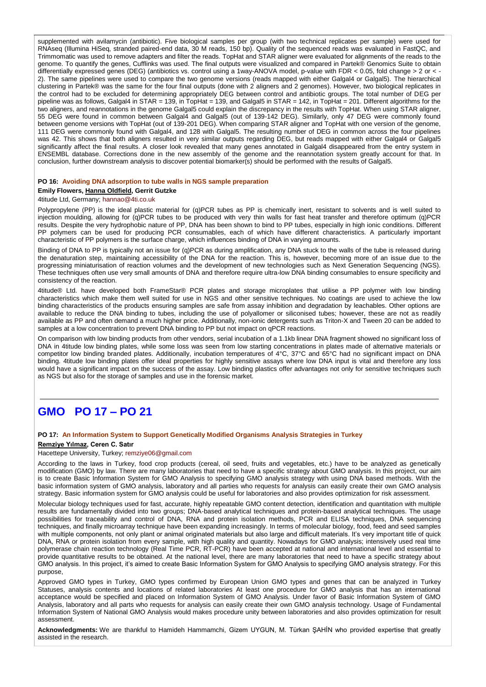supplemented with avilamycin (antibiotic). Five biological samples per group (with two technical replicates per sample) were used for RNAseq (Illumina HiSeq, stranded paired-end data, 30 M reads, 150 bp). Quality of the sequenced reads was evaluated in FastQC, and Trimmomatic was used to remove adapters and filter the reads. TopHat and STAR aligner were evaluated for alignments of the reads to the genome. To quantify the genes, Cufflinks was used. The final outputs were visualized and compared in Partek® Genomics Suite to obtain differentially expressed genes (DEG) (antibiotics vs. control using a 1way-ANOVA model, p-value with FDR < 0.05, fold change > 2 or < -2). The same pipelines were used to compare the two genome versions (reads mapped with either Galgal4 or Galgal5). The hierarchical clustering in Partek® was the same for the four final outputs (done with 2 aligners and 2 genomes). However, two biological replicates in the control had to be excluded for determining appropriately DEG between control and antibiotic groups. The total number of DEG per pipeline was as follows, Galgal4 in STAR = 139, in TopHat = 139, and Galgal5 in STAR = 142, in TopHat = 201. Different algorithms for the two aligners, and reannotations in the genome Galgal5 could explain the discrepancy in the results with TopHat. When using STAR aligner, 55 DEG were found in common between Galgal4 and Galgal5 (out of 139-142 DEG). Similarly, only 47 DEG were commonly found between genome versions with TopHat (out of 139-201 DEG). When comparing STAR aligner and TopHat with one version of the genome, 111 DEG were commonly found with Galgal4, and 128 with Galgal5. The resulting number of DEG in common across the four pipelines was 42. This shows that both aligners resulted in very similar outputs regarding DEG, but reads mapped with either Galgal4 or Galgal5 significantly affect the final results. A closer look revealed that many genes annotated in Galgal4 disappeared from the entry system in ENSEMBL database. Corrections done in the new assembly of the genome and the reannotation system greatly account for that. In conclusion, further downstream analysis to discover potential biomarker(s) should be performed with the results of Galgal5.

#### **PO 16: Avoiding DNA adsorption to tube walls in NGS sample preparation**

## **Emily Flowers, Hanna Oldfield, Gerrit Gutzke**

## 4titude Ltd, Germany; [hannao@4ti.co.uk](mailto:hannao@4ti.co.uk)

Polypropylene (PP) is the ideal plastic material for (q)PCR tubes as PP is chemically inert, resistant to solvents and is well suited to injection moulding, allowing for (q)PCR tubes to be produced with very thin walls for fast heat transfer and therefore optimum (q)PCR results. Despite the very hydrophobic nature of PP, DNA has been shown to bind to PP tubes, especially in high ionic conditions. Different PP polymers can be used for producing PCR consumables, each of which have different characteristics. A particularly important characteristic of PP polymers is the surface charge, which influences binding of DNA in varying amounts.

Binding of DNA to PP is typically not an issue for (q)PCR as during amplification, any DNA stuck to the walls of the tube is released during the denaturation step, maintaining accessibility of the DNA for the reaction. This is, however, becoming more of an issue due to the progressing miniaturisation of reaction volumes and the development of new technologies such as Next Generation Sequencing (NGS). These techniques often use very small amounts of DNA and therefore require ultra-low DNA binding consumables to ensure specificity and consistency of the reaction.

4titude® Ltd. have developed both FrameStar® PCR plates and storage microplates that utilise a PP polymer with low binding characteristics which make them well suited for use in NGS and other sensitive techniques. No coatings are used to achieve the low binding characteristics of the products ensuring samples are safe from assay inhibition and degradation by leachables. Other options are available to reduce the DNA binding to tubes, including the use of polyallomer or siliconised tubes; however, these are not as readily available as PP and often demand a much higher price. Additionally, non-ionic detergents such as Triton-X and Tween 20 can be added to samples at a low concentration to prevent DNA binding to PP but not impact on qPCR reactions.

On comparison with low binding products from other vendors, serial incubation of a 1.1kb linear DNA fragment showed no significant loss of DNA in 4titude low binding plates, while some loss was seen from low starting concentrations in plates made of alternative materials or competitor low binding branded plates. Additionally, incubation temperatures of 4°C, 37°C and 65°C had no significant impact on DNA binding. 4titude low binding plates offer ideal properties for highly sensitive assays where low DNA input is vital and therefore any loss would have a significant impact on the success of the assay. Low binding plastics offer advantages not only for sensitive techniques such as NGS but also for the storage of samples and use in the forensic market.

## **GMO PO 17 – PO 21**

## **PO 17: An Information System to Support Genetically Modified Organisms Analysis Strategies in Turkey Remziye Yılmaz, Ceren C. Satır**

#### Hacettepe University, Turkey: remzive06@gmail.com

According to the laws in Turkey, food crop products (cereal, oil seed, fruits and vegetables, etc.) have to be analyzed as genetically modification (GMO) by law. There are many laboratories that need to have a specific strategy about GMO analysis. In this project, our aim is to create Basic Information System for GMO Analysis to specifying GMO analysis strategy with using DNA based methods. With the basic information system of GMO analysis, laboratory and all parties who requests for analysis can easily create their own GMO analysis strategy. Basic information system for GMO analysis could be useful for laboratories and also provides optimization for risk assessment.

Molecular biology techniques used for fast, accurate, highly repeatable GMO content detection, identification and quantitation with multiple results are fundamentally divided into two groups; DNA-based analytical techniques and protein-based analytical techniques. The usage possibilities for traceability and control of DNA, RNA and protein isolation methods, PCR and ELISA techniques, DNA sequencing techniques, and finally microarray technique have been expanding increasingly. In terms of molecular biology, food, feed and seed samples with multiple components, not only plant or animal originated materials but also large and difficult materials. It's very important title of quick DNA, RNA or protein isolation from every sample, with high quality and quantity. Nowadays for GMO analysis; intensively used real time polymerase chain reaction technology (Real Time PCR, RT-PCR) have been accepted at national and international level and essential to provide quantitative results to be obtained. At the national level, there are many laboratories that need to have a specific strategy about GMO analysis. In this project, it's aimed to create Basic Information System for GMO Analysis to specifying GMO analysis strategy. For this purpose,

Approved GMO types in Turkey, GMO types confirmed by European Union GMO types and genes that can be analyzed in Turkey Statuses, analysis contents and locations of related laboratories At least one procedure for GMO analysis that has an international acceptance would be specified and placed on Information System of GMO Analysis. Under favor of Basic Information System of GMO Analysis, laboratory and all parts who requests for analysis can easily create their own GMO analysis technology. Usage of Fundamental Information System of National GMO Analysis would makes procedure unity between laboratories and also provides optimization for result assessment.

**Acknowledgments:** We are thankful to Hamideh Hammamchi, Gizem UYGUN, M. Türkan ŞAHİN who provided expertise that greatly assisted in the research.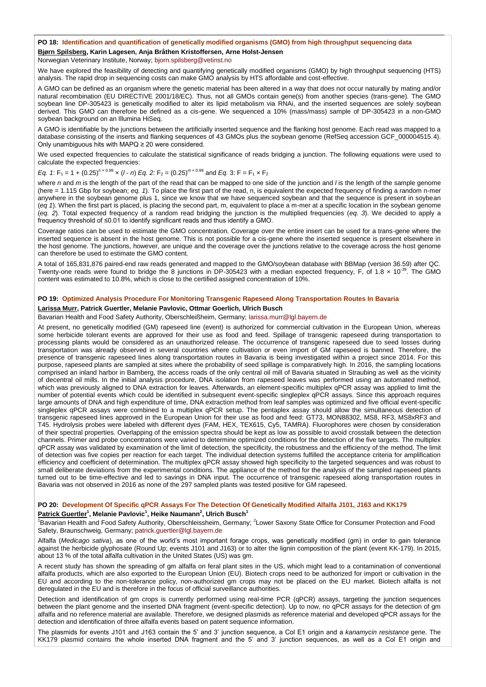#### **PO 18: Identification and quantification of genetically modified organisms (GMO) from high throughput sequencing data**

## **Bjørn Spilsberg, Karin Lagesen, Anja Bråthen Kristoffersen, Arne Holst-Jensen**

Norwegian Veterinary Institute, Norway; [bjorn.spilsberg@vetinst.no](mailto:bjorn.spilsberg@vetinst.no)

We have explored the feasibility of detecting and quantifying genetically modified organisms (GMO) by high throughput sequencing (HTS) analysis. The rapid drop in sequencing costs can make GMO analysis by HTS affordable and cost-effective.

A GMO can be defined as an organism where the genetic material has been altered in a way that does not occur naturally by mating and/or natural recombination (EU DIRECTIVE 2001/18/EC). Thus, not all GMOs contain gene(s) from another species (trans-gene). The GMO soybean line DP-305423 is genetically modified to alter its lipid metabolism via RNAi, and the inserted sequences are solely soybean derived. This GMO can therefore be defined as a cis-gene. We sequenced a 10% (mass/mass) sample of DP-305423 in a non-GMO soybean background on an Illumina HiSeg.

A GMO is identifiable by the junctions between the artificially inserted sequence and the flanking host genome. Each read was mapped to a database consisting of the inserts and flanking sequences of 43 GMOs plus the soybean genome (RefSeq accession GCF\_000004515.4). Only unambiguous hits with MAPQ ≥ 20 were considered.

We used expected frequencies to calculate the statistical significance of reads bridging a junction. The following equations were used to calculate the expected frequencies:

## *Eq. 1*: F<sub>1</sub> = 1 +  $(0.25)^{n \times 0.99}$  x  $(l - n)$  *Eq.* 2: F<sub>2</sub> =  $(0.25)^{m \times 0.99}$  and *Eq.* 3: F = F<sub>1</sub> × F<sub>2</sub>

where *n* and *m* is the length of the part of the read that can be mapped to one side of the junction and *l* is the length of the sample genome (here = 1.115 Gbp for soybean; *eq. 1*). To place the first part of the read, n, is equivalent the expected frequency of finding a random n-mer anywhere in the soybean genome plus 1, since we know that we have sequenced soybean and that the sequence is present in soybean (*eq 1*). When the first part is placed, is placing the second part, m, equivalent to place a m-mer at a specific location in the soybean genome (*eq. 2*). Total expected frequency of a random read bridging the junction is the multiplied frequencies (*eq. 3*). We decided to apply a frequency threshold of ≤0.01 to identify significant reads and thus identify a GMO.

Coverage ratios can be used to estimate the GMO concentration. Coverage over the entire insert can be used for a trans-gene where the inserted sequence is absent in the host genome. This is not possible for a cis-gene where the inserted sequence is present elsewhere in the host genome. The junctions, however, are unique and the coverage over the junctions relative to the coverage across the host genome can therefore be used to estimate the GMO content.

A total of 165,831,876 paired-end raw reads generated and mapped to the GMO/soybean database with BBMap (version 36.59) after QC. Twenty-one reads were found to bridge the 8 junctions in DP-305423 with a median expected frequency, F, of 1.8  $\times$  10<sup>-39</sup>. The GMO content was estimated to 10.8%, which is close to the certified assigned concentration of 10%.

#### **PO 19: Optimized Analysis Procedure For Monitoring Transgenic Rapeseed Along Transportation Routes In Bavaria**

#### **Larissa Murr, Patrick Guertler, Melanie Pavlovic, Ottmar Goerlich, Ulrich Busch**

Bavarian Health and Food Safety Authority, Oberschleißheim, Germany; [larissa.murr@lgl.bayern.de](mailto:larissa.murr@lgl.bayern.de)

At present, no genetically modified (GM) rapeseed line (event) is authorized for commercial cultivation in the European Union, whereas some herbicide tolerant events are approved for their use as food and feed. Spillage of transgenic rapeseed during transportation to processing plants would be considered as an unauthorized release. The occurrence of transgenic rapeseed due to seed losses during transportation was already observed in several countries where cultivation or even import of GM rapeseed is banned. Therefore, the presence of transgenic rapeseed lines along transportation routes in Bavaria is being investigated within a project since 2014. For this purpose, rapeseed plants are sampled at sites where the probability of seed spillage is comparatively high. In 2016, the sampling locations comprised an inland harbor in Bamberg, the access roads of the only central oil mill of Bavaria situated in Straubing as well as the vicinity of decentral oil mills. In the initial analysis procedure, DNA isolation from rapeseed leaves was performed using an automated method, which was previously aligned to DNA extraction for leaves. Afterwards, an element-specific multiplex qPCR assay was applied to limit the number of potential events which could be identified in subsequent event-specific singleplex qPCR assays. Since this approach requires large amounts of DNA and high expenditure of time, DNA extraction method from leaf samples was optimized and five official event-specific singleplex qPCR assays were combined to a multiplex qPCR setup. The pentaplex assay should allow the simultaneous detection of transgenic rapeseed lines approved in the European Union for their use as food and feed: GT73, MON88302, MS8, RF3, MS8xRF3 and T45. Hydrolysis probes were labeled with different dyes (FAM, HEX, TEX615, Cy5, TAMRA). Fluorophores were chosen by consideration of their spectral properties. Overlapping of the emission spectra should be kept as low as possible to avoid crosstalk between the detection channels. Primer and probe concentrations were varied to determine optimized conditions for the detection of the five targets. The multiplex qPCR assay was validated by examination of the limit of detection, the specificity, the robustness and the efficiency of the method. The limit of detection was five copies per reaction for each target. The individual detection systems fulfilled the acceptance criteria for amplification efficiency and coefficient of determination. The multiplex qPCR assay showed high specificity to the targeted sequences and was robust to small deliberate deviations from the experimental conditions. The appliance of the method for the analysis of the sampled rapeseed plants turned out to be time-effective and led to savings in DNA input. The occurrence of transgenic rapeseed along transportation routes in Bavaria was not observed in 2016 as none of the 297 sampled plants was tested positive for GM rapeseed.

## **PO 20: Development Of Specific qPCR Assays For The Detection Of Genetically Modified Alfalfa J101, J163 and KK179 Patrick Guertler<sup>1</sup> , Melanie Pavlovic<sup>1</sup> , Heike Naumann<sup>2</sup> , Ulrich Busch<sup>1</sup>**

<sup>1</sup>Bavarian Health and Food Safety Authority, Oberschleissheim, Germany; <sup>2</sup>Lower Saxony State Office for Consumer Protection and Food Safety, Braunschweig, Germany; [patrick.guertler@lgl.bayern.de](mailto:patrick.guertler@lgl.bayern.de)

Alfalfa (*Medicago sativa*), as one of the world's most important forage crops, was genetically modified (gm) in order to gain tolerance against the herbicide glyphosate (Round Up; events J101 and J163) or to alter the lignin composition of the plant (event KK-179). In 2015, about 13 % of the total alfalfa cultivation in the United States (US) was gm.

A recent study has shown the spreading of gm alfalfa on feral plant sites in the US, which might lead to a contamination of conventional alfalfa products, which are also exported to the European Union (EU). Biotech crops need to be authorized for import or cultivation in the EU and according to the non-tolerance policy, non-authorized gm crops may not be placed on the EU market. Biotech alfalfa is not deregulated in the EU and is therefore in the focus of official surveillance authorities.

Detection and identification of gm crops is currently performed using real-time PCR (qPCR) assays, targeting the junction sequences between the plant genome and the inserted DNA fragment (event-specific detection). Up to now, no qPCR assays for the detection of gm alfalfa and no reference material are available. Therefore, we designed plasmids as reference material and developed qPCR assays for the detection and identification of three alfalfa events based on patent sequence information.

The plasmids for events J101 and J163 contain the 5' and 3' junction sequence, a Col E1 origin and a *kanamycin resistance* gene. The KK179 plasmid contains the whole inserted DNA fragment and the 5' and 3' junction sequences, as well as a Col E1 origin and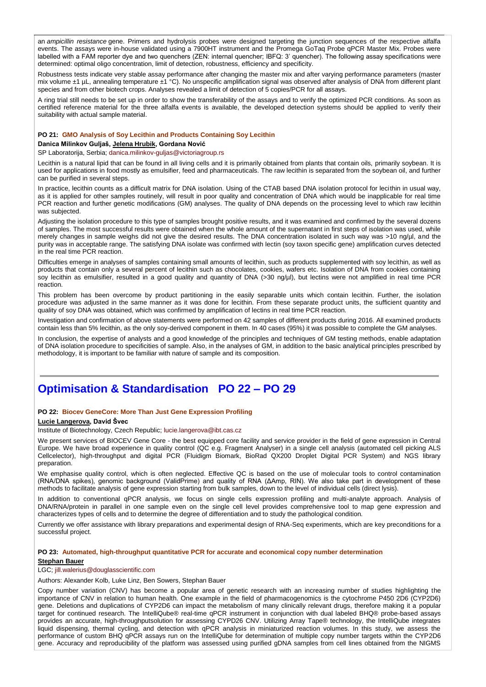an *ampicillin resistance* gene. Primers and hydrolysis probes were designed targeting the junction sequences of the respective alfalfa events. The assays were in-house validated using a 7900HT instrument and the Promega GoTaq Probe qPCR Master Mix. Probes were labelled with a FAM reporter dye and two quenchers (ZEN: internal quencher; IBFQ: 3' quencher). The following assay specifications were determined: optimal oligo concentration, limit of detection, robustness, efficiency and specificity.

Robustness tests indicate very stable assay performance after changing the master mix and after varying performance parameters (master mix volume ±1 µL, annealing temperature ±1 °C). No unspecific amplification signal was observed after analysis of DNA from different plant species and from other biotech crops. Analyses revealed a limit of detection of 5 copies/PCR for all assays.

A ring trial still needs to be set up in order to show the transferability of the assays and to verify the optimized PCR conditions. As soon as certified reference material for the three alfalfa events is available, the developed detection systems should be applied to verify their suitability with actual sample material.

#### **PO 21: GMO Analysis of Soy Lecithin and Products Containing Soy Lecithin**

**Danica Milinkov Guljaš, Jelena Hrubik, Gordana Nović**

SP Laboratorija, Serbia; [danica.milinkov-guljas@victoriagroup.rs](mailto:danica.milinkov-guljas@victoriagroup.rs)

Lecithin is a natural lipid that can be found in all living cells and it is primarily obtained from plants that contain oils, primarily soybean. It is used for applications in food mostly as emulsifier, feed and pharmaceuticals. The raw lecithin is separated from the soybean oil, and further can be purified in several steps.

In practice, lecithin counts as a difficult matrix for DNA isolation. Using of the CTAB based DNA isolation protocol for lecithin in usual way, as it is applied for other samples routinely, will result in poor quality and concentration of DNA which would be inapplicable for real time PCR reaction and further genetic modifications (GM) analyses. The quality of DNA depends on the processing level to which raw lecithin was subjected.

Adjusting the isolation procedure to this type of samples brought positive results, and it was examined and confirmed by the several dozens of samples. The most successful results were obtained when the whole amount of the supernatant in first steps of isolation was used, while merely changes in sample weighs did not give the desired results. The DNA concentration isolated in such way was >10 ng/µl, and the purity was in acceptable range. The satisfying DNA isolate was confirmed with lectin (soy taxon specific gene) amplification curves detected in the real time PCR reaction.

Difficulties emerge in analyses of samples containing small amounts of lecithin, such as products supplemented with soy lecithin, as well as products that contain only a several percent of lecithin such as chocolates, cookies, wafers etc. Isolation of DNA from cookies containing soy lecithin as emulsifier, resulted in a good quality and quantity of DNA (>30 ng/µl), but lectins were not amplified in real time PCR reaction.

This problem has been overcome by product partitioning in the easily separable units which contain lecithin. Further, the isolation procedure was adjusted in the same manner as it was done for lecithin. From these separate product units, the sufficient quantity and quality of soy DNA was obtained, which was confirmed by amplification of lectins in real time PCR reaction.

Investigation and confirmation of above statements were performed on 42 samples of different products during 2016. All examined products contain less than 5% lecithin, as the only soy-derived component in them. In 40 cases (95%) it was possible to complete the GM analyses.

In conclusion, the expertise of analysts and a good knowledge of the principles and techniques of GM testing methods, enable adaptation of DNA isolation procedure to specificities of sample. Also, in the analyses of GM, in addition to the basic analytical principles prescribed by methodology, it is important to be familiar with nature of sample and its composition.

## **Optimisation & Standardisation PO 22 – PO 29**

#### **PO 22: Biocev GeneCore: More Than Just Gene Expression Profiling**

## **Lucie Langerova, David Švec**

Institute of Biotechnology, Czech Republic; [lucie.langerova@ibt.cas.cz](mailto:lucie.langerova@ibt.cas.cz)

We present services of BIOCEV Gene Core - the best equipped core facility and service provider in the field of gene expression in Central Europe. We have broad experience in quality control (QC e.g. Fragment Analyser) in a single cell analysis (automated cell picking ALS Cellcelector), high-throughput and digital PCR (Fluidigm Biomark, BioRad QX200 Droplet Digital PCR System) and NGS library preparation.

We emphasise quality control, which is often neglected. Effective QC is based on the use of molecular tools to control contamination (RNA/DNA spikes), genomic background (ValidPrime) and quality of RNA (ΔAmp, RIN). We also take part in development of these methods to facilitate analysis of gene expression starting from bulk samples, down to the level of individual cells (direct lysis).

In addition to conventional qPCR analysis, we focus on single cells expression profiling and multi-analyte approach. Analysis of DNA/RNA/protein in parallel in one sample even on the single cell level provides comprehensive tool to map gene expression and characterizes types of cells and to determine the degree of differentiation and to study the pathological condition.

Currently we offer assistance with library preparations and experimental design of RNA-Seq experiments, which are key preconditions for a successful project.

#### **PO 23: Automated, high-throughput quantitative PCR for accurate and economical copy number determination Stephan Bauer**

#### LGC; [jill.walerius@douglasscientific.com](mailto:jill.walerius@douglasscientific.com)

Authors: Alexander Kolb, Luke Linz, Ben Sowers, Stephan Bauer

Copy number variation (CNV) has become a popular area of genetic research with an increasing number of studies highlighting the importance of CNV in relation to human health. One example in the field of pharmacogenomics is the cytochrome P450 2D6 (CYP2D6) gene. Deletions and duplications of CYP2D6 can impact the metabolism of many clinically relevant drugs, therefore making it a popular target for continued research. The IntelliQube® real-time qPCR instrument in conjunction with dual labeled BHQ® probe-based assays provides an accurate, high-throughputsolution for assessing CYPD26 CNV. Utilizing Array Tape® technology, the IntelliQube integrates liquid dispensing, thermal cycling, and detection with qPCR analysis in miniaturized reaction volumes. In this study, we assess the performance of custom BHQ qPCR assays run on the IntelliQube for determination of multiple copy number targets within the CYP2D6 gene. Accuracy and reproducibility of the platform was assessed using purified gDNA samples from cell lines obtained from the NIGMS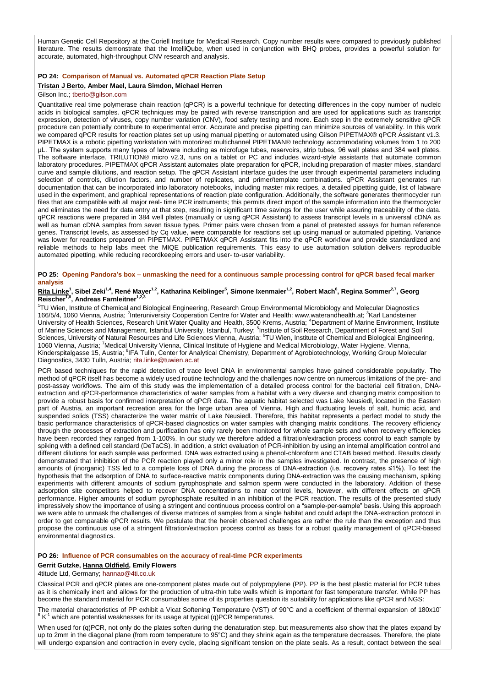Human Genetic Cell Repository at the Coriell Institute for Medical Research. Copy number results were compared to previously published literature. The results demonstrate that the IntelliQube, when used in conjunction with BHQ probes, provides a powerful solution for accurate, automated, high-throughput CNV research and analysis.

## **PO 24: Comparison of Manual vs. Automated qPCR Reaction Plate Setup**

#### **Tristan J Berto, Amber Mael, Laura Simdon, Michael Herren** Gilson Inc.; [tberto@gilson.com](mailto:tberto@gilson.com)

Quantitative real time polymerase chain reaction (qPCR) is a powerful technique for detecting differences in the copy number of nucleic acids in biological samples. qPCR techniques may be paired with reverse transcription and are used for applications such as transcript expression, detection of viruses, copy number variation (CNV), food safety testing and more. Each step in the extremely sensitive qPCR procedure can potentially contribute to experimental error. Accurate and precise pipetting can minimize sources of variability. In this work we compared qPCR results for reaction plates set up using manual pipetting or automated using Gilson PIPETMAX® qPCR Assistant v1.3. PIPETMAX is a robotic pipetting workstation with motorized multichannel PIPETMAN® technology accommodating volumes from 1 to 200 μL. The system supports many types of labware including as microfuge tubes, reservoirs, strip tubes, 96 well plates and 384 well plates. The software interface, TRILUTION® micro v2.3, runs on a tablet or PC and includes wizard-style assistants that automate common laboratory procedures. PIPETMAX qPCR Assistant automates plate preparation for qPCR, including preparation of master mixes, standard curve and sample dilutions, and reaction setup. The qPCR Assistant interface guides the user through experimental parameters including selection of controls, dilution factors, and number of replicates, and primer/template combinations. qPCR Assistant generates run documentation that can be incorporated into laboratory notebooks, including master mix recipes, a detailed pipetting guide, list of labware used in the experiment, and graphical representations of reaction plate configuration. Additionally, the software generates thermocycler run files that are compatible with all major real- time PCR instruments; this permits direct import of the sample information into the thermocycler and eliminates the need for data entry at that step, resulting in significant time savings for the user while assuring traceability of the data. qPCR reactions were prepared in 384 well plates (manually or using qPCR Assistant) to assess transcript levels in a universal cDNA as well as human cDNA samples from seven tissue types. Primer pairs were chosen from a panel of pretested assays for human reference genes. Transcript levels, as assessed by Cq value, were comparable for reactions set up using manual or automated pipetting. Variance was lower for reactions prepared on PIPETMAX. PIPETMAX qPCR Assistant fits into the qPCR workflow and provide standardized and reliable methods to help labs meet the MIQE publication requirements. This easy to use automation solution delivers reproducible automated pipetting, while reducing recordkeeping errors and user- to-user variability.

## **PO 25: Opening Pandora's box – unmasking the need for a continuous sample processing control for qPCR based fecal marker analysis**

#### <u>Rita Linke</u><sup>1</sup>, Sibel Zeki<sup>1,4</sup>, René Mayer<sup>1,2</sup>, Katharina Keiblinger<sup>5</sup>, Simone Ixenmaier<sup>1,2</sup>, Robert Mach<sup>6</sup>, Regina Sommer<sup>2,7</sup>, Georg **Reischer1,8, Andreas Farnleitner1,2,3**

1 TU Wien, Institute of Chemical and Biological Engineering, Research Group Environmental Microbiology and Molecular Diagnostics 166/5/4, 1060 Vienna, Austria; <sup>2</sup>Interuniversity Cooperation Centre for Water and Health: www.waterandhealth.at; <sup>3</sup>Karl Landsteiner University of Health Sciences, Research Unit Water Quality and Health, 3500 Krems, Austria; <sup>4</sup>Department of Marine Environment, Institute of Marine Sciences and Management, Istanbul University, Istanbul, Turkey; <sup>5</sup>Institute of Soil Research, Department of Forest and Soil Sciences, University of Natural Resources and Life Sciences Vienna, Austria; <sup>6</sup>TU Wien, Institute of Chemical and Biological Engineering, 1060 Vienna, Austria; <sup>7</sup>Medical University Vienna, Clinical Institute of Hygiene and Medical Microbiology, Water Hygiene, Vienna, Kinderspitalgasse 15, Austria; <sup>8</sup>IFA Tulln, Center for Analytical Chemistry, Department of Agrobiotechnology, Working Group Molecular Diagnostics, 3430 Tulln, Austria; [rita.linke@tuwien.ac.at](mailto:rita.linke@tuwien.ac.at)

PCR based techniques for the rapid detection of trace level DNA in environmental samples have gained considerable popularity. The method of qPCR itself has become a widely used routine technology and the challenges now centre on numerous limitations of the pre- and post-assay workflows. The aim of this study was the implementation of a detailed process control for the bacterial cell filtration, DNAextraction and qPCR-performance characteristics of water samples from a habitat with a very diverse and changing matrix composition to provide a robust basis for confirmed interpretation of qPCR data. The aquatic habitat selected was Lake Neusiedl, located in the Eastern part of Austria, an important recreation area for the large urban area of Vienna. High and fluctuating levels of salt, humic acid, and suspended solids (TSS) characterize the water matrix of Lake Neusiedl. Therefore, this habitat represents a perfect model to study the basic performance characteristics of qPCR-based diagnostics on water samples with changing matrix conditions. The recovery efficiency through the processes of extraction and purification has only rarely been monitored for whole sample sets and when recovery efficiencies have been recorded they ranged from 1-100%. In our study we therefore added a filtration/extraction process control to each sample by spiking with a defined cell standard (DeTaCS). In addition, a strict evaluation of PCR-inhibition by using an internal amplification control and different dilutions for each sample was performed. DNA was extracted using a phenol-chloroform and CTAB based method. Results clearly demonstrated that inhibition of the PCR reaction played only a minor role in the samples investigated. In contrast, the presence of high amounts of (inorganic) TSS led to a complete loss of DNA during the process of DNA-extraction (i.e. recovery rates ≤1%). To test the hypothesis that the adsorption of DNA to surface-reactive matrix components during DNA-extraction was the causing mechanism, spiking experiments with different amounts of sodium pyrophosphate and salmon sperm were conducted in the laboratory. Addition of these adsorption site competitors helped to recover DNA concentrations to near control levels, however, with different effects on qPCR performance. Higher amounts of sodium pyrophosphate resulted in an inhibition of the PCR reaction. The results of the presented study impressively show the importance of using a stringent and continuous process control on a "sample-per-sample" basis. Using this approach we were able to unmask the challenges of diverse matrices of samples from a single habitat and could adapt the DNA-extraction protocol in order to get comparable qPCR results. We postulate that the herein observed challenges are rather the rule than the exception and thus propose the continuous use of a stringent filtration/extraction process control as basis for a robust quality management of qPCR-based environmental diagnostics.

#### **PO 26: Influence of PCR consumables on the accuracy of real-time PCR experiments**

## **Gerrit Gutzke, Hanna Oldfield, Emily Flowers**

### 4titude Ltd, Germany; [hannao@4ti.co.uk](mailto:hannao@4ti.co.uk)

Classical PCR and qPCR plates are one-component plates made out of polypropylene (PP). PP is the best plastic material for PCR tubes as it is chemically inert and allows for the production of ultra-thin tube walls which is important for fast temperature transfer. While PP has become the standard material for PCR consumables some of its properties question its suitability for applications like qPCR and NGS:

The material characteristics of PP exhibit a Vicat Softening Temperature (VST) of 90°C and a coefficient of thermal expansion of 180x10<sup>-</sup>  $6$  K<sup>-1</sup> which are potential weaknesses for its usage at typical (q)PCR temperatures.

When used for (q)PCR, not only do the plates soften during the denaturation step, but measurements also show that the plates expand by up to 2mm in the diagonal plane (from room temperature to 95°C) and they shrink again as the temperature decreases. Therefore, the plate will undergo expansion and contraction in every cycle, placing significant tension on the plate seals. As a result, contact between the seal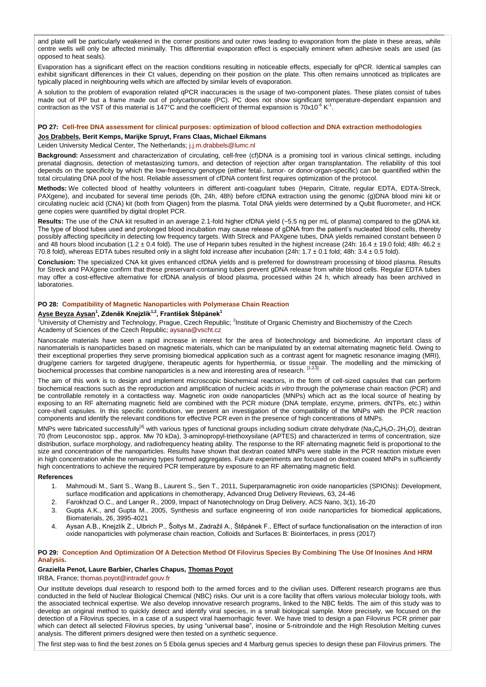and plate will be particularly weakened in the corner positions and outer rows leading to evaporation from the plate in these areas, while centre wells will only be affected minimally. This differential evaporation effect is especially eminent when adhesive seals are used (as opposed to heat seals).

Evaporation has a significant effect on the reaction conditions resulting in noticeable effects, especially for qPCR. Identical samples can exhibit significant differences in their Ct values, depending on their position on the plate. This often remains unnoticed as triplicates are typically placed in neighbouring wells which are affected by similar levels of evaporation.

A solution to the problem of evaporation related qPCR inaccuracies is the usage of two-component plates. These plates consist of tubes made out of PP but a frame made out of polycarbonate (PC). PC does not show significant temperature-dependant expansion and contraction as the VST of this material is 147°C and the coefficient of thermal expansion is 70x10<sup>-6</sup> K<sup>-1</sup>.

#### **PO 27: Cell-free DNA assessment for clinical purposes: optimization of blood collection and DNA extraction methodologies**

## **Jos Drabbels, Berit Kemps, Marijke Spruyt, Frans Claas, Michael Eikmans**

Leiden University Medical Center, The Netherlands; [j.j.m.drabbels@lumc.nl](mailto:j.j.m.drabbels@lumc.nl)

**Background:** Assessment and characterization of circulating, cell-free (cf)DNA is a promising tool in various clinical settings, including prenatal diagnosis, detection of metastasizing tumors, and detection of rejection after organ transplantation. The reliability of this tool depends on the specificity by which the low-frequency genotype (either fetal-, tumor- or donor-organ-specific) can be quantified within the total circulating DNA pool of the host. Reliable assessment of cfDNA content first requires optimization of the protocol.

**Methods:** We collected blood of healthy volunteers in different anti-coagulant tubes (Heparin, Citrate, regular EDTA, EDTA-Streck, PAXgene), and incubated for several time periods (0h, 24h, 48h) before cfDNA extraction using the genomic (g)DNA blood mini kit or circulating nucleic acid (CNA) kit (both from Qiagen) from the plasma. Total DNA yields were determined by a Qubit fluorometer, and HCK gene copies were quantified by digital droplet PCR.

**Results:** The use of the CNA kit resulted in an average 2.1-fold higher cfDNA yield (~5.5 ng per mL of plasma) compared to the gDNA kit. The type of blood tubes used and prolonged blood incubation may cause release of gDNA from the patient's nucleated blood cells, thereby possibly affecting specificity in detecting low frequency targets. With Streck and PAXgene tubes, DNA yields remained constant between 0 and 48 hours blood incubation (1.2  $\pm$  0.4 fold). The use of Heparin tubes resulted in the highest increase (24h: 16.4  $\pm$  19.0 fold; 48h: 46.2  $\pm$ 70.8 fold), whereas EDTA tubes resulted only in a slight fold increase after incubation (24h:  $1.7 \pm 0.1$  fold; 48h:  $3.4 \pm 0.5$  fold).

**Conclusion:** The specialized CNA kit gives enhanced cfDNA yields and is preferred for downstream processing of blood plasma. Results for Streck and PAXgene confirm that these preservant-containing tubes prevent gDNA release from white blood cells. Regular EDTA tubes may offer a cost-effective alternative for cfDNA analysis of blood plasma, processed within 24 h, which already has been archived in laboratories.

#### **PO 28: Compatibility of Magnetic Nanoparticles with Polymerase Chain Reaction**

### **Ayse Beyza Aysan<sup>1</sup> , Zdeněk Knejzlík1,2, František Štěpánek<sup>1</sup>**

<sup>1</sup>University of Chemistry and Technology, Prague, Czech Republic; <sup>2</sup>Institute of Organic Chemistry and Biochemistry of the Czech Academy of Sciences of the Czech Republic; [aysana@vscht.cz](mailto:aysana@vscht.cz)

Nanoscale materials have seen a rapid increase in interest for the area of biotechnology and biomedicine. An important class of nanomaterials is nanoparticles based on magnetic materials, which can be manipulated by an external alternating magnetic field. Owing to their exceptional properties they serve promising biomedical application such as a contrast agent for magnetic resonance imaging (MRI), drug/gene carriers for targeted drug/gene, therapeutic agents for hyperthermia, or tissue repair. The modelling and the mimicking of<br>biochemical processes that combine nanoparticles is a new and interesting area of researc

The aim of this work is to design and implement microscopic biochemical reactors, in the form of cell-sized capsules that can perform biochemical reactions such as the reproduction and amplification of nucleic acids *in vitro* through the polymerase chain reaction (PCR) and be controllable remotely in a contactless way. Magnetic iron oxide nanoparticles (MNPs) which act as the local source of heating by exposing to an RF alternating magnetic field are combined with the PCR mixture (DNA template, enzyme, primers, dNTPs, etc.) within core-shell capsules. In this specific contribution, we present an investigation of the compatibility of the MNPs with the PCR reaction components and identify the relevant conditions for effective PCR even in the presence of high concentrations of MNPs.

MNPs were fabricated successfully<sup>[4]</sup> with various types of functional groups including sodium citrate dehydrate (Na<sub>3</sub>C<sub>6</sub>H<sub>5</sub>O<sub>7</sub>.2H<sub>2</sub>O), dextran 70 (from Leuconostoc spp., approx. Mw 70 kDa), 3-aminopropyl-triethoxysilane (APTES) and characterized in terms of concentration, size distribution, surface morphology, and radiofrequency heating ability. The response to the RF alternating magnetic field is proportional to the size and concentration of the nanoparticles. Results have shown that dextran coated MNPs were stable in the PCR reaction mixture even in high concentration while the remaining types formed aggregates. Future experiments are focused on dextran coated MNPs in sufficiently high concentrations to achieve the required PCR temperature by exposure to an RF alternating magnetic field.

#### **References**

- 1. Mahmoudi M., Sant S., Wang B., Laurent S., Sen T., 2011, Superparamagnetic iron oxide nanoparticles (SPIONs): Development, surface modification and applications in chemotherapy, Advanced Drug Delivery Reviews, 63, 24-46
- 2. Farokhzad O.C., and Langer R., 2009, Impact of Nanotechnology on Drug Delivery, ACS Nano, 3(1), 16-20
- 3. Gupta A.K., and Gupta M., 2005, Synthesis and surface engineering of iron oxide nanoparticles for biomedical applications, Biomaterials, 26, 3995-4021
- 4. Aysan A.B., Knejzlík Z., Ulbrich P., Šoltys M., Zadražil A., Štěpánek F., Effect of surface functionalisation on the interaction of iron oxide nanoparticles with polymerase chain reaction, Colloids and Surfaces B: Biointerfaces, in press (2017)

## **PO 29: Conception And Optimization Of A Detection Method Of Filovirus Species By Combining The Use Of Inosines And HRM Analysis.**

## **Graziella Penot, Laure Barbier, Charles Chapus, Thomas Poyot**

IRBA, France; [thomas.poyot@intradef.gouv.fr](mailto:thomas.poyot@intradef.gouv.fr)

Our institute develops dual research to respond both to the armed forces and to the civilian uses. Different research programs are thus conducted in the field of Nuclear Biological Chemical (NBC) risks. Our unit is a core facility that offers various molecular biology tools, with the associated technical expertise. We also develop innovative research programs, linked to the NBC fields. The aim of this study was to develop an original method to quickly detect and identify viral species, in a small biological sample. More precisely, we focused on the detection of a Filovirus species, in a case of a suspect viral haemorrhagic fever. We have tried to design a pan Filovirus PCR primer pair which can detect all selected Filovirus species, by using "universal base", inosine or 5-nitroindole and the High Resolution Melting curves analysis. The different primers designed were then tested on a synthetic sequence.

The first step was to find the best zones on 5 Ebola genus species and 4 Marburg genus species to design these pan Filovirus primers. The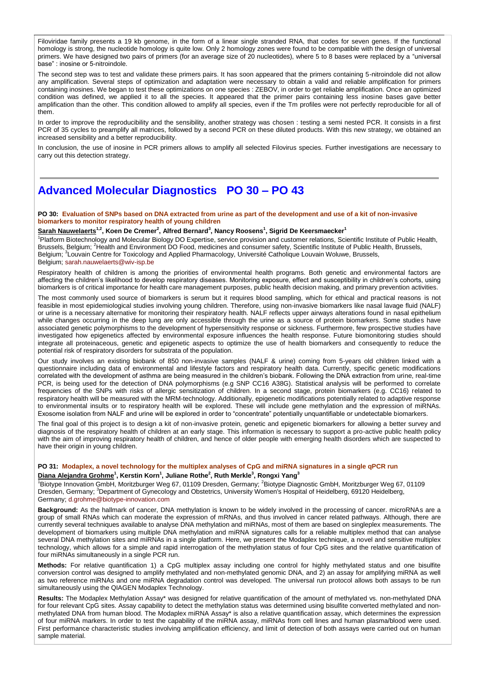Filoviridae family presents a 19 kb genome, in the form of a linear single stranded RNA, that codes for seven genes. If the functional homology is strong, the nucleotide homology is quite low. Only 2 homology zones were found to be compatible with the design of universal primers. We have designed two pairs of primers (for an average size of 20 nucleotides), where 5 to 8 bases were replaced by a "universal base" : inosine or 5-nitroindole.

The second step was to test and validate these primers pairs. It has soon appeared that the primers containing 5-nitroindole did not allow any amplification. Several steps of optimization and adaptation were necessary to obtain a valid and reliable amplification for primers containing inosines. We began to test these optimizations on one species : ZEBOV, in order to get reliable amplification. Once an optimized condition was defined, we applied it to all the species. It appeared that the primer pairs containing less inosine bases gave better amplification than the other. This condition allowed to amplify all species, even if the Tm profiles were not perfectly reproducible for all of them.

In order to improve the reproducibility and the sensibility, another strategy was chosen : testing a semi nested PCR. It consists in a first PCR of 35 cycles to preamplify all matrices, followed by a second PCR on these diluted products. With this new strategy, we obtained an increased sensibility and a better reproducibility.

In conclusion, the use of inosine in PCR primers allows to amplify all selected Filovirus species. Further investigations are necessary to carry out this detection strategy.

## **Advanced Molecular Diagnostics PO 30 – PO 43**

**PO 30: Evaluation of SNPs based on DNA extracted from urine as part of the development and use of a kit of non-invasive biomarkers to monitor respiratory health of young children**

**Sarah Nauwelaerts1,2, Koen De Cremer<sup>2</sup> , Alfred Bernard<sup>3</sup> , Nancy Roosens<sup>1</sup> , Sigrid De Keersmaecker<sup>1</sup>**

<sup>1</sup>Platform Biotechnology and Molecular Biology DO Expertise, service provision and customer relations, Scientific Institute of Public Health, Brussels, Belgium; <sup>2</sup>Health and Environment DO Food, medicines and consumer safety, Scientific Institute of Public Health, Brussels, Belgium; <sup>3</sup>Louvain Centre for Toxicology and Applied Pharmacology, Université Catholique Louvain Woluwe, Brussels, Belgium; [sarah.nauwelaerts@wiv-isp.be](mailto:sarah.nauwelaerts@wiv-isp.be)

Respiratory health of children is among the priorities of environmental health programs. Both genetic and environmental factors are affecting the children's likelihood to develop respiratory diseases. Monitoring exposure, effect and susceptibility in children's cohorts, using biomarkers is of critical importance for health care management purposes, public health decision making, and primary prevention activities.

The most commonly used source of biomarkers is serum but it requires blood sampling, which for ethical and practical reasons is not feasible in most epidemiological studies involving young children. Therefore, using non-invasive biomarkers like nasal lavage fluid (NALF) or urine is a necessary alternative for monitoring their respiratory health. NALF reflects upper airways alterations found in nasal epithelium while changes occurring in the deep lung are only accessible through the urine as a source of protein biomarkers. Some studies have associated genetic polymorphisms to the development of hypersensitivity response or sickness. Furthermore, few prospective studies have investigated how epigenetics affected by environmental exposure influences the health response. Future biomonitoring studies should integrate all proteinaceous, genetic and epigenetic aspects to optimize the use of health biomarkers and consequently to reduce the potential risk of respiratory disorders for substrata of the population.

Our study involves an existing biobank of 850 non-invasive samples (NALF & urine) coming from 5-years old children linked with a questionnaire including data of environmental and lifestyle factors and respiratory health data. Currently, specific genetic modifications correlated with the development of asthma are being measured in the children's biobank. Following the DNA extraction from urine, real-time PCR, is being used for the detection of DNA polymorphisms (e.g SNP CC16 A38G). Statistical analysis will be performed to correlate frequencies of the SNPs with risks of allergic sensitization of children. In a second stage, protein biomarkers (e.g. CC16) related to respiratory health will be measured with the MRM-technology. Additionally, epigenetic modifications potentially related to adaptive response to environmental insults or to respiratory health will be explored. These will include gene methylation and the expression of miRNAs. Exosome isolation from NALF and urine will be explored in order to "concentrate" potentially unquantifiable or undetectable biomarkers.

The final goal of this project is to design a kit of non-invasive protein, genetic and epigenetic biomarkers for allowing a better survey and diagnosis of the respiratory health of children at an early stage. This information is necessary to support a pro-active public health policy with the aim of improving respiratory health of children, and hence of older people with emerging health disorders which are suspected to have their origin in young children.

#### **PO 31: Modaplex, a novel technology for the multiplex analyses of CpG and miRNA signatures in a single qPCR run**

## **Diana Alejandra Grohme<sup>1</sup> , Kerstin Korn<sup>1</sup> , Juliane Rothe<sup>2</sup> , Ruth Merkle<sup>3</sup> , Rongxi Yang<sup>3</sup>**

<sup>1</sup>Biotype Innovation GmbH, Moritzburger Weg 67, 01109 Dresden, Germany; <sup>2</sup>Biotype Diagnostic GmbH, Moritzburger Weg 67, 01109 Dresden, Germany; <sup>3</sup>Department of Gynecology and Obstetrics, University Women's Hospital of Heidelberg, 69120 Heidelberg, Germany; [d.grohme@biotype-innovation.com](mailto:d.grohme@biotype-innovation.com)

**Background:** As the hallmark of cancer, DNA methylation is known to be widely involved in the processing of cancer. microRNAs are a group of small RNAs which can moderate the expression of mRNAs, and thus involved in cancer related pathways. Although, there are currently several techniques available to analyse DNA methylation and miRNAs, most of them are based on singleplex measurements. The development of biomarkers using multiple DNA methylation and miRNA signatures calls for a reliable multiplex method that can analyse several DNA methylation sites and miRNAs in a single platform. Here, we present the Modaplex technique, a novel and sensitive multiplex technology, which allows for a simple and rapid interrogation of the methylation status of four CpG sites and the relative quantification of four miRNAs simultaneously in a single PCR run.

**Methods:** For relative quantification 1) a CpG multiplex assay including one control for highly methylated status and one bisulfite conversion control was designed to amplify methylated and non-methylated genomic DNA, and 2) an assay for amplifying miRNA as well as two reference miRNAs and one miRNA degradation control was developed. The universal run protocol allows both assays to be run simultaneously using the QIAGEN Modaplex Technology.

**Results:** The Modaplex Methylation Assay\* was designed for relative quantification of the amount of methylated vs. non-methylated DNA for four relevant CpG sites. Assay capability to detect the methylation status was determined using bisulfite converted methylated and nonmethylated DNA from human blood. The Modaplex miRNA Assay\* is also a relative quantification assay, which determines the expression of four miRNA markers. In order to test the capability of the miRNA assay, miRNAs from cell lines and human plasma/blood were used. First performance characteristic studies involving amplification efficiency, and limit of detection of both assays were carried out on human sample material.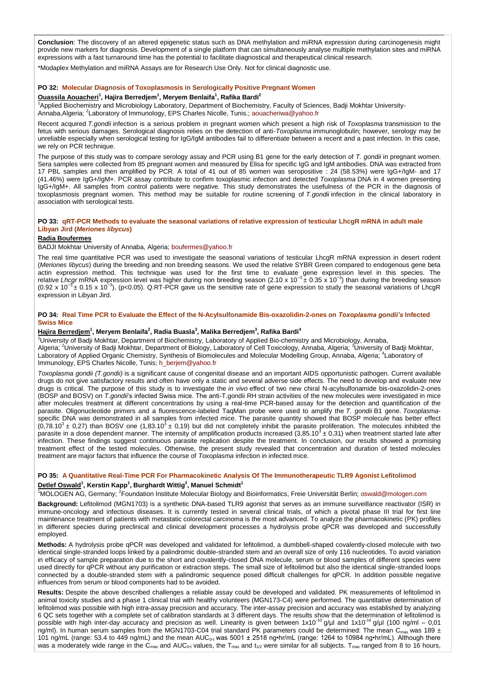**Conclusion**: The discovery of an altered epigenetic status such as DNA methylation and miRNA expression during carcinogenesis might provide new markers for diagnosis. Development of a single platform that can simultaneously analyse multiple methylation sites and miRNA expressions with a fast turnaround time has the potential to facilitate diagnostical and therapeutical clinical research.

\*Modaplex Methylation and miRNA Assays are for Research Use Only. Not for clinical diagnostic use.

#### **PO 32: Molecular Diagnosis of Toxoplasmosis in Serologically Positive Pregnant Women**

#### **Ouassila Aouacheri<sup>1</sup> , Hajira Berredjem<sup>1</sup> , Meryem Benlaifa<sup>1</sup> , Rafika Bardi<sup>2</sup>**

<sup>1</sup>Applied Biochemistry and Microbiology Laboratory, Department of Biochemistry, Faculty of Sciences, Badji Mokhtar UniversityAnnaba, Algeria; <sup>2</sup>Laboratory of Immunology, EPS Charles Nicolle, Tunis.; [aouacheriwa@yahoo.fr](mailto:aouacheriwa@yahoo.fr)

Recent acquired *T.gondii* infection is a serious problem in pregnant women which present a high risk of *Toxoplasma* transmission to the fetus with serious damages. Serological diagnosis relies on the detection of anti-*Toxoplasma* immunoglobulin; however, serology may be unreliable especially when serological testing for IgG/IgM antibodies fail to differentiate between a recent and a past infection. In this case, we rely on PCR technique.

The purpose of this study was to compare serology assay and PCR using B1 gene for the early detection of *T. gondii* in pregnant women. Sera samples were collected from 85 pregnant women and measured by Elisa for specific IgG and IgM antibodies. DNA was extracted from 17 PBL samples and then amplified by PCR. A total of 41 out of 85 women was seropositive : 24 (58.53%) were IgG+/IgM- and 17 (41.46%) were IgG+/IgM+. PCR assay contribute to confirm toxoplasmic infection and detected *Toxoplasma* DNA in 4 women presenting IgG+/IgM+. All samples from control patients were negative. This study demonstrates the usefulness of the PCR in the diagnosis of toxoplasmosis pregnant women. This method may be suitable for routine screening of *T.gondii* infection in the clinical laboratory in association with serological tests.

#### **PO 33: qRT-PCR Methods to evaluate the seasonal variations of relative expression of testicular LhcgR mRNA in adult male Libyan Jird (***Meriones libycus***)**

## **Radia Boufermes**

## BADJI Mokhtar University of Annaba, Algeria; [boufermes@yahoo.fr](mailto:boufermes@yahoo.fr)

The real time quantitative PCR was used to investigate the seasonal variations of testicular LhcgR mRNA expression in desert rodent (*Meriones libycus*) during the breeding and non breeding seasons. We used the relative SYBR Green compared to endogenous gene beta actin expression method. This technique was used for the first time to evaluate gene expression level in this species. The<br>relative LhcgrmRNA expression level was higher during non breeding season (2.10 x 10<sup>-3</sup> ± 0.35 x 1 (0.92 x 10<sup>-3</sup> ± 0.15 x 10<sup>-3</sup>), (p<0.05). Q.RT-PCR gave us the sensitive rate of gene expression to study the seasonal variations of LhcgR expression in Libyan Jird.

#### **PO 34: Real Time PCR to Evaluate the Effect of the N-Acylsulfonamide Bis-oxazolidin-2-ones on** *Toxoplasma gondii's* **Infected Swiss Mice**

#### **Hajira Berredjem<sup>1</sup> , Meryem Benlaifa<sup>2</sup> , Radia Buasla<sup>3</sup> , Malika Berredjem<sup>3</sup> , Rafika Bardi<sup>4</sup>**

1<br><sup>1</sup>University of Badji Mokhtar, Department of Biochemistry, Laboratory of Applied Bio-chemistry and Microbiology, Annaba, Algeria; <sup>2</sup>University of Badji Mokhtar, Department of Biology, Laboratory of Cell Toxicology, Annaba, Algeria; <sup>3</sup>University of Badji Mokhtar, Laboratory of Applied Organic Chemistry, Synthesis of Biomolecules and Molecular Modelling Group, Annaba, Algeria; <sup>4</sup>Laboratory of Immunology, EPS Charles Nicolle, Tunis; [h\\_berjem@yahoo.fr](mailto:h_berjem@yahoo.fr)

*Toxoplasma gondii (T.gondii)* is a significant cause of congenital disease and an important AIDS opportunistic pathogen. Current available drugs do not give satisfactory results and often have only a static and several adverse side effects. The need to develop and evaluate new drugs is critical. The purpose of this study is to investigate the *in vivo* effect of two new chiral N-acylsulfonamide bis-oxazolidin-2-ones (BOSP and BOSV) on *T.gondii*'s infected Swiss mice. The anti-T.gondii RH strain activities of the new molecules were investigated in mice after molecules treatment at different concentrations by using a real-time PCR-based assay for the detection and quantification of the parasite. Oligonucleotide primers and a fluorescence-labeled TaqMan probe were used to amplify the *T. gondii* B1 gene. *Toxoplasma*specific DNA was demonstrated in all samples from infected mice. The parasite quantity showed that BOSP molecule has better effect<br>(0,78.10<sup>3</sup> ± 0,27) than BOSV one (1,83.10<sup>3</sup> ± 0,19) but did not completely inhibit the pa infection. These findings suggest continuous parasite replication despite the treatment. In conclusion, our results showed a promising treatment effect of the tested molecules. Otherwise, the present study revealed that concentration and duration of tested molecules treatment are major factors that influence the course of *Toxoplasma* infection in infected mice.

## **PO 35: A Quantitative Real-Time PCR For Pharmacokinetic Analysis Of The Immunotherapeutic TLR9 Agonist Lefitolimod Detlef Oswald<sup>1</sup> , Kerstin Kapp<sup>1</sup> , Burghardt Wittig<sup>2</sup> , Manuel Schmidt<sup>1</sup>**

<sup>1</sup>MOLOGEN AG, Germany; <sup>2</sup>Foundation Institute Molecular Biology and Bioinformatics, Freie Universität Berlin; [oswald@mologen.com](mailto:oswald@mologen.com)

**Background:** Lefitolimod (MGN1703) is a synthetic DNA-based TLR9 agonist that serves as an immune surveillance reactivator (ISR) in immune-oncology and infectious diseases. It is currently tested in several clinical trials, of which a pivotal phase III trial for first line maintenance treatment of patients with metastatic colorectal carcinoma is the most advanced. To analyze the pharmacokinetic (PK) profiles in different species during preclinical and clinical development processes a hydrolysis probe qPCR was developed and successfully employed.

**Methods:** A hydrolysis probe qPCR was developed and validated for lefitolimod, a dumbbell-shaped covalently-closed molecule with two identical single-stranded loops linked by a palindromic double-stranded stem and an overall size of only 116 nucleotides. To avoid variation in efficacy of sample preparation due to the short and covalently-closed DNA molecule, serum or blood samples of different species were used directly for qPCR without any purification or extraction steps. The small size of lefitolimod but also the identical single-stranded loops connected by a double-stranded stem with a palindromic sequence posed difficult challenges for qPCR. In addition possible negative influences from serum or blood components had to be avoided.

**Results:** Despite the above described challenges a reliable assay could be developed and validated. PK measurements of lefitolimod in animal toxicity studies and a phase 1 clinical trial with healthy volunteers (MGN173-C4) were performed. The quantitative determination of lefitolimod was possible with high intra-assay precision and accuracy. The inter-assay precision and accuracy was established by analyzing 6 QC sets together with a complete set of calibration standards at 3 different days. The results show that the determination of lefitolimod is<br>possible with high inter-day accuracy and precision as well. Linearity is given ng/ml). In human serum samples from the MGN1703-C04 trial standard PK parameters could be determined: The mean C<sub>max</sub> was 189 ± 101 ng/mL (range: 53.4 to 449 ng/mL) and the mean AUC<sub>0-t</sub> was 5001  $\pm$  2518 ng•hr/mL (range: 1264 to 10984 ng•hr/mL). Although there was a moderately wide range in the C<sub>max</sub> and AUC<sub>0-t</sub> values, the T<sub>max</sub> and t<sub>1/2</sub> were similar for all subjects. T<sub>max</sub> ranged from 8 to 16 hours,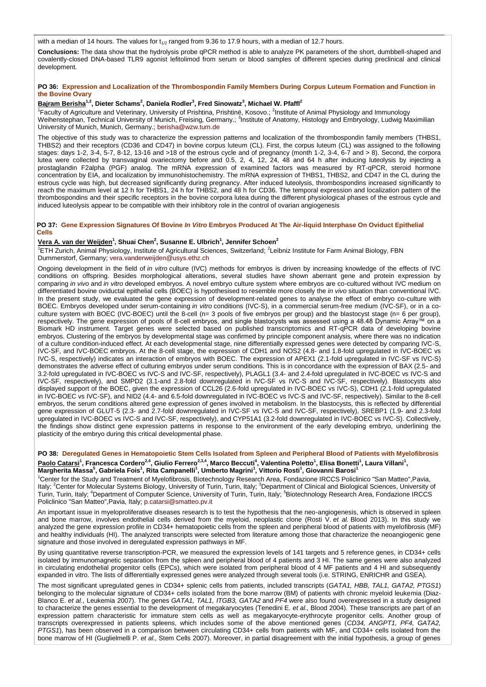with a median of 14 hours. The values for  $t_{1/2}$  ranged from 9.36 to 17.9 hours, with a median of 12.7 hours.

**Conclusions:** The data show that the hydrolysis probe qPCR method is able to analyze PK parameters of the short, dumbbell-shaped and covalently-closed DNA-based TLR9 agonist lefitolimod from serum or blood samples of different species during preclinical and clinical development.

#### **PO 36: Expression and Localization of the Thrombospondin Family Members During Corpus Luteum Formation and Function in the Bovine Ovary**

#### **Bajram Berisha1,2, Dieter Schams<sup>2</sup> , Daniela Rodler<sup>3</sup> , Fred Sinowatz<sup>3</sup> , Michael W. Pfaffl<sup>2</sup>**

<sup>1</sup> Faculty of Agriculture and Veterinary, University of Prishtina, Prishtinë, Kosovo.; <sup>2</sup>Institute of Animal Physiology and Immunology Weihenstephan, Technical University of Munich, Freising, Germany.; <sup>3</sup>Institute of Anatomy, Histology and Embryology, Ludwig Maximilian University of Munich, Munich, Germany.; [berisha@wzw.tum.de](mailto:berisha@wzw.tum.de)

The objective of this study was to characterize the expression patterns and localization of the thrombospondin family members (THBS1, THBS2) and their receptors (CD36 and CD47) in bovine corpus luteum (CL). First, the corpus luteum (CL) was assigned to the following stages: days 1-2, 3-4, 5-7, 8-12, 13-16 and >18 of the estrous cycle and of pregnancy (month 1-2, 3-4, 6-7 and > 8). Second, the corpora lutea were collected by transvaginal ovariectomy before and 0.5, 2, 4, 12, 24, 48 and 64 h after inducing luteolysis by injecting a prostaglandin F2alpha (PGF) analog. The mRNA expression of examined factors was measured by RT-qPCR, steroid hormone concentration by EIA, and localization by immunohistochemistry. The mRNA expression of THBS1, THBS2, and CD47 in the CL during the estrous cycle was high, but decreased significantly during pregnancy. After induced luteolysis, thrombospondins increased significantly to reach the maximum level at 12 h for THBS1, 24 h for THBS2, and 48 h for CD36. The temporal expression and localization pattern of the thrombospondins and their specific receptors in the bovine corpora lutea during the different physiological phases of the estrous cycle and induced luteolysis appear to be compatible with their inhibitory role in the control of ovarian angiogenesis

#### **PO 37: Gene Expression Signatures Of Bovine** *In Vitro* **Embryos Produced At The Air-liquid Interphase On Oviduct Epithelial Cells**

## **Vera A. van der Weijden<sup>1</sup> , Shuai Chen<sup>2</sup> , Susanne E. Ulbrich<sup>1</sup> , Jennifer Schoen<sup>2</sup>**

<sup>1</sup>ETH Zurich, Animal Physiology, Institute of Agricultural Sciences, Switzerland; <sup>2</sup>Leibniz Institute for Farm Animal Biology, FBN Dummerstorf, Germany; [vera.vanderweijden@usys.ethz.ch](mailto:vera.vanderweijden@usys.ethz.ch)

Ongoing development in the field of *in vitro* culture (IVC) methods for embryos is driven by increasing knowledge of the effects of IVC conditions on offspring. Besides morphological alterations, several studies have shown aberrant gene and protein expression by comparing *in vivo* and *in vitro* developed embryos. A novel embryo culture system where embryos are co-cultured without IVC medium on differentiated bovine oviductal epithelial cells (BOEC) is hypothesised to resemble more closely the *in vivo* situation than conventional IVC. In the present study, we evaluated the gene expression of development-related genes to analyse the effect of embryo co-culture with BOEC. Embryos developed under serum-containing *in vitro* conditions (IVC-S), in a commercial serum-free medium (IVC-SF), or in a coculture system with BOEC (IVC-BOEC) until the 8-cell (n= 3 pools of five embryos per group) and the blastocyst stage (n= 6 per group), respectively. The gene expression of pools of 8-cell embryos, and single blastocysts was assessed using a 48.48 Dynamic Array™ on a Biomark HD instrument. Target genes were selected based on published transcriptomics and RT-qPCR data of developing bovine embryos. Clustering of the embryos by developmental stage was confirmed by principle component analysis, where there was no indication of a culture condition-induced effect. At each developmental stage, nine differentially expressed genes were detected by comparing IVC-S, IVC-SF, and IVC-BOEC embryos. At the 8-cell stage, the expression of CDH1 and NOS2 (4.8- and 1.8-fold upregulated in IVC-BOEC vs IVC-S, respectively) indicates an interaction of embryos with BOEC. The expression of APEX1 (2.1-fold upregulated in IVC-SF vs IVC-S) demonstrates the adverse effect of culturing embryos under serum conditions. This is in concordance with the expression of BAX (2.5- and 3.2-fold upregulated in IVC-BOEC vs IVC-S and IVC-SF, respectively), PLAGL1 (3.4- and 2.4-fold upregulated in IVC-BOEC vs IVC-S and IVC-SF, respectively), and SMPD2 (3.1-and 2.8-fold downregulated in IVC-SF vs IVC-S and IVC-SF, respectively). Blastocysts also displayed support of the BOEC, given the expression of CCL26 (2.6-fold upregulated in IVC-BOEC vs IVC-S), CDH1 (2.1-fold upregulated in IVC-BOEC vs IVC-SF), and NID2 (4.4- and 6.5-fold downregulated in IVC-BOEC vs IVC-S and IVC-SF, respectively). Similar to the 8-cell embryos, the serum conditions altered gene expression of genes involved in metabolism. In the blastocysts, this is reflected by differential gene expression of GLUT-5 (2.3- and 2.7-fold downregulated in IVC-SF vs IVC-S and IVC-SF, respectively), SREBP1 (1.9- and 2.3-fold upregulated in IVC-BOEC vs IVC-S and IVC-SF, respectively), and CYP51A1 (3.2-fold downregulated in IVC-BOEC vs IVC-S). Collectively, the findings show distinct gene expression patterns in response to the environment of the early developing embryo, underlining the plasticity of the embryo during this critical developmental phase.

**PO 38: Deregulated Genes in Hematopoietic Stem Cells Isolated from Spleen and Peripheral Blood of Patients with Myelofibrosis** <u>Paolo Catarsi</u><sup>1</sup>, Francesca Cordero<sup>2,4</sup>, Giulio Ferrero<sup>2,3,4</sup>, Marco Beccuti<sup>4</sup>, Valentina Poletto<sup>1</sup>, Elisa Bonetti<sup>1</sup>, Laura Villani<sup>1</sup>,<br>Margherita Massa<sup>5</sup>, Gabriela Fois<sup>1</sup>, Rita Campanelli<sup>1</sup>, Umberto Magrini<sup>1</sup>,

<sup>1</sup>Center for the Study and Treatment of Myelofibrosis, Biotechnology Research Area, Fondazione IRCCS Policlinico "San Matteo",Pavia, Italy; <sup>2</sup>Center for Molecular Systems Biology, University of Turin, Turin, Italy; <sup>3</sup>Department of Clinical and Biological Sciences, University of Turin, Turin, Italy; <sup>4</sup>Department of Computer Science, University of Turin, Turin, Italy; <sup>5</sup>Biotechnology Research Area, Fondazione IRCCS Policlinico "San Matteo",Pavia, Italy; [p.catarsi@smatteo.pv.it](mailto:p.catarsi@smatteo.pv.it)

An important issue in myeloproliferative diseases research is to test the hypothesis that the neo-angiogenesis, which is observed in spleen and bone marrow, involves endothelial cells derived from the myeloid, neoplastic clone (Rosti V. *et al.* Blood 2013). In this study we analyzed the gene expression profile in CD34+ hematopoietic cells from the spleen and peripheral blood of patients with myelofibrosis (MF) and healthy individuals (HI). The analyzed transcripts were selected from literature among those that characterize the neoangiogenic gene signature and those involved in deregulated expression pathways in MF.

By using quantitative reverse transcription-PCR, we measured the expression levels of 141 targets and 5 reference genes, in CD34+ cells isolated by immunomagnetic separation from the spleen and peripheral blood of 4 patients and 3 HI. The same genes were also analyzed in circulating endothelial progenitor cells (EPCs), which were isolated from peripheral blood of 4 MF patients and 4 HI and subsequently expanded in vitro. The lists of differentially expressed genes were analyzed through several tools (i.e. STRING, ENRICHR and GSEA).

The most significant upregulated genes in CD34+ splenic cells from patients, included transcripts (*GATA1, HBB, TAL1, GATA2, PTGS1*) belonging to the molecular signature of CD34+ cells isolated from the bone marrow (BM) of patients with chronic myeloid leukemia (Diaz-Blanco E. *et al.*, Leukemia 2007). The genes *GATA1, TAL1, ITGB3, GATA2* and *PF4* were also found overexpressed in a study designed to characterize the genes essential to the development of megakaryocytes (Tenedini E. *et al.,* Blood 2004). These transcripts are part of an expression pattern characteristic for immature stem cells as well as megakaryocyte-erythrocyte progenitor cells. Another group of transcripts overexpressed in patients spleens, which includes some of the above mentioned genes (*CD34, ANGPT1, PF4, GATA2, PTGS1*), has been observed in a comparison between circulating CD34+ cells from patients with MF, and CD34+ cells isolated from the bone marrow of HI (Guglielmelli P. et al., Stem Cells 2007). Moreover, in partial disagreement with the initial hypothesis, a group of genes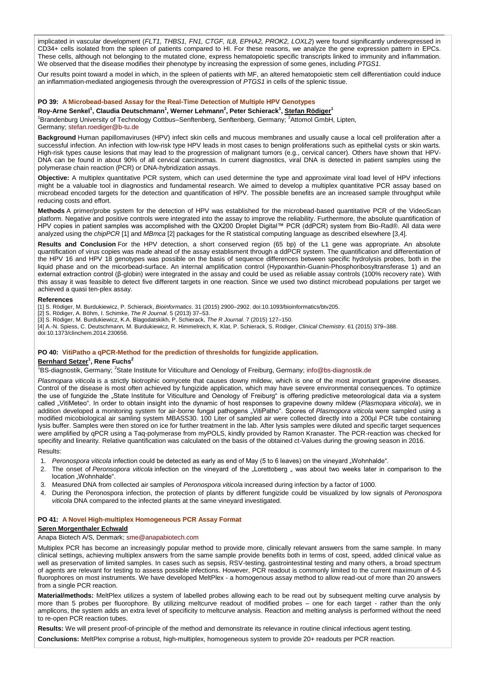implicated in vascular development (*FLT1, THBS1, FN1, CTGF, IL8, EPHA2, PROK2, LOXL2*) were found significantly underexpressed in CD34+ cells isolated from the spleen of patients compared to HI. For these reasons, we analyze the gene expression pattern in EPCs. These cells, although not belonging to the mutated clone, express hematopoietic specific transcripts linked to immunity and inflammation. We observed that the disease modifies their phenotype by increasing the expression of some genes, including *PTGS1*.

Our results point toward a model in which, in the spleen of patients with MF, an altered hematopoietic stem cell differentiation could induce an inflammation-mediated angiogenesis through the overexpression of *PTGS1* in cells of the splenic tissue.

#### **PO 39: A Microbead-based Assay for the Real-Time Detection of Multiple HPV Genotypes**

**Roy-Arne Senkel<sup>1</sup> , Claudia Deutschmann<sup>1</sup> , Werner Lehmann<sup>2</sup> , Peter Schierack<sup>1</sup> , Stefan Rödiger<sup>1</sup>**

<sup>1</sup>Brandenburg University of Technology Cottbus–Senftenberg, Senftenberg, Germany; <sup>2</sup>Attomol GmbH, Lipten,

Germany; [stefan.roediger@b-tu.de](mailto:stefan.roediger@b-tu.de)

**Background** Human papillomaviruses (HPV) infect skin cells and mucous membranes and usually cause a local cell proliferation after a successful infection. An infection with low-risk type HPV leads in most cases to benign proliferations such as epithelial cysts or skin warts. High-risk types cause lesions that may lead to the progression of malignant tumors (e.g., cervical cancer). Others have shown that HPV-DNA can be found in about 90% of all cervical carcinomas. In current diagnostics, viral DNA is detected in patient samples using the polymerase chain reaction (PCR) or DNA-hybridization assays.

**Objective:** A multiplex quantitative PCR system, which can used determine the type and approximate viral load level of HPV infections might be a valuable tool in diagnostics and fundamental research. We aimed to develop a multiplex quantitative PCR assay based on microbead encoded targets for the detection and quantification of HPV. The possible benefits are an increased sample throughput while reducing costs and effort.

**Methods** A primer/probe system for the detection of HPV was established for the microbead-based quantitative PCR of the VideoScan platform. Negative and positive controls were integrated into the assay to improve the reliability. Furthermore, the absolute quantification of HPV copies in patient samples was accomplished with the QX200 Droplet Digital™ PCR (ddPCR) system from Bio-Rad®. All data were analyzed using the *chipPCR* [1] and *MBmca* [2] packages for the R statistical computing language as described elsewhere [3,4].

**Results and Conclusion** For the HPV detection, a short conserved region (65 bp) of the L1 gene was appropriate. An absolute quantification of virus copies was made ahead of the assay establisment through a ddPCR system. The quantification and differentiation of the HPV 16 and HPV 18 genotypes was possible on the basis of sequence differences between specific hydrolysis probes, both in the liquid phase and on the micorbead-surface. An internal amplification control (Hypoxanthin-Guanin-Phosphoribosyltransferase 1) and an external extraction control (β-globin) were integrated in the assay and could be used as reliable assay controls (100% recovery rate). With this assay it was feasible to detect five different targets in one reaction. Since we used two distinct microbead populations per target we achieved a quasi ten-plex assay.

#### **References**

[1] S. Rödiger, M. Burdukiewicz, P. Schierack, *Bioinformatics*. 31 (2015) 2900–2902. doi:10.1093/bioinformatics/btv205.

[2] S. Rödiger, A. Böhm, I. Schimke, *The R Journal*. 5 (2013) 37–53.

[3] S. Rödiger, M. Burdukiewicz, K.A. Blagodatskikh, P. Schierack, *The R Journal*. 7 (2015) 127–150.

[4] A.-N. Spiess, C. Deutschmann, M. Burdukiewicz, R. Himmelreich, K. Klat, P. Schierack, S. Rödiger, *Clinical Chemistry*. 61 (2015) 379–388. doi:10.1373/clinchem.2014.230656.

### **PO 40: VitiPatho a qPCR-Method for the prediction of thresholds for fungizide application.**

## **Bernhard Setzer<sup>1</sup> , Rene Fuchs<sup>2</sup>**

<sup>1</sup>BS-diagnostik, Germany; <sup>2</sup>State Institute for Viticulture and Oenology of Freiburg, Germany; [info@bs-diagnostik.de](mailto:info@bs-diagnostik.de)

*Plasmopara viticola* is a strictly biotrophic oomycete that causes downy mildew, which is one of the most important grapevine diseases. Control of the disease is most often achieved by fungizide application, which may have severe environmental consequences. To optimize the use of fungizide the "State Institute for Viticulture and Oenology of Freiburg" is offering predictive meteorological data via a system called "VitiMeteo". In order to obtain insight into the dynamic of host responses to grapevine downy mildew (Plasmopara viticola), we in addition developed a monitoring system for air-borne fungal pathogens "VitiPatho". Spores of *Plasmopora viticola* were sampled using a modified micobiological air samling system MBASS30. 100 Liter of sampled air were collected directly into a 200µl PCR tube containing lysis buffer. Samples were then stored on ice for further treatment in the lab. After lysis samples were diluted and specific target sequences were amplified by qPCR using a Taq-polymerase from myPOLS, kindly provided by Ramon Kranaster. The PCR-reaction was checked for specifity and linearity. Relative quantification was calculated on the basis of the obtained ct-Values during the growing season in 2016.

Results:

- 1. Peronospora viticola infection could be detected as early as end of May (5 to 6 leaves) on the vineyard "Wohnhalde".
- 2. The onset of *Peronsopora viticola* infection on the vineyard of the "Lorettoberg " was about two weeks later in comparison to the location "Wohnhalde".
- 3. Measured DNA from collected air samples of *Peronospora viticola* increased during infection by a factor of 1000.
- 4. During the Peronospora infection, the protection of plants by different fungizide could be visualized by low signals of *Peronospora viticola* DNA compared to the infected plants at the same vineyard investigated.

## **PO 41: A Novel High-multiplex Homogeneous PCR Assay Format**

#### **Søren Morgenthaler Echwald**

Anapa Biotech A/S, Denmark; [sme@anapabiotech.com](mailto:sme@anapabiotech.com)

Multiplex PCR has become an increasingly popular method to provide more, clinically relevant answers from the same sample. In many clinical settings, achieving multiplex answers from the same sample provide benefits both in terms of cost, speed, added clinical value as well as preservation of limited samples. In cases such as sepsis, RSV-testing, gastrointestinal testing and many others, a broad spectrum of agents are relevant for testing to assess possible infections. However, PCR readout is commonly limited to the current maximum of 4-5 fluorophores on most instruments. We have developed MeltPlex - a homogenous assay method to allow read-out of more than 20 answers from a single PCR reaction.

**Material/methods:** MeltPlex utilizes a system of labelled probes allowing each to be read out by subsequent melting curve analysis by more than 5 probes per fluorophore. By utilizing meltcurve readout of modified probes – one for each target - rather than the only amplicons, the system adds an extra level of specificity to meltcurve analysis. Reaction and melting analysis is performed without the need to re-open PCR reaction tubes.

**Results:** We will present proof-of-principle of the method and demonstrate its relevance in routine clinical infectious agent testing.

**Conclusions:** MeltPlex comprise a robust, high-multiplex, homogeneous system to provide 20+ readouts per PCR reaction.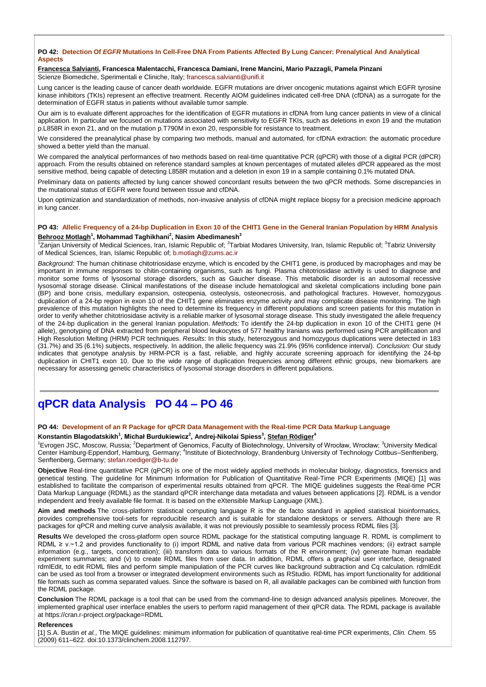## **PO 42: Detection Of** *EGFR* **Mutations In Cell-Free DNA From Patients Affected By Lung Cancer: Prenalytical And Analytical Aspects**

## **Francesca Salvianti, Francesca Malentacchi, Francesca Damiani, Irene Mancini, Mario Pazzagli, Pamela Pinzani**

Scienze Biomediche, Sperimentali e Cliniche, Italy; [francesca.salvianti@unifi.it](mailto:francesca.salvianti@unifi.it)

Lung cancer is the leading cause of cancer death worldwide. EGFR mutations are driver oncogenic mutations against which EGFR tyrosine kinase inhibitors (TKIs) represent an effective treatment. Recently AIOM guidelines indicated cell-free DNA (cfDNA) as a surrogate for the determination of EGFR status in patients without available tumor sample.

Our aim is to evaluate different approaches for the identification of EGFR mutations in cfDNA from lung cancer patients in view of a clinical application. In particular we focused on mutations associated with sensitivity to EGFR TKIs, such as deletions in exon 19 and the mutation p.L858R in exon 21, and on the mutation p.T790M in exon 20, responsible for resistance to treatment.

We considered the preanalytical phase by comparing two methods, manual and automated, for cfDNA extraction: the automatic procedure showed a better yield than the manual.

We compared the analytical performances of two methods based on real-time quantitative PCR (qPCR) with those of a digital PCR (dPCR) approach. From the results obtained on reference standard samples at known percentages of mutated alleles dPCR appeared as the most sensitive method, being capable of detecting L858R mutation and a deletion in exon 19 in a sample containing 0.1% mutated DNA.

Preliminary data on patients affected by lung cancer showed concordant results between the two qPCR methods. Some discrepancies in the mutational status of EGFR were found between tissue and cfDNA.

Upon optimization and standardization of methods, non-invasive analysis of cfDNA might replace biopsy for a precision medicine approach in lung cancer.

## **PO 43: Allelic Frequency of a 24-bp Duplication in Exon 10 of the CHIT1 Gene in the General Iranian Population by HRM Analysis Behrooz Motlagh<sup>1</sup> , Mohammad Taghikhani<sup>2</sup> , Nasim Abedimanesh<sup>3</sup>**

<sup>1</sup>Zanjan University of Medical Sciences, Iran, Islamic Republic of; <sup>2</sup>Tarbiat Modares University, Iran, Islamic Republic of; <sup>3</sup>Tabriz University of Medical Sciences, Iran, Islamic Republic of; [b.motlagh@zums.ac.ir](mailto:b.motlagh@zums.ac.ir)

*Background:* The human chitinase chitotriosidase enzyme, which is encoded by the CHIT1 gene, is produced by macrophages and may be important in immune responses to chitin-containing organisms, such as fungi. Plasma chitotriosidase activity is used to diagnose and monitor some forms of lysosomal storage disorders, such as Gaucher disease. This metabolic disorder is an autosomal recessive lysosomal storage disease. Clinical manifestations of the disease include hematological and skeletal complications including bone pain (BP) and bone crisis, medullary expansion, osteopenia, osteolysis, osteonecrosis, and pathological fractures. However, homozygous duplication of a 24-bp region in exon 10 of the CHIT1 gene eliminates enzyme activity and may complicate disease monitoring. The high prevalence of this mutation highlights the need to determine its frequency in different populations and screen patients for this mutation in order to verify whether chitotriosidase activity is a reliable marker of lysosomal storage disease. This study investigated the allele frequency of the 24-bp duplication in the general Iranian population. *Methods:* To identify the 24-bp duplication in exon 10 of the CHIT1 gene (H allele), genotyping of DNA extracted from peripheral blood leukocytes of 577 healthy Iranians was performed using PCR amplification and High Resolution Melting (HRM) PCR techniques. *Results:* In this study, heterozygous and homozygous duplications were detected in 183 (31.7%) and 35 (6.1%) subjects, respectively. In addition, the allelic frequency was 21.9% (95% confidence interval). *Conclusion:* Our study indicates that genotype analysis by HRM-PCR is a fast, reliable, and highly accurate screening approach for identifying the 24-bp duplication in CHIT1 exon 10. Due to the wide range of duplication frequencies among different ethnic groups, new biomarkers are necessary for assessing genetic characteristics of lysosomal storage disorders in different populations.

# **qPCR data Analysis PO 44 – PO 46**

## **PO 44: Development of an R Package for qPCR Data Management with the Real-time PCR Data Markup Language**

**Konstantin Blagodatskikh<sup>1</sup> , Michał Burdukiewicz<sup>2</sup> , Andrej-Nikolai Spiess<sup>3</sup> , Stefan Rödiger<sup>4</sup>**

<sup>1</sup>Evrogen JSC, Moscow, Russia; <sup>2</sup>Department of Genomics, Faculty of Biotechnology, University of Wrocław, Wrocław; <sup>3</sup>University Medical Center Hamburg-Eppendorf, Hamburg, Germany; <sup>4</sup>Institute of Biotechnology, Brandenburg University of Technology Cottbus–Senftenberg, Senftenberg, Germany; [stefan.roediger@b-tu.de](mailto:stefan.roediger@b-tu.de)

**Objective** Real-time quantitative PCR (qPCR) is one of the most widely applied methods in molecular biology, diagnostics, forensics and genetical testing. The guideline for Minimum Information for Publication of Quantitative Real-Time PCR Experiments (MIQE) [1] was established to facilitate the comparison of experimental results obtained from qPCR. The MIQE guidelines suggests the Real-time PCR Data Markup Language (RDML) as the standard qPCR interchange data metadata and values between applications [2]. RDML is a vendor independent and freely available file format. It is based on the eXtensible Markup Language (XML).

**Aim and methods** The cross-platform statistical computing language R is the de facto standard in applied statistical bioinformatics, provides comprehensive tool-sets for reproducible research and is suitable for standalone desktops or servers. Although there are R packages for qPCR and melting curve analysis available, it was not previously possible to seamlessly process RDML files [3].

**Results** We developed the cross-platform open source RDML package for the statistical computing language R. RDML is compliment to RDML  $\geq$  v.~1.2 and provides functionality to (i) import RDML and native data from various PCR machines vendors; (ii) extract sample information (e.g., targets, concentration); (iii) transform data to various formats of the R environment; (iv) generate human readable experiment summaries; and (v) to create RDML files from user data. In addition, RDML offers a graphical user interface, designated rdmlEdit, to edit RDML files and perform simple manipulation of the PCR curves like background subtraction and Cq calculation. rdmlEdit can be used as tool from a browser or integrated development environments such as RStudio. RDML has import functionality for additional file formats such as comma separated values. Since the software is based on R, all available packages can be combined with function from the RDML package.

**Conclusion** The RDML package is a tool that can be used from the command-line to design advanced analysis pipelines. Moreover, the implemented graphical user interface enables the users to perform rapid management of their qPCR data. The RDML package is available at https://cran.r-project.org/package=RDML

#### **References**

[1] S.A. Bustin *et al.*, The MIQE guidelines: minimum information for publication of quantitative real-time PCR experiments, *Clin. Chem.* 55 (2009) 611–622. doi:10.1373/clinchem.2008.112797.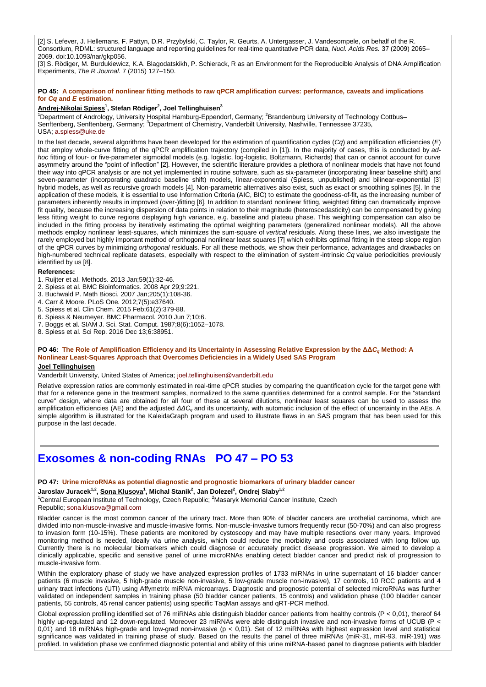[2] S. Lefever, J. Hellemans, F. Pattyn, D.R. Przybylski, C. Taylor, R. Geurts, A. Untergasser, J. Vandesompele, on behalf of the R. Consortium, RDML: structured language and reporting guidelines for real-time quantitative PCR data, *Nucl. Acids Res.* 37 (2009) 2065– 2069. doi:10.1093/nar/gkp056.

[3] S. Rödiger, M. Burdukiewicz, K.A. Blagodatskikh, P. Schierack, R as an Environment for the Reproducible Analysis of DNA Amplification Experiments, *The R Journal.* 7 (2015) 127–150.

#### **PO 45: A comparison of nonlinear fitting methods to raw qPCR amplification curves: performance, caveats and implications for** *Cq* **and** *E* **estimation.**

#### **Andrej-Nikolai Spiess<sup>1</sup> , Stefan Rödiger<sup>2</sup> , Joel Tellinghuisen<sup>3</sup>**

<sup>1</sup>Department of Andrology, University Hospital Hamburg-Eppendorf, Germany; <sup>2</sup>Brandenburg University of Technology Cottbus– Senftenberg, Senftenberg, Germany; <sup>3</sup>Department of Chemistry, Vanderbilt University, Nashville, Tennessee 37235, USA; [a.spiess@uke.de](mailto:a.spiess@uke.de)

In the last decade, several algorithms have been developed for the estimation of quantification cycles (*Cq*) and amplification efficiencies (*E*) that employ whole-curve fitting of the qPCR amplification trajectory (compiled in [1]). In the majority of cases, this is conducted by *adhoc* fitting of four- or five-parameter sigmoidal models (e.g. logistic, log-logistic, Boltzmann, Richards) that can or cannot account for curve asymmetry around the "point of inflection" [2]. However, the scientific literature provides a plethora of nonlinear models that have not found their way into qPCR analysis or are not yet implemented in routine software, such as six-parameter (incorporating linear baseline shift) and seven-parameter (incorporating quadratic baseline shift) models, linear-exponential (Spiess, unpublished) and bilinear-exponential [3] hybrid models, as well as recursive growth models [4]. Non-parametric alternatives also exist, such as exact or smoothing splines [5]. In the application of these models, it is essential to use Information Criteria (AIC, BIC) to estimate the goodness-of-fit, as the increasing number of parameters inherently results in improved (over-)fitting [6]. In addition to standard nonlinear fitting, weighted fitting can dramatically improve fit quality, because the increasing dispersion of data points in relation to their magnitude (heteroscedasticity) can be compensated by giving less fitting weight to curve regions displaying high variance, e.g. baseline and plateau phase. This weighting compensation can also be included in the fitting process by iteratively estimating the optimal weighting parameters (generalized nonlinear models). All the above methods employ nonlinear least-squares, which minimizes the sum-square of *vertical* residuals. Along these lines, we also investigate the rarely employed but highly important method of orthogonal nonlinear least squares [7] which exhibits optimal fitting in the steep slope region of the qPCR curves by minimizing *orthogonal* residuals. For all these methods, we show their performance, advantages and drawbacks on high-numbered technical replicate datasets, especially with respect to the elimination of system-intrinsic *Cq* value periodicities previously identified by us [8].

#### **References:**

- 1. Ruijter et al. Methods. 2013 Jan;59(1):32-46.
- 2. Spiess et al. BMC Bioinformatics. 2008 Apr 29;9:221.
- 3. Buchwald P. Math Biosci. 2007 Jan;205(1):108-36.
- 4. Carr & Moore. PLoS One. 2012;7(5):e37640.
- 5. Spiess et al. Clin Chem. 2015 Feb;61(2):379-88.
- 6. Spiess & Neumeyer. BMC Pharmacol. 2010 Jun 7;10:6.
- 7. Boggs et al. SIAM J. Sci. Stat. Comput. 1987;8(6):1052–1078.
- 8. Spiess et al. Sci Rep. 2016 Dec 13;6:38951.

## **PO 46: The Role of Amplification Efficiency and its Uncertainty in Assessing Relative Expression by the ΔΔ***C<sup>q</sup>* **Method: A Nonlinear Least-Squares Approach that Overcomes Deficiencies in a Widely Used SAS Program**

## **Joel Tellinghuisen**

Vanderbilt University, United States of America; [joel.tellinghuisen@vanderbilt.edu](mailto:joel.tellinghuisen@vanderbilt.edu)

Relative expression ratios are commonly estimated in real-time qPCR studies by comparing the quantification cycle for the target gene with that for a reference gene in the treatment samples, normalized to the same quantities determined for a control sample. For the "standard curve" design, where data are obtained for all four of these at several dilutions, nonlinear least squares can be used to assess the amplification efficiencies (AE) and the adjusted *ΔΔC<sup>q</sup>* and its uncertainty, with automatic inclusion of the effect of uncertainty in the AEs. A simple algorithm is illustrated for the KaleidaGraph program and used to illustrate flaws in an SAS program that has been used for this purpose in the last decade.

## **Exosomes & non-coding RNAs PO 47 – PO 53**

#### **PO 47: Urine microRNAs as potential diagnostic and prognostic biomarkers of urinary bladder cancer**

**Jaroslav Juracek1,2 , Sona Klusova<sup>1</sup> , Michal Stanik<sup>2</sup> , Jan Dolezel<sup>2</sup> , Ondrej Slaby1,2**

<sup>1</sup>Central European Institute of Technology, Czech Republic; <sup>2</sup>Masaryk Memorial Cancer Institute, Czech Republic; [sona.klusova@gmail.com](mailto:sona.klusova@gmail.com)

Bladder cancer is the most common cancer of the urinary tract. More than 90% of bladder cancers are urothelial carcinoma, which are divided into non-muscle-invasive and muscle-invasive forms. Non-muscle-invasive tumors frequently recur (50-70%) and can also progress to invasion form (10-15%). These patients are monitored by cystoscopy and may have multiple resections over many years. Improved monitoring method is needed, ideally via urine analysis, which could reduce the morbidity and costs associated with long follow up. Currently there is no molecular biomarkers which could diagnose or accurately predict disease progression. We aimed to develop a clinically applicable, specific and sensitive panel of urine microRNAs enabling detect bladder cancer and predict risk of progression to muscle-invasive form.

Within the exploratory phase of study we have analyzed expression profiles of 1733 miRNAs in urine supernatant of 16 bladder cancer patients (6 muscle invasive, 5 high-grade muscle non-invasive, 5 low-grade muscle non-invasive), 17 controls, 10 RCC patients and 4 urinary tract infections (UTI) using Affymetrix miRNA microarrays. Diagnostic and prognostic potential of selected microRNAs was further validated on independent samples in training phase (50 bladder cancer patients, 15 controls) and validation phase (100 bladder cancer patients, 55 controls, 45 renal cancer patients) using specific TaqMan assays and qRT-PCR method.

Global expression profiling identified set of 76 miRNAs able distinguish bladder cancer patients from healthy controls (P < 0,01), thereof 64 highly up-regulated and 12 down-regulated. Moreover 23 miRNAs were able distinguish invasive and non-invasive forms of UCUB (P < 0,01) and 18 miRNAs high-grade and low-grad non-invasive (p < 0,01). Set of 12 miRNAs with highest expression level and statistical significance was validated in training phase of study. Based on the results the panel of three miRNAs (miR-31, miR-93, miR-191) was profiled. In validation phase we confirmed diagnostic potential and ability of this urine miRNA-based panel to diagnose patients with bladder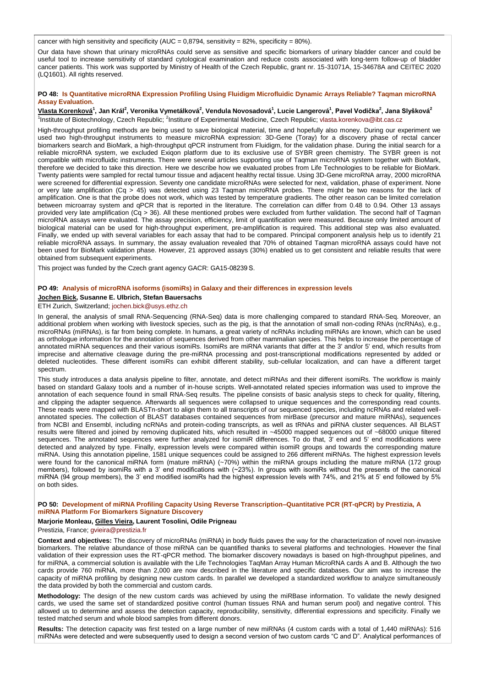cancer with high sensitivity and specificity (AUC =  $0.8794$ , sensitivity =  $82\%$ , specificity =  $80\%$ ).

Our data have shown that urinary microRNAs could serve as sensitive and specific biomarkers of urinary bladder cancer and could be useful tool to increase sensitivity of standard cytological examination and reduce costs associated with long-term follow-up of bladder cancer patients. This work was supported by Ministry of Health of the Czech Republic, grant nr. 15-31071A, 15-34678A and CEITEC 2020 (LQ1601). All rights reserved.

### **PO 48: Is Quantitative microRNA Expression Profiling Using Fluidigm Microfluidic Dynamic Arrays Reliable? Taqman microRNA Assay Evaluation.**

<u>Vlasta Korenková</u><sup>1</sup>, Jan Král<sup>2</sup>, Veronika Vymetálková<sup>2</sup>, Vendula Novosadová<sup>1</sup>, Lucie Langerová<sup>1</sup>, Pavel Vodička<sup>2</sup>, Jana Slyšková<sup>2</sup> <sup>1</sup>Institute of Biotechnology, Czech Republic; <sup>2</sup>Institure of Experimental Medicine, Czech Republic; [vlasta.korenkova@ibt.cas.cz](mailto:vlasta.korenkova@ibt.cas.cz)

High-throughput profiling methods are being used to save biological material, time and hopefully also money. During our experiment we used two high-throughput instruments to measure microRNA expression: 3D-Gene (Toray) for a discovery phase of rectal cancer biomarkers search and BioMark, a high-throughput qPCR instrument from Fluidigm, for the validation phase. During the initial search for a reliable microRNA system, we excluded Exiqon platform due to its exclusive use of SYBR green chemistry. The SYBR green is not compatible with microfluidic instruments. There were several articles supporting use of Taqman microRNA system together with BioMark, therefore we decided to take this direction. Here we describe how we evaluated probes from Life Technologies to be reliable for BioMark. Twenty patients were sampled for rectal tumour tissue and adjacent healthy rectal tissue. Using 3D-Gene microRNA array, 2000 microRNA were screened for differential expression. Seventy one candidate microRNAs were selected for next, validation, phase of experiment. None or very late amplification (Cq > 45) was detected using 23 Taqman microRNA probes. There might be two reasons for the lack of amplification. One is that the probe does not work, which was tested by temperature gradients. The other reason can be limited correlation between microarray system and qPCR that is reported in the literature. The correlation can differ from 0.48 to 0.94. Other 13 assays provided very late amplification (Cq > 36). All these mentioned probes were excluded from further validation. The second half of Taqman microRNA assays were evaluated. The assay precision, efficiency, limit of quantification were measured. Because only limited amount of biological material can be used for high-throughput experiment, pre-amplification is required. This additional step was also evaluated. Finally, we ended up with several variables for each assay that had to be compared. Principal component analysis help us to identify 21 reliable microRNA assays. In summary, the assay evaluation revealed that 70% of obtained Taqman microRNA assays could have not been used for BioMark validation phase. However, 21 approved assays (30%) enabled us to get consistent and reliable results that were obtained from subsequent experiments.

This project was funded by the Czech grant agency GACR: GA15-08239 S.

#### **PO 49: Analysis of microRNA isoforms (isomiRs) in Galaxy and their differences in expression levels**

## **Jochen Bick, Susanne E. Ulbrich, Stefan Bauersachs**

#### ETH Zurich, Switzerland; [jochen.bick@usys.ethz.ch](mailto:jochen.bick@usys.ethz.ch)

In general, the analysis of small RNA-Sequencing (RNA-Seq) data is more challenging compared to standard RNA-Seq. Moreover, an additional problem when working with livestock species, such as the pig, is that the annotation of small non-coding RNAs (ncRNAs), e.g., microRNAs (miRNAs), is far from being complete. In humans, a great variety of ncRNAs including miRNAs are known, which can be used as orthologue information for the annotation of sequences derived from other mammalian species. This helps to increase the percentage of annotated miRNA sequences and their various isomiRs. IsomiRs are miRNA variants that differ at the 3' and/or 5' end, which results from imprecise and alternative cleavage during the pre-miRNA processing and post-transcriptional modifications represented by added or deleted nucleotides. These different isomiRs can exhibit different stability, sub-cellular localization, and can have a different target spectrum.

This study introduces a data analysis pipeline to filter, annotate, and detect miRNAs and their different isomiRs. The workflow is mainly based on standard Galaxy tools and a number of in-house scripts. Well-annotated related species information was used to improve the annotation of each sequence found in small RNA-Seq results. The pipeline consists of basic analysis steps to check for quality, filtering, and clipping the adapter sequence. Afterwards all sequences were collapsed to unique sequences and the corresponding read counts. These reads were mapped with BLASTn-short to align them to all transcripts of our sequenced species, including ncRNAs and related wellannotated species. The collection of BLAST databases contained sequences from mirBase (precursor and mature miRNAs), sequences from NCBI and Ensembl, including ncRNAs and protein-coding transcripts, as well as tRNAs and piRNA cluster sequences. All BLAST results were filtered and joined by removing duplicated hits, which resulted in ~45000 mapped sequences out of ~68000 unique filtered sequences. The annotated sequences were further analyzed for isomiR differences. To do that, 3' end and 5' end modifications were detected and analyzed by type. Finally, expression levels were compared within isomiR groups and towards the corresponding mature miRNA. Using this annotation pipeline, 1581 unique sequences could be assigned to 266 different miRNAs. The highest expression levels were found for the canonical miRNA form (mature miRNA) (~70%) within the miRNA groups including the mature miRNA (172 group members), followed by isomiRs with a 3' end modifications with (~23%). In groups with isomiRs without the presents of the canonical miRNA (94 group members), the 3' end modified isomiRs had the highest expression levels with 74%, and 21% at 5' end followed by 5% on both sides.

#### **PO 50: Development of miRNA Profiling Capacity Using Reverse Transcription–Quantitative PCR (RT-qPCR) by Prestizia, A miRNA Platform For Biomarkers Signature Discovery**

#### **Marjorie Monleau, Gilles Vieira, Laurent Tosolini, Odile Prigneau**

#### Prestizia, France; [gvieira@prestizia.fr](mailto:gvieira@prestizia.fr)

**Context and objectives:** The discovery of microRNAs (miRNA) in body fluids paves the way for the characterization of novel non-invasive biomarkers. The relative abundance of those miRNA can be quantified thanks to several platforms and technologies. However the final validation of their expression uses the RT-qPCR method. The biomarker discovery nowadays is based on high-throughput pipelines, and for miRNA, a commercial solution is available with the Life Technologies TaqMan Array Human MicroRNA cards A and B. Although the two cards provide 760 miRNA, more than 2,000 are now described in the literature and specific databases. Our aim was to increase the capacity of miRNA profiling by designing new custom cards. In parallel we developed a standardized workflow to analyze simultaneously the data provided by both the commercial and custom cards.

**Methodology:** The design of the new custom cards was achieved by using the miRBase information. To validate the newly designed cards, we used the same set of standardized positive control (human tissues RNA and human serum pool) and negative control. This allowed us to determine and assess the detection capacity, reproducibility, sensitivity, differential expressions and specificity. Finally we tested matched serum and whole blood samples from different donors.

**Results:** The detection capacity was first tested on a large number of new miRNAs (4 custom cards with a total of 1,440 miRNAs): 516 miRNAs were detected and were subsequently used to design a second version of two custom cards "C and D". Analytical performances of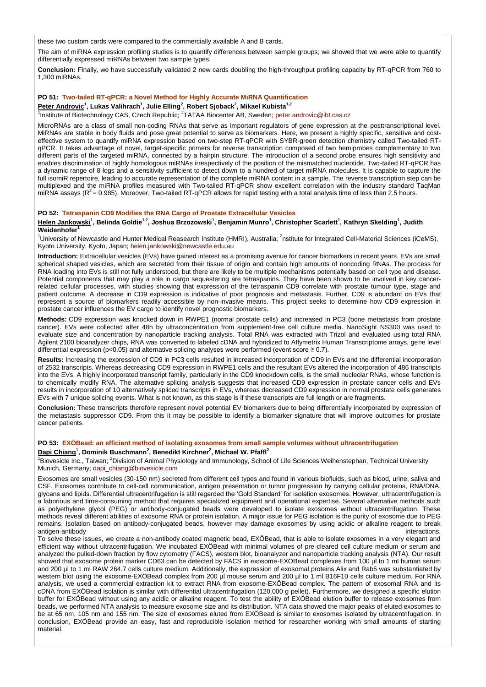these two custom cards were compared to the commercially available A and B cards.

The aim of miRNA expression profiling studies is to quantify differences between sample groups; we showed that we were able to quantify differentially expressed miRNAs between two sample types.

**Conclusion:** Finally, we have successfully validated 2 new cards doubling the high-throughput profiling capacity by RT-qPCR from 760 to 1,300 miRNAs.

### **PO 51: Two-tailed RT-qPCR: a Novel Method for Highly Accurate MiRNA Quantification**

## **Peter Androvic<sup>1</sup> , Lukas Valihrach<sup>1</sup> , Julie Elling<sup>2</sup> , Robert Sjoback<sup>2</sup> , Mikael Kubista1,2**

<sup>1</sup>Institute of Biotechnology CAS, Czech Republic; <sup>2</sup>TATAA Biocenter AB, Sweden; [peter.androvic@ibt.cas.cz](mailto:peter.androvic@ibt.cas.cz)

MicroRNAs are a class of small non-coding RNAs that serve as important regulators of gene expression at the posttranscriptional level. MiRNAs are stable in body fluids and pose great potential to serve as biomarkers. Here, we present a highly specific, sensitive and costeffective system to quantify miRNA expression based on two-step RT-qPCR with SYBR-green detection chemistry called Two-tailed RTqPCR. It takes advantage of novel, target-specific primers for reverse transcription composed of two hemiprobes complementary to two different parts of the targeted miRNA, connected by a hairpin structure. The introduction of a second probe ensures high sensitivity and enables discrimination of highly homologous miRNAs irrespectively of the position of the mismatched nucleotide. Two-tailed RT-qPCR has a dynamic range of 8 logs and a sensitivity sufficient to detect down to a hundred of target miRNA molecules. It is capable to capture the full isomiR repertoire, leading to accurate representation of the complete miRNA content in a sample. The reverse transcription step can be multiplexed and the miRNA profiles measured with Two-tailed RT-qPCR show excellent correlation with the industry standard TaqMan miRNA assays ( $R^2$  = 0.985). Moreover, Two-tailed RT-qPCR allows for rapid testing with a total analysis time of less than 2.5 hours.

## **PO 52: Tetraspanin CD9 Modifies the RNA Cargo of Prostate Extracellular Vesicles**

# <u>Helen Jankowski</u><sup>1</sup>, Belinda Goldie<sup>1.2</sup>, Joshua Brzozowski<sup>1</sup>, Benjamin Munro<sup>1</sup>, Christopher Scarlett<sup>1</sup>, Kathryn Skelding<sup>1</sup>, Judith<br>Weidenhofer<sup>1</sup>

<sup>1</sup>University of Newcastle and Hunter Medical Reasearch Institute (HMRI), Australia; <sup>2</sup>nstitute for Integrated Cell-Material Sciences (iCeMS), Kyoto University, Kyoto, Japan; [helen.jankowski@newcastle.edu.au](mailto:helen.jankowski@newcastle.edu.au)

**Introduction:** Extracellular vesicles (EVs) have gained interest as a promising avenue for cancer biomarkers in recent years. EVs are small spherical shaped vesicles, which are secreted from their tissue of origin and contain high amounts of noncoding RNAs. The process for RNA loading into EVs is still not fully understood, but there are likely to be multiple mechanisms potentially based on cell type and disease. Potential components that may play a role in cargo sequestering are tetraspanins. They have been shown to be involved in key cancerrelated cellular processes, with studies showing that expression of the tetraspanin CD9 correlate with prostate tumour type, stage and patient outcome. A decrease in CD9 expression is indicative of poor prognosis and metastasis. Further, CD9 is abundant on EVs that represent a source of biomarkers readily accessible by non-invasive means. This project seeks to determine how CD9 expression in prostate cancer influences the EV cargo to identify novel prognostic biomarkers.

**Methods:** CD9 expression was knocked down in RWPE1 (normal prostate cells) and increased in PC3 (bone metastasis from prostate cancer). EVs were collected after 48h by ultraconcentration from supplement-free cell culture media. NanoSight NS300 was used to evaluate size and concentration by nanoparticle tracking analysis. Total RNA was extracted with Trizol and evaluated using total RNA Agilent 2100 bioanalyzer chips, RNA was converted to labeled cDNA and hybridized to Affymetrix Human Transcriptome arrays, gene level differential expression (p<0.05) and alternative splicing analyses were performed (event score  $\geq$  0.7).

**Results:** Increasing the expression of CD9 in PC3 cells resulted in increased incorporation of CD9 in EVs and the differential incorporation of 2532 transcripts. Whereas decreasing CD9 expression in RWPE1 cells and the resultant EVs altered the incorporation of 486 transcripts into the EVs. A highly incorporated transcript family, particularly in the CD9 knockdown cells, is the small nucleolar RNAs, whose function is to chemically modify RNA. The alternative splicing analysis suggests that increased CD9 expression in prostate cancer cells and EVs results in incorporation of 10 alternatively spliced transcripts in EVs, whereas decreased CD9 expression in normal prostate cells generates EVs with 7 unique splicing events. What is not known, as this stage is if these transcripts are full length or are fragments.

**Conclusion:** These transcripts therefore represent novel potential EV biomarkers due to being differentially incorporated by expression of the metastasis suppressor CD9. From this it may be possible to identify a biomarker signature that will improve outcomes for prostate cancer patients.

#### **PO 53: EXÖBead: an efficient method of isolating exosomes from small sample volumes without ultracentrifugation**

#### **Dapi Chiang<sup>1</sup> , Dominik Buschmann<sup>2</sup> , Benedikt Kirchner<sup>2</sup> , Michael W. Pfaffl<sup>2</sup>**

<sup>1</sup>Biovesicle Inc., Taiwan; <sup>2</sup>Division of Animal Physiology and Immunology, School of Life Sciences Weihenstephan, Technical University Munich, Germany; [dapi\\_chiang@biovesicle.com](mailto:dapi_chiang@biovesicle.com)

Exosomes are small vesicles (30-150 nm) secreted from different cell types and found in various biofluids, such as blood, urine, saliva and CSF. Exosomes contribute to cell-cell communication, antigen presentation or tumor progression by carrying cellular proteins, RNA/DNA, glycans and lipids. Differential ultracentrifugation is still regarded the 'Gold Standard' for isolation exosomes. However, ultracentrifugation is a laborious and time-consuming method that requires specialized equipment and operational expertise. Several alternative methods such as polyethylene glycol (PEG) or antibody-conjugated beads were developed to isolate exosomes without ultracentrifugation. These methods reveal different abilities of exosome RNA or protein isolation. A major issue for PEG isolation is the purity of exosome due to PEG remains. Isolation based on antibody-conjugated beads, however may damage exosomes by using acidic or alkaline reagent to break antigen-antibody interactions.

To solve these issues, we create a non-antibody coated magnetic bead, EXÖBead, that is able to isolate exosomes in a very elegant and efficient way without ultracentrifugation. We incubated EXÖBead with minimal volumes of pre-cleared cell culture medium or serum and analyzed the pulled-down fraction by flow cytometry (FACS), western blot, bioanalyzer and nanoparticle tracking analysis (NTA). Our result showed that exosome protein marker CD63 can be detected by FACS in exosome-EXÖBead complexes from 100 µl to 1 ml human serum and 200 µl to 1 ml RAW 264.7 cells culture medium. Additionally, the expression of exosomal proteins Alix and Rab5 was substantiated by western blot using the exosome-EXÖBead complex from 200 µl mouse serum and 200 µl to 1 ml B16F10 cells culture medium. For RNA analysis, we used a commercial extraction kit to extract RNA from exosome-EXÖBead complex. The pattern of exosomal RNA and its cDNA from EXÖBead isolation is similar with differential ultracentrifugation (120,000 g pellet). Furthermore, we designed a specific elution buffer for EXÖBead without using any acidic or alkaline reagent. To test the ability of EXÖBead elution buffer to release exosomes from beads, we performed NTA analysis to measure exosome size and its distribution. NTA data showed the major peaks of eluted exosomes to be at 65 nm, 105 nm and 155 nm. The size of exosomes eluted from EXÖBead is similar to exosomes isolated by ultracentrifugation. In conclusion, EXÖBead provide an easy, fast and reproducible isolation method for researcher working with small amounts of starting material.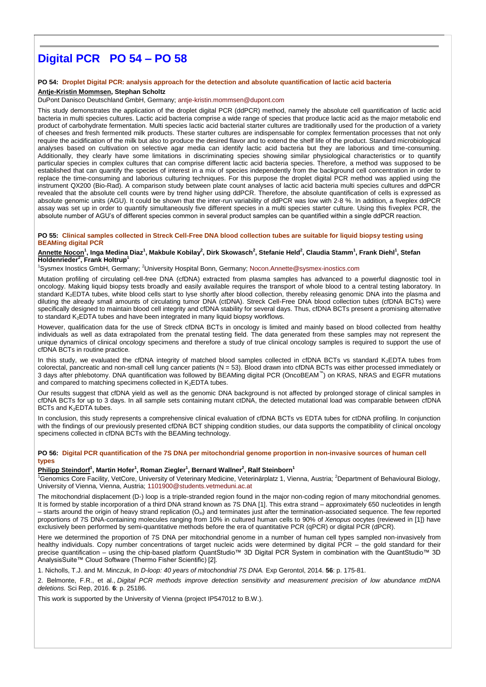# **Digital PCR PO 54 – PO 58**

#### **PO 54: Droplet Digital PCR: analysis approach for the detection and absolute quantification of lactic acid bacteria**

## **Antje-Kristin Mommsen, Stephan Scholtz**

#### DuPont Danisco Deutschland GmbH, Germany; [antje-kristin.mommsen@dupont.com](mailto:antje-kristin.mommsen@dupont.com)

This study demonstrates the application of the droplet digital PCR (ddPCR) method, namely the absolute cell quantification of lactic acid bacteria in multi species cultures. Lactic acid bacteria comprise a wide range of species that produce lactic acid as the major metabolic end product of carbohydrate fermentation. Multi species lactic acid bacterial starter cultures are traditionally used for the production of a variety of cheeses and fresh fermented milk products. These starter cultures are indispensable for complex fermentation processes that not only require the acidification of the milk but also to produce the desired flavor and to extend the shelf life of the product. Standard microbiological analyses based on cultivation on selective agar media can identify lactic acid bacteria but they are laborious and time-consuming. Additionally, they clearly have some limitations in discriminating species showing similar physiological characteristics or to quantify particular species in complex cultures that can comprise different lactic acid bacteria species. Therefore, a method was supposed to be established that can quantify the species of interest in a mix of species independently from the background cell concentration in order to replace the time-consuming and laborious culturing techniques. For this purpose the droplet digital PCR method was applied using the instrument QX200 (Bio-Rad). A comparison study between plate count analyses of lactic acid bacteria multi species cultures and ddPCR revealed that the absolute cell counts were by trend higher using ddPCR. Therefore, the absolute quantification of cells is expressed as absolute genomic units (AGU). It could be shown that the inter-run variability of ddPCR was low with 2-8 %. In addition, a fiveplex ddPCR assay was set up in order to quantify simultaneously five different species in a multi species starter culture. Using this fiveplex PCR, the absolute number of AGU's of different species common in several product samples can be quantified within a single ddPCR reaction.

#### **PO 55: Clinical samples collected in Streck Cell-Free DNA blood collection tubes are suitable for liquid biopsy testing using BEAMing digital PCR**

## <u>Annette Nocon</u><sup>1</sup>, Inga Medina Diaz<sup>1</sup>, Makbule Kobilay<sup>2</sup>, Dirk Skowasch<sup>2</sup>, Stefanie Held<sup>2</sup>, Claudia Stamm<sup>1</sup>, Frank Diehl<sup>1</sup>, Stefan **Holdenrieder<sup>2</sup> , Frank Holtrup<sup>1</sup>**

<sup>1</sup>Sysmex Inostics GmbH, Germany; <sup>2</sup>University Hospital Bonn, Germany; [Nocon.Annette@sysmex-inostics.com](mailto:Nocon.Annette@sysmex-inostics.com)

Mutation profiling of circulating cell-free DNA (cfDNA) extracted from plasma samples has advanced to a powerful diagnostic tool in oncology. Making liquid biopsy tests broadly and easily available requires the transport of whole blood to a central testing laboratory. In standard K2EDTA tubes, white blood cells start to lyse shortly after blood collection, thereby releasing genomic DNA into the plasma and diluting the already small amounts of circulating tumor DNA (ctDNA). Streck Cell-Free DNA blood collection tubes (cfDNA BCTs) were specifically designed to maintain blood cell integrity and cfDNA stability for several days. Thus, cfDNA BCTs present a promising alternative to standard K<sub>2</sub>EDTA tubes and have been integrated in many liquid biopsy workflows.

However, qualification data for the use of Streck cfDNA BCTs in oncology is limited and mainly based on blood collected from healthy individuals as well as data extrapolated from the prenatal testing field. The data generated from these samples may not represent the unique dynamics of clinical oncology specimens and therefore a study of true clinical oncology samples is required to support the use of cfDNA BCTs in routine practice.

In this study, we evaluated the cfDNA integrity of matched blood samples collected in cfDNA BCTs vs standard K<sub>2</sub>EDTA tubes from colorectal, pancreatic and non-small cell lung cancer patients (N = 53). Blood drawn into cfDNA BCTs was either processed immediately or 3 days after phlebotomy. DNA quantification was followed by BEAMing digital PCR (OncoBEAM™ ) on KRAS, NRAS and EGFR mutations and compared to matching specimens collected in K<sub>2</sub>EDTA tubes.

Our results suggest that cfDNA yield as well as the genomic DNA background is not affected by prolonged storage of clinical samples in cfDNA BCTs for up to 3 days. In all sample sets containing mutant ctDNA, the detected mutational load was comparable between cfDNA BCTs and K<sub>2</sub>EDTA tubes.

In conclusion, this study represents a comprehensive clinical evaluation of cfDNA BCTs vs EDTA tubes for ctDNA profiling. In conjunction with the findings of our previously presented cfDNA BCT shipping condition studies, our data supports the compatibility of clinical oncology specimens collected in cfDNA BCTs with the BEAMing technology.

#### **PO 56: Digital PCR quantification of the 7S DNA per mitochondrial genome proportion in non-invasive sources of human cell types**

## **Philipp Steindorf<sup>1</sup> , Martin Hofer<sup>1</sup> , Roman Ziegler<sup>1</sup> , Bernard Wallner<sup>2</sup> , Ralf Steinborn<sup>1</sup>**

<sup>1</sup>Genomics Core Facility, VetCore, University of Veterinary Medicine, Veterinärplatz 1, Vienna, Austria; <sup>2</sup>Department of Behavioural Biology, University of Vienna, Vienna, Austria; [1101900@students.vetmeduni.ac.at](mailto:1101900@students.vetmeduni.ac.at)

The mitochondrial displacement (D-) loop is a triple-stranded region found in the major non-coding region of many mitochondrial genomes. It is formed by stable incorporation of a third DNA strand known as 7S DNA [1]. This extra strand – approximately 650 nucleotides in length – starts around the origin of heavy strand replication (O<sub>H</sub>) and terminates just after the termination-associated sequence. The few reported proportions of 7S DNA-containing molecules ranging from 10% in cultured human cells to 90% of *Xenopus* oocytes (reviewed in [1]) have exclusively been performed by semi-quantitative methods before the era of quantitative PCR (qPCR) or digital PCR (dPCR).

Here we determined the proportion of 7S DNA per mitochondrial genome in a number of human cell types sampled non-invasively from healthy individuals. Copy number concentrations of target nucleic acids were determined by digital PCR – the gold standard for their precise quantification – using the chip-based platform QuantStudio™ 3D Digital PCR System in combination with the QuantStudio™ 3D AnalysisSuite™ Cloud Software (Thermo Fisher Scientific) [2].

1. Nicholls, T.J. and M. Minczuk, *In D-loop: 40 years of mitochondrial 7S DNA.* Exp Gerontol, 2014. **56**: p. 175-81.

2. Belmonte, F.R., et al., *Digital PCR methods improve detection sensitivity and measurement precision of low abundance mtDNA deletions.* Sci Rep, 2016. **6**: p. 25186.

This work is supported by the University of Vienna (project IP547012 to B.W.).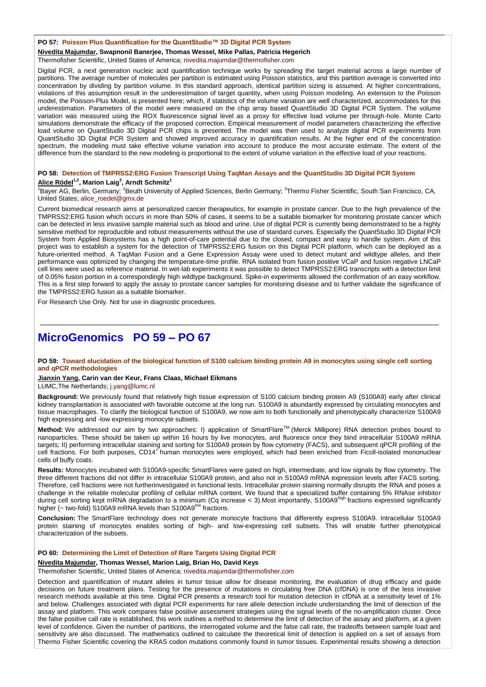#### **PO 57: Poisson Plus Quantification for the QuantStudio™ 3D Digital PCR System**

**Nivedita Majumdar, Swapnonil Banerjee, Thomas Wessel, Mike Pallas, Patricia Hegerich**

Thermofisher Scientific, United States of America; [nivedita.majumdar@thermofisher.com](mailto:nivedita.majumdar@thermofisher.com)

Digital PCR, a next generation nucleic acid quantification technique works by spreading the target material across a large number of partitions. The average number of molecules per partition is estimated using Poisson statistics, and this partition average is converted into concentration by dividing by partition volume. In this standard approach, identical partition sizing is assumed. At higher concentrations, violations of this assumption result in the underestimation of target quantity, when using Poisson modeling. An extension to the Poisson model, the Poisson-Plus Model, is presented here; which, if statistics of the volume variation are well characterized, accommodates for this underestimation. Parameters of the model were measured on the chip array based QuantStudio 3D Digital PCR System. The volume variation was measured using the ROX fluorescence signal level as a proxy for effective load volume per through-hole. Monte Carlo simulations demonstrate the efficacy of the proposed correction. Empirical measurement of model parameters characterizing the effective load volume on QuantStudio 3D Digital PCR chips is presented. The model was then used to analyze digital PCR experiments from QuantStudio 3D Digital PCR System and showed improved accuracy in quantification results. At the higher end of the concentration spectrum, the modeling must take effective volume variation into account to produce the most accurate estimate. The extent of the difference from the standard to the new modeling is proportional to the extent of volume variation in the effective load of your reactions.

## **PO 58: Detection of TMPRSS2:ERG Fusion Transcript Using TaqMan Assays and the QuantStudio 3D Digital PCR System Alice Rödel1,2, Marion Laig<sup>3</sup> , Arndt Schmitz<sup>1</sup>**

<sup>1</sup>Bayer AG, Berlin, Germany; <sup>2</sup>Beuth University of Applied Sciences, Berlin Germany; <sup>3</sup>Thermo Fisher Scientific, South San Francisco, CA, United States; [alice\\_roedel@gmx.de](mailto:alice_roedel@gmx.de)

Current biomedical research aims at personalized cancer therapeutics, for example in prostate cancer. Due to the high prevalence of the TMPRSS2:ERG fusion which occurs in more than 50% of cases, it seems to be a suitable biomarker for monitoring prostate cancer which can be detected in less invasive sample material such as blood and urine. Use of digital PCR is currently being demonstrated to be a highly sensitive method for reproducible and robust measurements without the use of standard curves. Especially the QuantStudio 3D Digital PCR System from Applied Biosystems has a high point-of-care potential due to the closed, compact and easy to handle system. Aim of this project was to establish a system for the detection of TMPRSS2:ERG fusion on this Digital PCR platform, which can be deployed as a future-oriented method. A TaqMan Fusion and a Gene Expression Assay were used to detect mutant and wildtype alleles, and their performance was optimized by changing the temperature-time profile. RNA isolated from fusion positive VCaP and fusion negative LNCaP cell lines were used as reference material. In wet-lab experiments it was possible to detect TMPRSS2:ERG transcripts with a detection limit of 0.05% fusion portion in a correspondingly high wildtype background. Spike-in experiments allowed the confirmation of an easy workflow. This is a first step forward to apply the assay to prostate cancer samples for monitoring disease and to further validate the significance of the TMPRSS2:ERG fusion as a suitable biomarker.

For Research Use Only. Not for use in diagnostic procedures.

## **MicroGenomics PO 59 – PO 67**

#### **PO 59: Toward elucidation of the biological function of S100 calcium binding protein A9 in monocytes using single cell sorting and qPCR methodologies**

#### **Jianxin Yang, Carin van der Keur, Frans Claas, Michael Eikmans**

LUMC,The Netherlands; [j.yang@lumc.nl](mailto:j.yang@lumc.nl)

**Background:** We previously found that relatively high tissue expression of S100 calcium binding protein A9 (S100A9) early after clinical kidney transplantation is associated with favorable outcome at the long run. S100A9 is abundantly expressed by circulating monocytes and tissue macrophages. To clarify the biological function of S100A9, we now aim to both functionally and phenotypically characterize S100A9 high expressing and -low expressing monocyte subsets.

Method: We addressed our aim by two approaches: I) application of SmartFlare<sup>™</sup> (Merck Millipore) RNA detection probes bound to nanoparticles. These should be taken up within 16 hours by live monocytes, and fluoresce once they bind intracellular S100A9 mRNA targets; II) performing intracellular staining and sorting for S100A9 protein by flow cytometry (FACS), and subsequent qPCR profiling of the<br>cell fractions. For both purposes, CD14<sup>+</sup> human monocytes were employed, which h cells of buffy coats.

**Results:** Monocytes incubated with S100A9-specific SmartFlares were gated on high, intermediate, and low signals by flow cytometry. The three different fractions did not differ in intracellular S100A9 protein, and also not in S100A9 mRNA expression levels after FACS sorting. Therefore, cell fractions were not furtherinvestigated in functional tests. Intracellular protein staining normally disrupts the RNA and poses a challenge in the reliable molecular profiling of cellular mRNA content. We found that a specialized buffer containing 5% RNAse inhibitor during cell sorting kept mRNA degradation to a minimum (Cq increase < 3).Most importantly, S100A9high fractions expressed significantly higher (~ two-fold) S100A9 mRNA levels than S100A9<sup>low</sup> fractions.

**Conclusion:** The SmartFlare technology does not generate monocyte fractions that differently express S100A9. Intracellular S100A9 protein staining of monocytes enables sorting of high- and low-expressing cell subsets. This will enable further phenotypical characterization of the subsets.

#### **PO 60: Determining the Limit of Detection of Rare Targets Using Digital PCR**

#### **Nivedita Majumdar, Thomas Wessel, Marion Laig, Brian Ho, David Keys**

Thermofisher Scientific, United States of America; [nivedita.majumdar@thermofisher.com](mailto:nivedita.majumdar@thermofisher.com)

Detection and quantification of mutant alleles in tumor tissue allow for disease monitoring, the evaluation of drug efficacy and guide decisions on future treatment plans. Testing for the presence of mutations in circulating free DNA (cfDNA) is one of the less invasive research methods available at this time. Digital PCR presents a research tool for mutation detection in cfDNA at a sensitivity level of 1% and below. Challenges associated with digital PCR experiments for rare allele detection include understanding the limit of detection of the assay and platform. This work compares false positive assessment strategies using the signal levels of the no-amplification cluster. Once the false positive call rate is established, this work outlines a method to determine the limit of detection of the assay and platform, at a given level of confidence. Given the number of partitions, the interrogated volume and the false call rate, the tradeoffs between sample load and sensitivity are also discussed. The mathematics outlined to calculate the theoretical limit of detection is applied on a set of assays from Thermo Fisher Scientific covering the KRAS codon mutations commonly found in tumor tissues. Experimental results showing a detection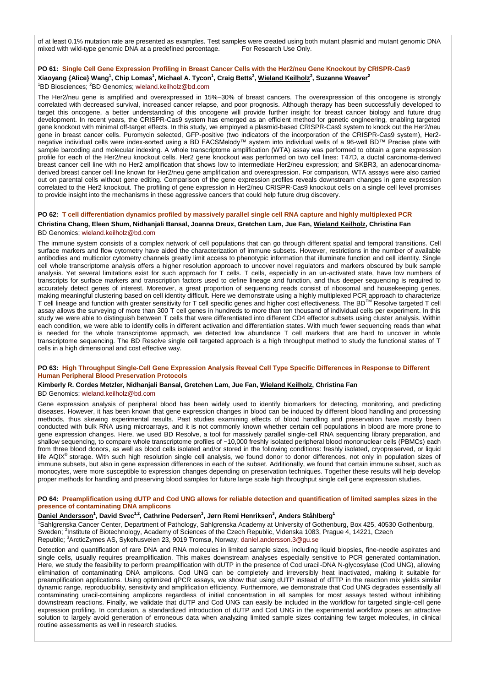of at least 0.1% mutation rate are presented as examples. Test samples were created using both mutant plasmid and mutant genomic DNA mixed with wild-type genomic DNA at a predefined percentage. For Research Use Only.

## **PO 61: Single Cell Gene Expression Profiling in Breast Cancer Cells with the Her2/neu Gene Knockout by CRISPR-Cas9**

## **Xiaoyang {Alice} Wang<sup>1</sup> , Chip Lomas<sup>1</sup> , Michael A. Tycon<sup>1</sup> , Craig Betts<sup>2</sup> , Wieland Keilholz<sup>2</sup> , Suzanne Weaver<sup>2</sup>** <sup>1</sup>BD Biosciences; <sup>2</sup>BD Genomics; [wieland.keilholz@bd.com](mailto:wieland.keilholz@bd.com)

The Her2/neu gene is amplified and overexpressed in 15%–30% of breast cancers. The overexpression of this oncogene is strongly correlated with decreased survival, increased cancer relapse, and poor prognosis. Although therapy has been successfully developed to target this oncogene, a better understanding of this oncogene will provide further insight for breast cancer biology and future drug development. In recent years, the CRISPR-Cas9 system has emerged as an efficient method for genetic engineering, enabling targeted gene knockout with minimal off-target effects. In this study, we employed a plasmid-based CRISPR-Cas9 system to knock out the Her2/neu gene in breast cancer cells. Puromycin selected, GFP-positive (two indicators of the incorporation of the CRISPR-Cas9 system), Her2 negative individual cells were index-sorted using a BD FACSMelody™ system into individual wells of a 96-well BD™ Precise plate with sample barcoding and molecular indexing. A whole transcriptome amplification (WTA) assay was performed to obtain a gene expression profile for each of the Her2/neu knockout cells. Her2 gene knockout was performed on two cell lines: T47D, a ductal carcinoma-derived breast cancer cell line with no Her2 amplification that shows low to intermediate Her2/neu expression; and SKBR3, an adenocarcinomaderived breast cancer cell line known for Her2/neu gene amplification and overexpression. For comparison, WTA assays were also carried out on parental cells without gene editing. Comparison of the gene expression profiles reveals downstream changes in gene expression correlated to the Her2 knockout. The profiling of gene expression in Her2/neu CRISPR-Cas9 knockout cells on a single cell level promises to provide insight into the mechanisms in these aggressive cancers that could help future drug discovery.

## **PO 62: T cell differentiation dynamics profiled by massively parallel single cell RNA capture and highly multiplexed PCR Christina Chang, Eleen Shum, Nidhanjali Bansal, Joanna Dreux, Gretchen Lam, Jue Fan, Wieland Keilholz, Christina Fan** BD Genomics; [wieland.keilholz@bd.com](mailto:wieland.keilholz@bd.com)

The immune system consists of a complex network of cell populations that can go through different spatial and temporal transitions. Cell surface markers and flow cytometry have aided the characterization of immune subsets. However, restrictions in the number of available antibodies and multicolor cytometry channels greatly limit access to phenotypic information that illuminate function and cell identity. Single cell whole transcriptome analysis offers a higher resolution approach to uncover novel regulators and markers obscured by bulk sample analysis. Yet several limitations exist for such approach for T cells. T cells, especially in an un-activated state, have low numbers of transcripts for surface markers and transcription factors used to define lineage and function, and thus deeper sequencing is required to accurately detect genes of interest. Moreover, a great proportion of sequencing reads consist of ribosomal and housekeeping genes, making meaningful clustering based on cell identity difficult. Here we demonstrate using a highly multiplexed PCR approach to characterize T cell lineage and function with greater sensitivity for T cell specific genes and higher cost effectiveness. The BD<sup>TM</sup> Resolve targeted T cell assay allows the surveying of more than 300 T cell genes in hundreds to more than ten thousand of individual cells per experiment. In this study we were able to distinguish between T cells that were differentiated into different CD4 effector subsets using cluster analysis. Within each condition, we were able to identify cells in different activation and differentiation states. With much fewer sequencing reads than what is needed for the whole transcriptome approach, we detected low abundance T cell markers that are hard to uncover in whole transcriptome sequencing. The BD Resolve single cell targeted approach is a high throughput method to study the functional states of T cells in a high dimensional and cost effective way.

#### **PO 63: High Throughput Single-Cell Gene Expression Analysis Reveal Cell Type Specific Differences in Response to Different Human Peripheral Blood Preservation Protocols**

#### **Kimberly R. Cordes Metzler, Nidhanjali Bansal, Gretchen Lam, Jue Fan, Wieland Keilholz, Christina Fan** BD Genomics; [wieland.keilholz@bd.com](mailto:wieland.keilholz@bd.com)

Gene expression analysis of peripheral blood has been widely used to identify biomarkers for detecting, monitoring, and predicting diseases. However, it has been known that gene expression changes in blood can be induced by different blood handling and processing methods, thus skewing experimental results. Past studies examining effects of blood handling and preservation have mostly been conducted with bulk RNA using microarrays, and it is not commonly known whether certain cell populations in blood are more prone to gene expression changes. Here, we used BD Resolve, a tool for massively parallel single-cell RNA sequencing library preparation, and shallow sequencing, to compare whole transcriptome profiles of ~10,000 freshly isolated peripheral blood mononuclear cells (PBMCs) each from three blood donors, as well as blood cells isolated and/or stored in the following conditions: freshly isolated, cryopreserved, or liquid life AQIX<sup>®</sup> storage. With such high resolution single cell analysis, we found donor to donor differences, not only in population sizes of immune subsets, but also in gene expression differences in each of the subset. Additionally, we found that certain immune subset, such as monocytes, were more susceptible to expression changes depending on preservation techniques. Together these results will help develop proper methods for handling and preserving blood samples for future large scale high throughput single cell gene expression studies.

#### **PO 64: Preamplification using dUTP and Cod UNG allows for reliable detection and quantification of limited samples sizes in the presence of contaminating DNA amplicons**

## **Daniel Andersson<sup>1</sup> , David Svec1,2, Cathrine Pedersen<sup>3</sup> , Jørn Remi Henriksen<sup>3</sup> , Anders Ståhlberg<sup>1</sup>**

<sup>1</sup>Sahlgrenska Cancer Center, Department of Pathology, Sahlgrenska Academy at University of Gothenburg, Box 425, 40530 Gothenburg, Sweden; <sup>2</sup>Institute of Biotechnology, Academy of Sciences of the Czech Republic, Videnska 1083, Prague 4, 14221, Czech Republic; <sup>3</sup>ArcticZymes AS, Sykehusveien 23, 9019 Tromsø, Norway; [daniel.andersson.3@gu.se](mailto:daniel.andersson.3@gu.se)

Detection and quantification of rare DNA and RNA molecules in limited sample sizes, including liquid biopsies, fine-needle aspirates and single cells, usually requires preamplification. This makes downstream analyses especially sensitive to PCR generated contamination. Here, we study the feasibility to perform preamplification with dUTP in the presence of Cod uracil-DNA N-glycosylase (Cod UNG), allowing elimination of contaminating DNA amplicons. Cod UNG can be completely and irreversibly heat inactivated, making it suitable for preamplification applications. Using optimized qPCR assays, we show that using dUTP instead of dTTP in the reaction mix yields similar dynamic range, reproducibility, sensitivity and amplification efficiency. Furthermore, we demonstrate that Cod UNG degrades essentially all contaminating uracil-containing amplicons regardless of initial concentration in all samples for most assays tested without inhibiting downstream reactions. Finally, we validate that dUTP and Cod UNG can easily be included in the workflow for targeted single-cell gene expression profiling. In conclusion, a standardized introduction of dUTP and Cod UNG in the experimental workflow poses an attractive solution to largely avoid generation of erroneous data when analyzing limited sample sizes containing few target molecules, in clinical routine assessments as well in research studies.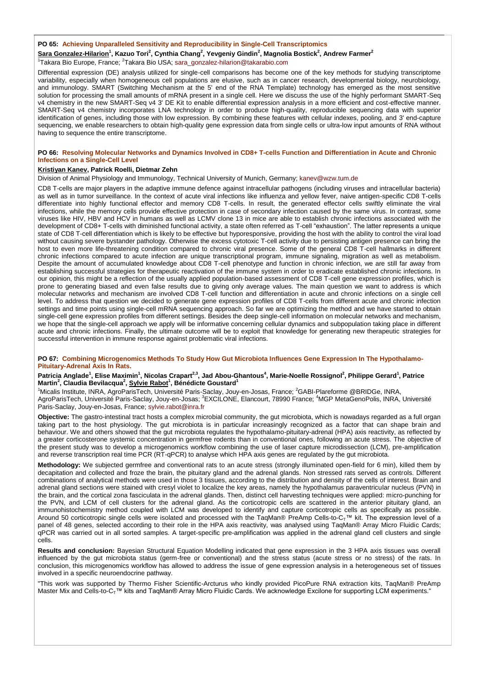#### **PO 65: Achieving Unparalleled Sensitivity and Reproducibility in Single-Cell Transcriptomics**

**Sara Gonzalez-Hilarion<sup>1</sup> , Kazuo Tori<sup>2</sup> , Cynthia Chang<sup>2</sup> , Yevgeniy Gindin<sup>2</sup> , Magnolia Bostick<sup>2</sup> , Andrew Farmer<sup>2</sup>** <sup>1</sup>Takara Bio Europe, France; <sup>2</sup>Takara Bio USA; [sara\\_gonzalez-hilarion@takarabio.com](mailto:sara_gonzalez-hilarion@takarabio.com)

Differential expression (DE) analysis utilized for single-cell comparisons has become one of the key methods for studying transcriptome variability, especially when homogeneous cell populations are elusive, such as in cancer research, developmental biology, neurobiology, and immunology. SMART (Switching Mechanism at the 5' end of the RNA Template) technology has emerged as the most sensitive solution for processing the small amounts of mRNA present in a single cell. Here we discuss the use of the highly performant SMART-Seq v4 chemistry in the new SMART-Seq v4 3' DE Kit to enable differential expression analysis in a more efficient and cost-effective manner. SMART-Seq v4 chemistry incorporates LNA technology in order to produce high-quality, reproducible sequencing data with superior identification of genes, including those with low expression. By combining these features with cellular indexes, pooling, and 3' end-capture sequencing, we enable researchers to obtain high-quality gene expression data from single cells or ultra-low input amounts of RNA without having to sequence the entire transcriptome.

#### **PO 66: Resolving Molecular Networks and Dynamics Involved in CD8+ T-cells Function and Differentiation in Acute and Chronic Infections on a Single-Cell Level**

## **Kristiyan Kanev, Patrick Roelli, Dietmar Zehn**

Division of Animal Physiology and Immunology, Technical University of Munich, Germany; [kanev@wzw.tum.de](mailto:kanev@wzw.tum.de)

CD8 T-cells are major players in the adaptive immune defence against intracellular pathogens (including viruses and intracellular bacteria) as well as in tumor surveillance. In the context of acute viral infections like influenza and yellow fever, naive antigen-specific CD8 T-cells differentiate into highly functional effector and memory CD8 T-cells. In result, the generated effector cells swiftly eliminate the viral infections, while the memory cells provide effective protection in case of secondary infection caused by the same virus. In contrast, some viruses like HIV, HBV and HCV in humans as well as LCMV clone 13 in mice are able to establish chronic infections associated with the development of CD8+ T-cells with diminished functional activity, a state often referred as T-cell "exhaustion". The latter represents a unique state of CD8 T-cell differentiation which is likely to be effective but hyporesponsive, providing the host with the ability to control the viral load without causing severe bystander pathology. Otherwise the excess cytotoxic T-cell activity due to persisting antigen presence can bring the host to even more life-threatening condition compared to chronic viral presence. Some of the general CD8 T-cell hallmarks in different chronic infections compared to acute infection are unique transcriptional program, immune signaling, migration as well as metabolism. Despite the amount of accumulated knowledge about CD8 T-cell phenotype and function in chronic infection, we are still far away from establishing successful strategies for therapeutic reactivation of the immune system in order to eradicate established chronic infections. In our opinion, this might be a reflection of the usually applied population-based assessment of CD8 T-cell gene expression profiles, which is prone to generating biased and even false results due to giving only average values. The main question we want to address is which molecular networks and mechanism are involved CD8 T-cell function and differentiation in acute and chronic infections on a single cell level. To address that question we decided to generate gene expression profiles of CD8 T-cells from different acute and chronic infection settings and time points using single-cell mRNA sequencing approach. So far we are optimizing the method and we have started to obtain single-cell gene expression profiles from different settings. Besides the deep single-cell information on molecular networks and mechanism, we hope that the single-cell approach we apply will be informative concerning cellular dynamics and subpopulation taking place in different acute and chronic infections. Finally, the ultimate outcome will be to exploit that knowledge for generating new therapeutic strategies for successful intervention in immune response against problematic viral infections.

#### **PO 67: Combining Microgenomics Methods To Study How Gut Microbiota Influences Gene Expression In The Hypothalamo-Pituitary-Adrenal Axis In Rats.**

# Patricia Anglade<sup>1</sup>, Elise Maximin<sup>1</sup>, Nicolas Crapart<sup>2,3</sup>, Jad Abou-Ghantous<sup>4</sup>, Marie-Noelle Rossignol<sup>2</sup>, Philippe Gerard<sup>1</sup>, Patrice<br>Martin<sup>2</sup>, Claudia Bevilacqua<sup>2</sup>, <u>Sylvie Rabot</u><sup>1</sup>, Bénédicte Goustard<sup>1</sup>

<sup>1</sup>Micalis Institute, INRA, AgroParisTech, Université Paris-Saclay, Jouy-en-Josas, France; <sup>2</sup>GABI-Plareforme @BRIDGe, INRA, AgroParisTech, Université Paris-Saclay, Jouy-en-Josas; <sup>3</sup>EXCILONE, Elancourt, 78990 France; <sup>4</sup>MGP MetaGenoPolis, INRA, Université Paris-Saclay, Jouy-en-Josas, France; [sylvie.rabot@inra.fr](mailto:sylvie.rabot@inra.fr)

**Objective:** The gastro-intestinal tract hosts a complex microbial community, the gut microbiota, which is nowadays regarded as a full organ taking part to the host physiology. The gut microbiota is in particular increasingly recognized as a factor that can shape brain and behaviour. We and others showed that the gut microbiota regulates the hypothalamo-pituitary-adrenal (HPA) axis reactivity, as reflected by a greater corticosterone systemic concentration in germfree rodents than in conventional ones, following an acute stress. The objective of the present study was to develop a microgenomics workflow combining the use of laser capture microdissection (LCM), pre-amplification and reverse transcription real time PCR (RT-qPCR) to analyse which HPA axis genes are regulated by the gut microbiota.

**Methodology:** We subjected germfree and conventional rats to an acute stress (strongly illuminated open-field for 6 min), killed them by decapitation and collected and froze the brain, the pituitary gland and the adrenal glands. Non stressed rats served as controls. Different combinations of analytical methods were used in those 3 tissues, according to the distribution and density of the cells of interest. Brain and adrenal gland sections were stained with cresyl violet to localize the key areas, namely the hypothalamus paraventricular nucleus (PVN) in the brain, and the cortical zona fasciculata in the adrenal glands. Then, distinct cell harvesting techniques were applied: micro-punching for the PVN, and LCM of cell clusters for the adrenal gland. As the corticotropic cells are scattered in the anterior pituitary gland, an immunohistochemistry method coupled with LCM was developed to identify and capture corticotropic cells as specifically as possible. Around 50 corticotropic single cells were isolated and processed with the TaqMan® PreAmp Cells-to-C<sub>T</sub>™ kit. The expression level of a panel of 48 genes, selected according to their role in the HPA axis reactivity, was analysed using TaqMan® Array Micro Fluidic Cards; qPCR was carried out in all sorted samples. A target-specific pre-amplification was applied in the adrenal gland cell clusters and single cells.

**Results and conclusion:** Bayesian Structural Equation Modelling indicated that gene expression in the 3 HPA axis tissues was overall influenced by the gut microbiota status (germ-free or conventional) and the stress status (acute stress or no stress) of the rats. In conclusion, this microgenomics workflow has allowed to address the issue of gene expression analysis in a heterogeneous set of tissues involved in a specific neuroendocrine pathway.

"This work was supported by Thermo Fisher Scientific-Arcturus who kindly provided PicoPure RNA extraction kits, TaqMan® PreAmp Master Mix and Cells-to-C<sub>T</sub>™ kits and TaqMan® Array Micro Fluidic Cards. We acknowledge Excilone for supporting LCM experiments."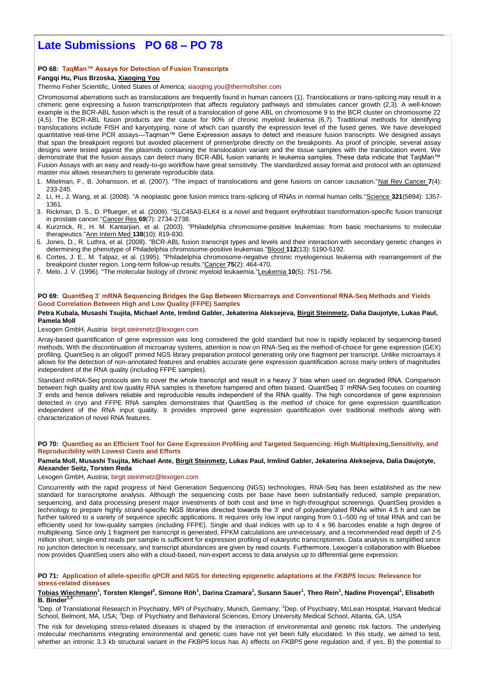# **Late Submissions PO 68 – PO 78**

## **PO 68: TaqMan™ Assays for Detection of Fusion Transcripts**

## **Fangqi Hu, Pius Brzoska, Xiaoqing You**

Thermo Fisher Scientific, United States of America; [xiaoqing.you@thermofisher.com](mailto:xiaoqing.you@thermofisher.com)

Chromosomal aberrations such as translocations are frequently found in human cancers (1). Translocations or trans-splicing may result in a chimeric gene expressing a fusion transcript/protein that affects regulatory pathways and stimulates cancer growth (2,3). A well-known example is the BCR-ABL fusion which is the result of a translocation of gene ABL on chromosome 9 to the BCR cluster on chromosome 22 (4,5). The BCR-ABL fusion products are the cause for 90% of chronic myeloid leukemia (6,7). Traditional methods for identifying translocations include FISH and karyotyping, none of which can quantify the expression level of the fused genes. We have developed quantitative real-time PCR assays—Taqman™ Gene Expression assays to detect and measure fusion transcripts. We designed assays that span the breakpoint regions but avoided placement of primer/probe directly on the breakpoints. As proof of principle, several assay designs were tested against the plasmids containing the translocation variant and the tissue samples with the translocation event. We demonstrate that the fusion assays can detect many BCR-ABL fusion variants in leukemia samples. These data indicate that TaqMan™ Fusion Assays with an easy and ready-to-go workflow have great sensitivity. The standardized assay format and protocol with an optimized master mix allows researchers to generate reproducible data.

- 1. Mitelman, F., B. Johansson, et al. (2007). "The impact of translocations and gene fusions on cancer causation."Nat Rev Cancer **7**(4): 233-245.
- 2. Li, H., J. Wang, et al. (2008). "A neoplastic gene fusion mimics trans-splicing of RNAs in normal human cells."Science **321**(5894): 1357- 1361.
- 3. Rickman, D. S., D. Pflueger, et al. (2009). "SLC45A3-ELK4 is a novel and frequent erythroblast transformation-specific fusion transcript in prostate cancer."Cancer Res **69**(7): 2734-2738.
- 4. Kurzrock, R., H. M. Kantarjian, et al. (2003). "Philadelphia chromosome-positive leukemias: from basic mechanisms to molecular therapeutics."Ann Intern Med **138**(10): 819-830.
- 5. Jones, D., R. Luthra, et al. (2008). "BCR-ABL fusion transcript types and levels and their interaction with secondary genetic changes in determining the phenotype of Philadelphia chromosome-positive leukemias."Blood **112**(13): 5190-5192.
- 6. Cortes, J. E., M. Talpaz, et al. (1995). "Philadelphia chromosome-negative chronic myelogenous leukemia with rearrangement of the breakpoint cluster region. Long-term follow-up results."Cancer **75**(2): 464-470.
- 7. Melo, J. V. (1996). "The molecular biology of chronic myeloid leukaemia."Leukemia **10**(5): 751-756.

## **PO 69: QuantSeq 3' mRNA Sequencing Bridges the Gap Between Microarrays and Conventional RNA-Seq Methods and Yields Good Correlation Between High and Low Quality (FFPE) Samples**

#### **Petra Kubala, Musashi Tsujita, Michael Ante, Irmlind Gabler, Jekaterina Aleksejeva, Birgit Steinmetz, Dalia Daujotyte, Lukas Paul, Pamela Moll**

Lexogen GmbH, Austria [birgit.steinmetz@lexogen.com](mailto:birgit.steinmetz@lexogen.com)

Array-based quantification of gene expression was long considered the gold standard but now is rapidly replaced by sequencing-based methods. With the discontinuation of microarray systems, attention is now on RNA-Seq as the method-of-choice for gene expression (GEX) profiling. QuantSeq is an oligodT primed NGS library preparation protocol generating only one fragment per transcript. Unlike microarrays it allows for the detection of non-annotated features and enables accurate gene expression quantification across many orders of magnitudes independent of the RNA quality (including FFPE samples).

Standard mRNA-Seq protocols aim to cover the whole transcript and result in a heavy 3' bias when used on degraded RNA. Comparison between high quality and low quality RNA samples is therefore hampered and often biased. QuantSeq 3' mRNA-Seq focuses on counting 3' ends and hence delivers reliable and reproducible results independent of the RNA quality. The high concordance of gene expression detected in cryo and FFPE RNA samples demonstrates that QuantSeq is the method of choice for gene expression quantification independent of the RNA input quality. It provides improved gene expression quantification over traditional methods along with characterization of novel RNA features.

#### **PO 70: QuantSeq as an Efficient Tool for Gene Expression Profiling and Targeted Sequencing: High Multiplexing,Sensitivity, and Reproducibility with Lowest Costs and Efforts**

#### **Pamela Moll, Musashi Tsujita, Michael Ante, Birgit Steinmetz, Lukas Paul, Irmlind Gabler, Jekaterina Aleksejeva, Dalia Daujotyte, Alexander Seitz, Torsten Reda**

Lexogen GmbH, Austria; [birgit.steinmetz@lexogen.com](mailto:birgit.steinmetz@lexogen.com)

Concurrently with the rapid progress of Next Generation Sequencing (NGS) technologies, RNA-Seq has been established as the new standard for transcriptome analysis. Although the sequencing costs per base have been substantially reduced, sample preparation, sequencing, and data processing present major investments of both cost and time in high-throughput screenings. QuantSeq provides a technology to prepare highly strand-specific NGS libraries directed towards the 3' end of polyadenylated RNAs within 4.5 h and can be further tailored to a variety of sequence specific applications. It requires only low input ranging from 0.1–500 ng of total RNA and can be efficiently used for low-quality samples (including FFPE). Single and dual indices with up to 4 x 96 barcodes enable a high degree of multiplexing. Since only 1 fragment per transcript is generated, FPKM calculations are unnecessary, and a recommended read depth of 2-5 million short, single-end reads per sample is sufficient for expression profiling of eukaryotic transcriptomes. Data analysis is simplified since no junction detection is necessary, and transcript abundances are given by read counts. Furthermore, Lexogen's collaboration with Bluebee now provides QuantSeq users also with a cloud-based, non-expert access to data analysis up to differential gene expression.

### **PO 71: Application of allele-specific qPCR and NGS for detecting epigenetic adaptations at the** *FKBP5* **locus: Relevance for stress-related diseases**

#### <u>Tobias Wiechmann<sup>1</sup>,</u> Torsten Klengel<sup>2</sup>, Simone Röh<sup>1</sup>, Darina Czamara<sup>1</sup>, Susann Sauer<sup>1</sup>, Theo Rein<sup>1</sup>, Nadine Provençal<sup>1</sup>, Elisabeth **B.** Binder<sup>1</sup>

<sup>1</sup>Dep. of Translational Research in Psychiatry, MPI of Psychiatry, Munich, Germany; <sup>2</sup>Dep. of Psychiatry, McLean Hospital, Harvard Medical School, Belmont, MA, USA; <sup>3</sup>Dep. of Psychiatry and Behavioral Sciences, Emory University Medical School, Atlanta, GA, USA

The risk for developing stress-related diseases is shaped by the interaction of environmental and genetic risk factors. The underlying molecular mechanisms integrating environmental and genetic cues have not yet been fully elucidated. In this study, we aimed to test, whether an intronic 3.3 kb structural variant in the *FKBP5* locus has A) effects on *FKBP5* gene regulation and, if yes, B) the potential to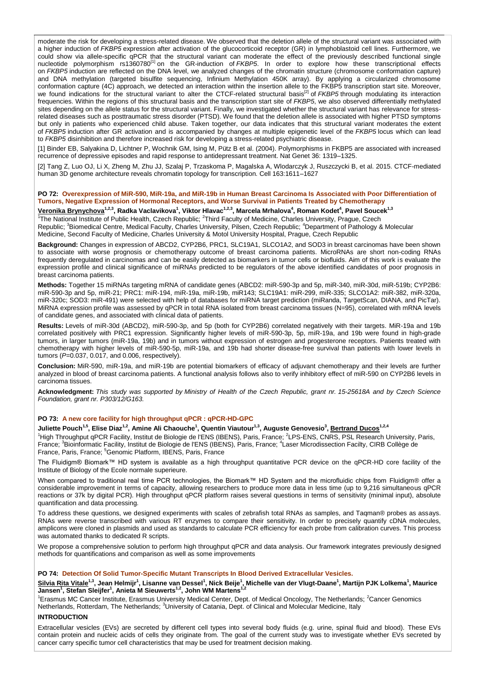moderate the risk for developing a stress-related disease. We observed that the deletion allele of the structural variant was associated with a higher induction of *FKBP5* expression after activation of the glucocorticoid receptor (GR) in lymphoblastoid cell lines. Furthermore, we could show via allele-specific qPCR that the structural variant can moderate the effect of the previously described functional single nucleotide polymorphism rs1360780<sup>[1]</sup> on the GR-induction of *FKBP5*. In order to explore how these transcriptional effects on *FKBP5* induction are reflected on the DNA level, we analyzed changes of the chromatin structure (chromosome conformation capture) and DNA methylation (targeted bisulfite sequencing, Infinium Methylation 450K array). By applying a circularized chromosome conformation capture (4C) approach, we detected an interaction within the insertion allele to the FKBP5 transcription start site. Moreover, we found indications for the structural variant to alter the CTCF-related structural basis<sup>[2]</sup> of *FKBP5* through modulating its interaction frequencies. Within the regions of this structural basis and the transcription start site of *FKBP5*, we also observed differentially methylated sites depending on the allele status for the structural variant. Finally, we investigated whether the structural variant has relevance for stressrelated diseases such as posttraumatic stress disorder (PTSD). We found that the deletion allele is associated with higher PTSD symptoms but only in patients who experienced child abuse. Taken together, our data indicates that this structural variant moderates the extent of *FKBP5* induction after GR activation and is accompanied by changes at multiple epigenetic level of the *FKBP5* locus which can lead to *FKBP5* disinhibition and therefore increased risk for developing a stress-related psychiatric disease.

[1] Binder EB, Salyakina D, Lichtner P, Wochnik GM, Ising M, Pütz B et al. (2004). Polymorphisms in FKBP5 are associated with increased recurrence of depressive episodes and rapid response to antidepressant treatment. Nat Genet 36: 1319–1325.

[2] Tang Z, Luo OJ, Li X, Zheng M, Zhu JJ, Szalaj P, Trzaskoma P, Magalska A, Wlodarczyk J, Ruszczycki B, et al. 2015. CTCF-mediated human 3D genome architecture reveals chromatin topology for transcription. Cell 163:1611–1627

## **PO 72: Overexpression of MiR-590, MiR-19a, and MiR-19b in Human Breast Carcinoma Is Associated with Poor Differentiation of Tumors, Negative Expression of Hormonal Receptors, and Worse Survival in Patients Treated by Chemotherapy**

**Veronika Brynychova1,2,3, Radka Vaclavikova<sup>1</sup> , Viktor Hlavac1,2,3, Marcela Mrhalova<sup>4</sup> , Roman Kodet<sup>4</sup> , Pavel Soucek1,3** <sup>1</sup>The National Institute of Public Health, Czech Republic; <sup>2</sup>Third Faculty of Medicine, Charles University, Prague, Czech Republic; <sup>3</sup>Biomedical Centre, Medical Faculty, Charles University, Pilsen, Czech Republic; <sup>4</sup>Department of Pathology & Molecular Medicine, Second Faculty of Medicine, Charles University & Motol University Hospital, Prague, Czech Republic

**Background:** Changes in expression of ABCD2, CYP2B6, PRC1, SLC19A1, SLCO1A2, and SOD3 in breast carcinomas have been shown to associate with worse prognosis or chemotherapy outcome of breast carcinoma patients. MicroRNAs are short non-coding RNAs frequently deregulated in carcinomas and can be easily detected as biomarkers in tumor cells or biofluids. Aim of this work is evaluate the expression profile and clinical significance of miRNAs predicted to be regulators of the above identified candidates of poor prognosis in breast carcinoma patients.

**Methods:** Together 15 miRNAs targeting mRNA of candidate genes (ABCD2: miR-590-3p and 5p, miR-340, miR-30d, miR-519b; CYP2B6: miR-590-3p and 5p, miR-21; PRC1: miR-194, miR-19a, miR-19b, miR143; SLC19A1: miR-299, miR-335; SLCO1A2: miR-382, miR-320a, miR-320c; SOD3: miR-491) were selected with help of databases for miRNA target prediction (miRanda, TargetScan, DIANA, and PicTar). MiRNA expression profile was assessed by qPCR in total RNA isolated from breast carcinoma tissues (N=95), correlated with mRNA levels of candidate genes, and associated with clinical data of patients.

**Results:** Levels of miR-30d (ABCD2), miR-590-3p, and 5p (both for CYP2B6) correlated negatively with their targets. MiR-19a and 19b correlated positively with PRC1 expression. Significantly higher levels of miR-590-3p, 5p, miR-19a, and 19b were found in high-grade tumors, in larger tumors (miR-19a, 19b) and in tumors without expression of estrogen and progesterone receptors. Patients treated with chemotherapy with higher levels of miR-590-5p, miR-19a, and 19b had shorter disease-free survival than patients with lower levels in tumors (*P*=0.037, 0.017, and 0.006, respectively).

**Conclusion:** MiR-590, miR-19a, and miR-19b are potential biomarkers of efficacy of adjuvant chemotherapy and their levels are further analyzed in blood of breast carcinoma patients. A functional analysis follows also to verify inhibitory effect of miR-590 on CYP2B6 levels in carcinoma tissues.

**Acknowledgment:** *This study was supported by Ministry of Health of the Czech Republic, grant nr. 15-25618A and by Czech Science Foundation, grant nr. P303/12/G163.*

#### **PO 73: A new core facility for high throughput qPCR : qPCR-HD-GPC**

 $J$ uliette Pouch $^{1,5}$ , Elise Diaz $^{1,2}$ , Amine Ali Chaouche $^1$ , Quentin Viautour $^{1,3}$ , Auguste Genovesio $^3$ , <u>Bertrand Ducos $^{1,2,4}$ </u> <sup>1</sup>High Throughput qPCR Facility, Institut de Biologie de l'ENS (IBENS), Paris, France; <sup>2</sup>LPS-ENS, CNRS, PSL Research University, Paris,

France; <sup>3</sup>Bioinformatic Facility, Institut de Biologie de l'ENS (IBENS), Paris, France; <sup>4</sup>Laser Microdissection Facilty, CIRB Collège de France, Paris, France; <sup>5</sup>Genomic Platform, IBENS, Paris, France

The Fluidigm® Biomark™ HD system is available as a high throughput quantitative PCR device on the qPCR-HD core facility of the Institute of Biology of the Ecole normale superieure.

When compared to traditional real time PCR technologies, the Biomark™ HD System and the microfluidic chips from Fluidigm® offer a considerable improvement in terms of capacity, allowing researchers to produce more data in less time (up to 9,216 simultaneous qPCR reactions or 37k by digital PCR). High throughput qPCR platform raises several questions in terms of sensitivity (minimal input), absolute quantification and data processing.

To address these questions, we designed experiments with scales of zebrafish total RNAs as samples, and Taqman® probes as assays. RNAs were reverse transcribed with various RT enzymes to compare their sensitivity. In order to precisely quantify cDNA molecules, amplicons were cloned in plasmids and used as standards to calculate PCR efficiency for each probe from calibration curves. This process was automated thanks to dedicated R scripts.

We propose a comprehensive solution to perform high throughput qPCR and data analysis. Our framework integrates previously designed methods for quantifications and comparison as well as some improvements

#### **PO 74: Detection Of Solid Tumor-Specific Mutant Transcripts In Blood Derived Extracellular Vesicles.**

<u>Silvia Rita Vitale<sup>1,3</sup>,</u> Jean Helmijr<sup>1</sup>, Lisanne van Dessel<sup>1</sup>, Nick Beije<sup>1</sup>, Michelle van der Vlugt-Daane<sup>1</sup>, Martijn PJK Lolkema<sup>1</sup>, Maurice<br>Jansen<sup>1</sup>, Stefan Sleijfer<sup>1</sup>, Anieta M Sieuwerts<sup>1,2</sup>, John WM Martens<sup>1,2</sup>

<sup>1</sup>Erasmus MC Cancer Institute, Erasmus University Medical Center, Dept. of Medical Oncology, The Netherlands; <sup>2</sup>Cancer Genomics Netherlands, Rotterdam, The Netherlands; <sup>3</sup>University of Catania, Dept. of Clinical and Molecular Medicine, Italy

#### **INTRODUCTION**

Extracellular vesicles (EVs) are secreted by different cell types into several body fluids (e.g. urine, spinal fluid and blood). These EVs contain protein and nucleic acids of cells they originate from. The goal of the current study was to investigate whether EVs secreted by cancer carry specific tumor cell characteristics that may be used for treatment decision making.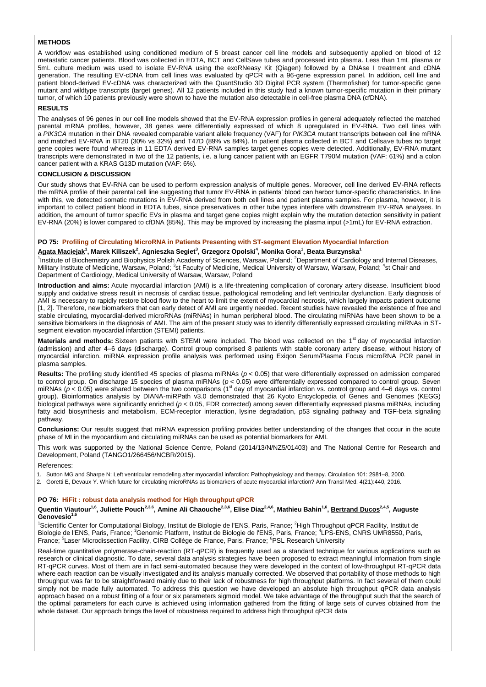## **METHODS**

A workflow was established using conditioned medium of 5 breast cancer cell line models and subsequently applied on blood of 12 metastatic cancer patients. Blood was collected in EDTA, BCT and CellSave tubes and processed into plasma. Less than 1mL plasma or 5mL culture medium was used to isolate EV-RNA using the exoRNeasy Kit (Qiagen) followed by a DNAse I treatment and cDNA generation. The resulting EV-cDNA from cell lines was evaluated by qPCR with a 96-gene expression panel. In addition, cell line and patient blood-derived EV-cDNA was characterized with the QuantStudio 3D Digital PCR system (Thermofisher) for tumor-specific gene mutant and wildtype transcripts (target genes). All 12 patients included in this study had a known tumor-specific mutation in their primary tumor, of which 10 patients previously were shown to have the mutation also detectable in cell-free plasma DNA (cfDNA).

#### **RESULTS**

The analyses of 96 genes in our cell line models showed that the EV-RNA expression profiles in general adequately reflected the matched parental mRNA profiles, however, 38 genes were differentially expressed of which 8 upregulated in EV-RNA. Two cell lines with a *PIK3CA* mutation in their DNA revealed comparable variant allele frequency (VAF) for *PIK3CA* mutant transcripts between cell line mRNA and matched EV-RNA in BT20 (30% vs 32%) and T47D (89% vs 84%). In patient plasma collected in BCT and Cellsave tubes no target gene copies were found whereas in 11 EDTA derived EV-RNA samples target genes copies were detected. Additionally, EV-RNA mutant transcripts were demonstrated in two of the 12 patients, i.e. a lung cancer patient with an EGFR T790M mutation (VAF: 61%) and a colon cancer patient with a KRAS G13D mutation (VAF: 6%).

## **CONCLUSION & DISCUSSION**

Our study shows that EV-RNA can be used to perform expression analysis of multiple genes. Moreover, cell line derived EV-RNA reflects the mRNA profile of their parental cell line suggesting that tumor EV-RNA in patients' blood can harbor tumor-specific characteristics. In line with this, we detected somatic mutations in EV-RNA derived from both cell lines and patient plasma samples. For plasma, however, it is important to collect patient blood in EDTA tubes, since preservatives in other tube types interfere with downstream EV-RNA analyses. In addition, the amount of tumor specific EVs in plasma and target gene copies might explain why the mutation detection sensitivity in patient EV-RNA (20%) is lower compared to cfDNA (85%). This may be improved by increasing the plasma input (>1mL) for EV-RNA extraction.

#### **PO 75: Profiling of Circulating MicroRNA in Patients Presenting with ST-segment Elevation Myocardial Infarction**

#### **Agata Maciejak<sup>1</sup> , Marek Kiliszek<sup>2</sup> , Agnieszka Segiet<sup>3</sup> , Grzegorz Opolski<sup>4</sup> , Monika Gora<sup>1</sup> , Beata Burzynska<sup>1</sup>**

<sup>1</sup>Institute of Biochemistry and Biophysics Polish Academy of Sciences, Warsaw, Poland; <sup>2</sup>Department of Cardiology and Internal Diseases, Military Institute of Medicine, Warsaw, Poland; <sup>3</sup>st Faculty of Medicine, Medical University of Warsaw, Warsaw, Poland; <sup>4</sup>st Chair and Department of Cardiology, Medical University of Warsaw, Warsaw, Poland

**Introduction and aims:** Acute myocardial infarction (AMI) is a life-threatening complication of coronary artery disease. Insufficient blood supply and oxidative stress result in necrosis of cardiac tissue, pathological remodeling and left ventricular dysfunction. Early diagnosis of AMI is necessary to rapidly restore blood flow to the heart to limit the extent of myocardial necrosis, which largely impacts patient outcome [1, 2]. Therefore, new biomarkers that can early detect of AMI are urgently needed. Recent studies have revealed the existence of free and stable circulating, myocardial-derived microRNAs (miRNAs) in human peripheral blood. The circulating miRNAs have been shown to be a sensitive biomarkers in the diagnosis of AMI. The aim of the present study was to identify differentially expressed circulating miRNAs in STsegment elevation myocardial infarction (STEMI) patients.

Materials and methods: Sixteen patients with STEMI were included. The blood was collected on the 1<sup>st</sup> day of myocardial infarction (admission) and after 4–6 days (discharge). Control group comprised 8 patients with stable coronary artery disease, without history of myocardial infarction. miRNA expression profile analysis was performed using Exiqon Serum/Plasma Focus microRNA PCR panel in plasma samples.

**Results:** The profiling study identified 45 species of plasma miRNAs (*p* < 0.05) that were differentially expressed on admission compared to control group. On discharge 15 species of plasma miRNAs (ρ < 0.05) were differentially expressed compared to control group. Seven<br>miRNAs (ρ < 0.05) were shared between the two comparisons (1<sup>st</sup> day of myocardial infar group). Bioinformatics analysis by DIANA-miRPath v3.0 demonstrated that 26 Kyoto Encyclopedia of Genes and Genomes (KEGG) biological pathways were significantly enriched (*p* < 0.05, FDR corrected) among seven differentially expressed plasma miRNAs, including fatty acid biosynthesis and metabolism, ECM-receptor interaction, lysine degradation, p53 signaling pathway and TGF-beta signaling pathway.

**Conclusions:** Our results suggest that miRNA expression profiling provides better understanding of the changes that occur in the acute phase of MI in the myocardium and circulating miRNAs can be used as potential biomarkers for AMI.

This work was supported by the National Science Centre, Poland (2014/13/N/NZ5/01403) and The National Centre for Research and Development, Poland (TANGO1/266456/NCBR/2015).

#### References:

- 1. Sutton MG and Sharpe N: Left ventricular remodeling after myocardial infarction: Pathophysiology and therapy. Circulation 101: 2981‒8, 2000.
- 2. Goretti E, Devaux Y. Which future for circulating microRNAs as biomarkers of acute myocardial infarction? Ann Transl Med. 4(21):440, 2016.

## **PO 76: HiFit : robust data analysis method for High throughput qPCR**

## Quentin Viautour<sup>1,6</sup>, Juliette Pouch<sup>2,3,6</sup>, Amine Ali Chaouche<sup>2,3,6</sup>, Elise Diaz<sup>2,4,6</sup>, Mathieu Bahin<sup>1,6</sup>, <u>Bertrand Ducos</u><sup>2,4,5</sup>, Auguste **Genovesio1,6**

<sup>1</sup>Scientific Center for Computational Biology, Institut de Biologie de l'ENS, Paris, France; <sup>2</sup>High Throughput qPCR Facility, Institut de Biologie de l'ENS, Paris, France; <sup>3</sup>Genomic Platform, Institut de Biologie de l'ENS, Paris, France; <sup>4</sup>LPS-ENS, CNRS UMR8550, Paris, France; <sup>5</sup>Laser Microdissection Facility, CIRB Collège de France, Paris, France; <sup>6</sup>PSL Research University

Real-time quantitative polymerase-chain-reaction (RT-qPCR) is frequently used as a standard technique for various applications such as research or clinical diagnostic. To date, several data analysis strategies have been proposed to extract meaningful information from single RT-qPCR curves. Most of them are in fact semi-automated because they were developed in the context of low-throughput RT-qPCR data where each reaction can be visually investigated and its analysis manually corrected. We observed that portability of those methods to high throughput was far to be straightforward mainly due to their lack of robustness for high throughput platforms. In fact several of them could simply not be made fully automated. To address this question we have developed an absolute high throughput qPCR data analysis approach based on a robust fitting of a four or six parameters sigmoid model. We take advantage of the throughput such that the search of the optimal parameters for each curve is achieved using information gathered from the fitting of large sets of curves obtained from the whole dataset. Our approach brings the level of robustness required to address high throughput qPCR data